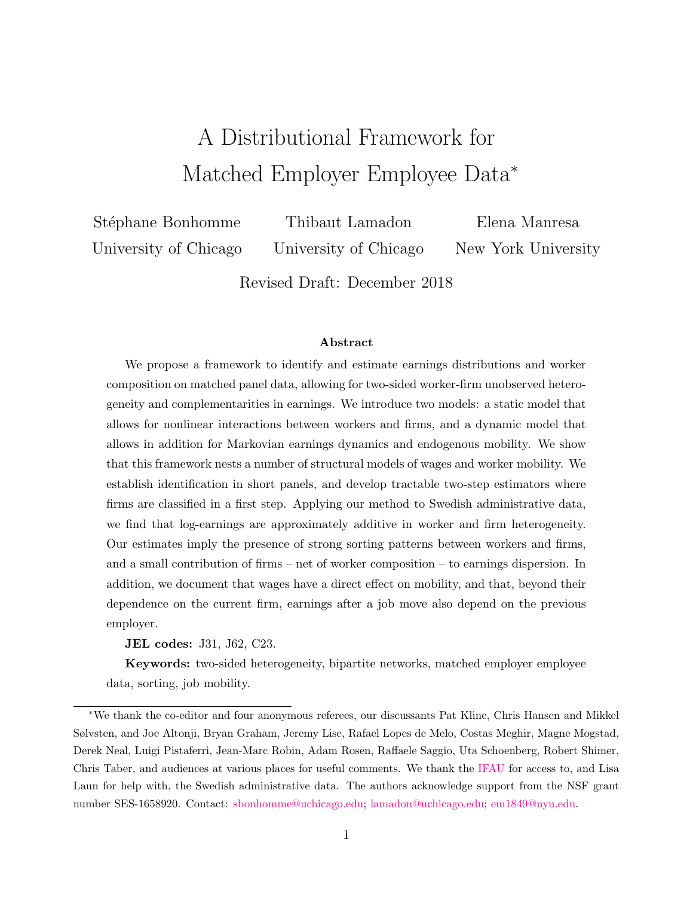# <span id="page-0-0"></span>A Distributional Framework for Matched Employer Employee Data<sup>∗</sup>

Stéphane Bonhomme University of Chicago Thibaut Lamadon University of Chicago Elena Manresa New York University

Revised Draft: December 2018

#### Abstract

We propose a framework to identify and estimate earnings distributions and worker composition on matched panel data, allowing for two-sided worker-firm unobserved heterogeneity and complementarities in earnings. We introduce two models: a static model that allows for nonlinear interactions between workers and firms, and a dynamic model that allows in addition for Markovian earnings dynamics and endogenous mobility. We show that this framework nests a number of structural models of wages and worker mobility. We establish identification in short panels, and develop tractable two-step estimators where firms are classified in a first step. Applying our method to Swedish administrative data, we find that log-earnings are approximately additive in worker and firm heterogeneity. Our estimates imply the presence of strong sorting patterns between workers and firms, and a small contribution of firms – net of worker composition – to earnings dispersion. In addition, we document that wages have a direct effect on mobility, and that, beyond their dependence on the current firm, earnings after a job move also depend on the previous employer.

JEL codes: J31, J62, C23.

Keywords: two-sided heterogeneity, bipartite networks, matched employer employee data, sorting, job mobility.

<sup>∗</sup>We thank the co-editor and four anonymous referees, our discussants Pat Kline, Chris Hansen and Mikkel Sølvsten, and Joe Altonji, Bryan Graham, Jeremy Lise, Rafael Lopes de Melo, Costas Meghir, Magne Mogstad, Derek Neal, Luigi Pistaferri, Jean-Marc Robin, Adam Rosen, Raffaele Saggio, Uta Schoenberg, Robert Shimer, Chris Taber, and audiences at various places for useful comments. We thank the [IFAU](http://www.ifau.se/en/) for access to, and Lisa Laun for help with, the Swedish administrative data. The authors acknowledge support from the NSF grant number SES-1658920. Contact: [sbonhomme@uchicago.edu;](mailto:sbonhomme@uchicago.edu) [lamadon@uchicago.edu;](mailto:lamadon@uchicago.edu) [em1849@nyu.edu.](mailto:emanresa@mit.edu)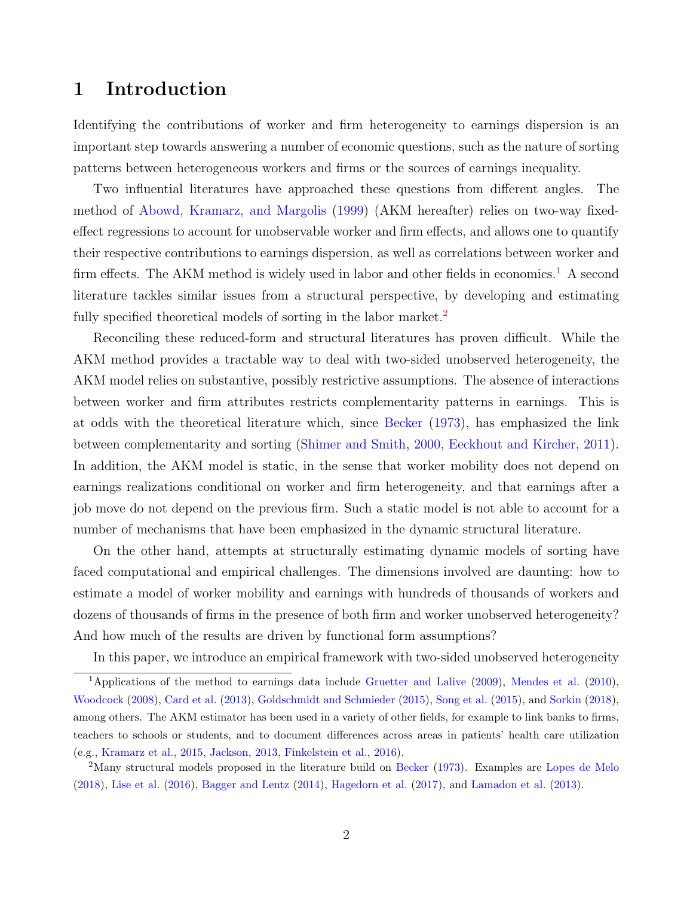### 1 Introduction

Identifying the contributions of worker and firm heterogeneity to earnings dispersion is an important step towards answering a number of economic questions, such as the nature of sorting patterns between heterogeneous workers and firms or the sources of earnings inequality.

Two influential literatures have approached these questions from different angles. The method of [Abowd, Kramarz, and Margolis](#page-38-0) [\(1999\)](#page-38-0) (AKM hereafter) relies on two-way fixedeffect regressions to account for unobservable worker and firm effects, and allows one to quantify their respective contributions to earnings dispersion, as well as correlations between worker and firm effects. The AKM method is widely used in labor and other fields in economics.<sup>[1](#page-1-0)</sup> A second literature tackles similar issues from a structural perspective, by developing and estimating fully specified theoretical models of sorting in the labor market.<sup>[2](#page-1-1)</sup>

Reconciling these reduced-form and structural literatures has proven difficult. While the AKM method provides a tractable way to deal with two-sided unobserved heterogeneity, the AKM model relies on substantive, possibly restrictive assumptions. The absence of interactions between worker and firm attributes restricts complementarity patterns in earnings. This is at odds with the theoretical literature which, since [Becker](#page-39-0) [\(1973\)](#page-39-0), has emphasized the link between complementarity and sorting [\(Shimer and Smith,](#page-42-0) [2000,](#page-42-0) [Eeckhout and Kircher,](#page-40-0) [2011\)](#page-40-0). In addition, the AKM model is static, in the sense that worker mobility does not depend on earnings realizations conditional on worker and firm heterogeneity, and that earnings after a job move do not depend on the previous firm. Such a static model is not able to account for a number of mechanisms that have been emphasized in the dynamic structural literature.

On the other hand, attempts at structurally estimating dynamic models of sorting have faced computational and empirical challenges. The dimensions involved are daunting: how to estimate a model of worker mobility and earnings with hundreds of thousands of workers and dozens of thousands of firms in the presence of both firm and worker unobserved heterogeneity? And how much of the results are driven by functional form assumptions?

<span id="page-1-0"></span>In this paper, we introduce an empirical framework with two-sided unobserved heterogeneity

<sup>&</sup>lt;sup>1</sup>Applications of the method to earnings data include [Gruetter and Lalive](#page-40-1) [\(2009\)](#page-40-1), [Mendes et al.](#page-42-1) [\(2010\)](#page-42-1), [Woodcock](#page-43-0) [\(2008\)](#page-43-0), [Card et al.](#page-39-1) [\(2013\)](#page-39-1), [Goldschmidt and Schmieder](#page-40-2) [\(2015\)](#page-40-2), [Song et al.](#page-42-2) [\(2015\)](#page-42-2), and [Sorkin](#page-42-3) [\(2018\)](#page-42-3), among others. The AKM estimator has been used in a variety of other fields, for example to link banks to firms, teachers to schools or students, and to document differences across areas in patients' health care utilization (e.g., [Kramarz et al.,](#page-41-0) [2015,](#page-41-0) [Jackson,](#page-41-1) [2013,](#page-41-1) [Finkelstein et al.,](#page-40-3) [2016\)](#page-40-3).

<span id="page-1-1"></span><sup>2</sup>Many structural models proposed in the literature build on [Becker](#page-39-0) [\(1973\)](#page-39-0). Examples are [Lopes de Melo](#page-42-4) [\(2018\)](#page-42-4), [Lise et al.](#page-42-5) [\(2016\)](#page-42-5), [Bagger and Lentz](#page-38-1) [\(2014\)](#page-38-1), [Hagedorn et al.](#page-40-4) [\(2017\)](#page-40-4), and [Lamadon et al.](#page-41-2) [\(2013\)](#page-41-2).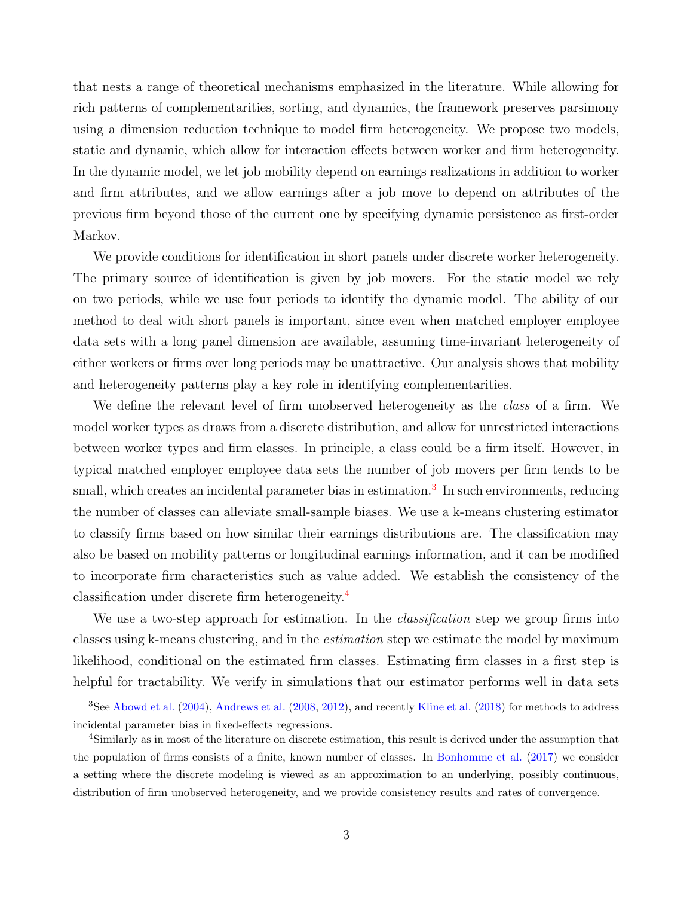that nests a range of theoretical mechanisms emphasized in the literature. While allowing for rich patterns of complementarities, sorting, and dynamics, the framework preserves parsimony using a dimension reduction technique to model firm heterogeneity. We propose two models, static and dynamic, which allow for interaction effects between worker and firm heterogeneity. In the dynamic model, we let job mobility depend on earnings realizations in addition to worker and firm attributes, and we allow earnings after a job move to depend on attributes of the previous firm beyond those of the current one by specifying dynamic persistence as first-order Markov.

We provide conditions for identification in short panels under discrete worker heterogeneity. The primary source of identification is given by job movers. For the static model we rely on two periods, while we use four periods to identify the dynamic model. The ability of our method to deal with short panels is important, since even when matched employer employee data sets with a long panel dimension are available, assuming time-invariant heterogeneity of either workers or firms over long periods may be unattractive. Our analysis shows that mobility and heterogeneity patterns play a key role in identifying complementarities.

We define the relevant level of firm unobserved heterogeneity as the *class* of a firm. We model worker types as draws from a discrete distribution, and allow for unrestricted interactions between worker types and firm classes. In principle, a class could be a firm itself. However, in typical matched employer employee data sets the number of job movers per firm tends to be small, which creates an incidental parameter bias in estimation.<sup>[3](#page-2-0)</sup> In such environments, reducing the number of classes can alleviate small-sample biases. We use a k-means clustering estimator to classify firms based on how similar their earnings distributions are. The classification may also be based on mobility patterns or longitudinal earnings information, and it can be modified to incorporate firm characteristics such as value added. We establish the consistency of the classification under discrete firm heterogeneity.<sup>[4](#page-2-1)</sup>

We use a two-step approach for estimation. In the *classification* step we group firms into classes using k-means clustering, and in the *estimation* step we estimate the model by maximum likelihood, conditional on the estimated firm classes. Estimating firm classes in a first step is helpful for tractability. We verify in simulations that our estimator performs well in data sets

<span id="page-2-0"></span><sup>3</sup>See [Abowd et al.](#page-38-2) [\(2004\)](#page-38-2), [Andrews et al.](#page-38-3) [\(2008,](#page-38-3) [2012\)](#page-38-4), and recently [Kline et al.](#page-41-3) [\(2018\)](#page-41-3) for methods to address incidental parameter bias in fixed-effects regressions.

<span id="page-2-1"></span><sup>4</sup>Similarly as in most of the literature on discrete estimation, this result is derived under the assumption that the population of firms consists of a finite, known number of classes. In [Bonhomme et al.](#page-39-2) [\(2017\)](#page-39-2) we consider a setting where the discrete modeling is viewed as an approximation to an underlying, possibly continuous, distribution of firm unobserved heterogeneity, and we provide consistency results and rates of convergence.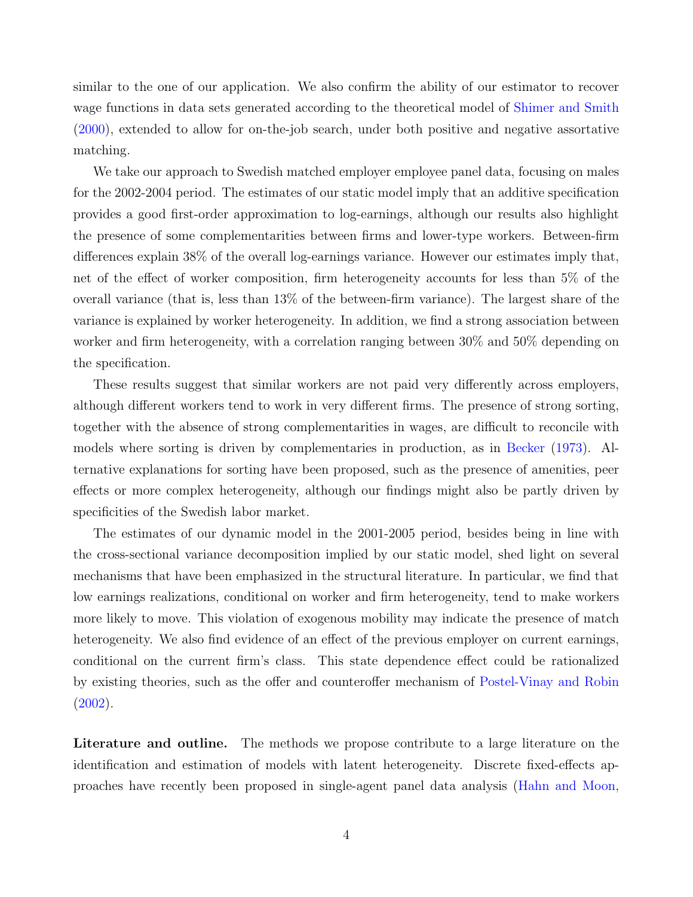similar to the one of our application. We also confirm the ability of our estimator to recover wage functions in data sets generated according to the theoretical model of [Shimer and Smith](#page-42-0) [\(2000\)](#page-42-0), extended to allow for on-the-job search, under both positive and negative assortative matching.

We take our approach to Swedish matched employer employee panel data, focusing on males for the 2002-2004 period. The estimates of our static model imply that an additive specification provides a good first-order approximation to log-earnings, although our results also highlight the presence of some complementarities between firms and lower-type workers. Between-firm differences explain 38% of the overall log-earnings variance. However our estimates imply that, net of the effect of worker composition, firm heterogeneity accounts for less than 5% of the overall variance (that is, less than 13% of the between-firm variance). The largest share of the variance is explained by worker heterogeneity. In addition, we find a strong association between worker and firm heterogeneity, with a correlation ranging between 30% and 50% depending on the specification.

These results suggest that similar workers are not paid very differently across employers, although different workers tend to work in very different firms. The presence of strong sorting, together with the absence of strong complementarities in wages, are difficult to reconcile with models where sorting is driven by complementaries in production, as in [Becker](#page-39-0) [\(1973\)](#page-39-0). Alternative explanations for sorting have been proposed, such as the presence of amenities, peer effects or more complex heterogeneity, although our findings might also be partly driven by specificities of the Swedish labor market.

The estimates of our dynamic model in the 2001-2005 period, besides being in line with the cross-sectional variance decomposition implied by our static model, shed light on several mechanisms that have been emphasized in the structural literature. In particular, we find that low earnings realizations, conditional on worker and firm heterogeneity, tend to make workers more likely to move. This violation of exogenous mobility may indicate the presence of match heterogeneity. We also find evidence of an effect of the previous employer on current earnings, conditional on the current firm's class. This state dependence effect could be rationalized by existing theories, such as the offer and counteroffer mechanism of [Postel-Vinay and Robin](#page-42-6) [\(2002\)](#page-42-6).

Literature and outline. The methods we propose contribute to a large literature on the identification and estimation of models with latent heterogeneity. Discrete fixed-effects approaches have recently been proposed in single-agent panel data analysis [\(Hahn and Moon,](#page-40-5)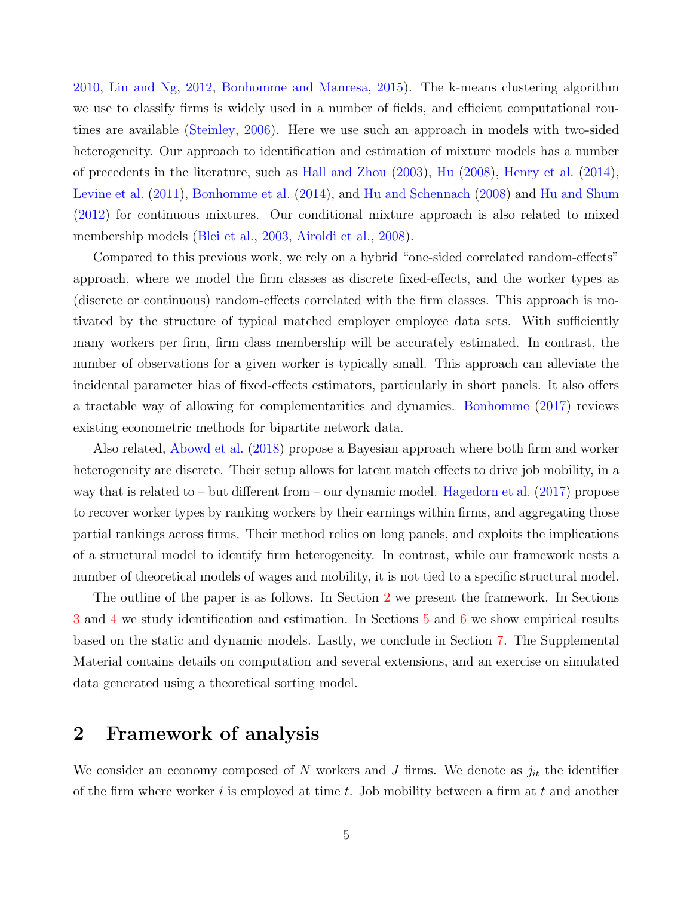[2010,](#page-40-5) [Lin and Ng,](#page-41-4) [2012,](#page-41-4) [Bonhomme and Manresa,](#page-39-3) [2015\)](#page-39-3). The k-means clustering algorithm we use to classify firms is widely used in a number of fields, and efficient computational routines are available [\(Steinley,](#page-43-1) [2006\)](#page-43-1). Here we use such an approach in models with two-sided heterogeneity. Our approach to identification and estimation of mixture models has a number of precedents in the literature, such as [Hall and Zhou](#page-40-6) [\(2003\)](#page-40-6), [Hu](#page-41-5) [\(2008\)](#page-41-5), [Henry et al.](#page-40-7) [\(2014\)](#page-40-7), [Levine et al.](#page-41-6) [\(2011\)](#page-41-6), [Bonhomme et al.](#page-39-4) [\(2014\)](#page-39-4), and [Hu and Schennach](#page-41-7) [\(2008\)](#page-41-7) and [Hu and Shum](#page-41-8) [\(2012\)](#page-41-8) for continuous mixtures. Our conditional mixture approach is also related to mixed membership models [\(Blei et al.,](#page-39-5) [2003,](#page-39-5) [Airoldi et al.,](#page-38-5) [2008\)](#page-38-5).

Compared to this previous work, we rely on a hybrid "one-sided correlated random-effects" approach, where we model the firm classes as discrete fixed-effects, and the worker types as (discrete or continuous) random-effects correlated with the firm classes. This approach is motivated by the structure of typical matched employer employee data sets. With sufficiently many workers per firm, firm class membership will be accurately estimated. In contrast, the number of observations for a given worker is typically small. This approach can alleviate the incidental parameter bias of fixed-effects estimators, particularly in short panels. It also offers a tractable way of allowing for complementarities and dynamics. [Bonhomme](#page-39-6) [\(2017\)](#page-39-6) reviews existing econometric methods for bipartite network data.

Also related, [Abowd et al.](#page-38-6) [\(2018\)](#page-38-6) propose a Bayesian approach where both firm and worker heterogeneity are discrete. Their setup allows for latent match effects to drive job mobility, in a way that is related to – but different from – our dynamic model. [Hagedorn et al.](#page-40-4) [\(2017\)](#page-40-4) propose to recover worker types by ranking workers by their earnings within firms, and aggregating those partial rankings across firms. Their method relies on long panels, and exploits the implications of a structural model to identify firm heterogeneity. In contrast, while our framework nests a number of theoretical models of wages and mobility, it is not tied to a specific structural model.

The outline of the paper is as follows. In Section [2](#page-4-0) we present the framework. In Sections [3](#page-9-0) and [4](#page-15-0) we study identification and estimation. In Sections [5](#page-20-0) and [6](#page-29-0) we show empirical results based on the static and dynamic models. Lastly, we conclude in Section [7.](#page-36-0) The Supplemental Material contains details on computation and several extensions, and an exercise on simulated data generated using a theoretical sorting model.

## <span id="page-4-0"></span>2 Framework of analysis

We consider an economy composed of  $N$  workers and  $J$  firms. We denote as  $j_{it}$  the identifier of the firm where worker i is employed at time t. Job mobility between a firm at t and another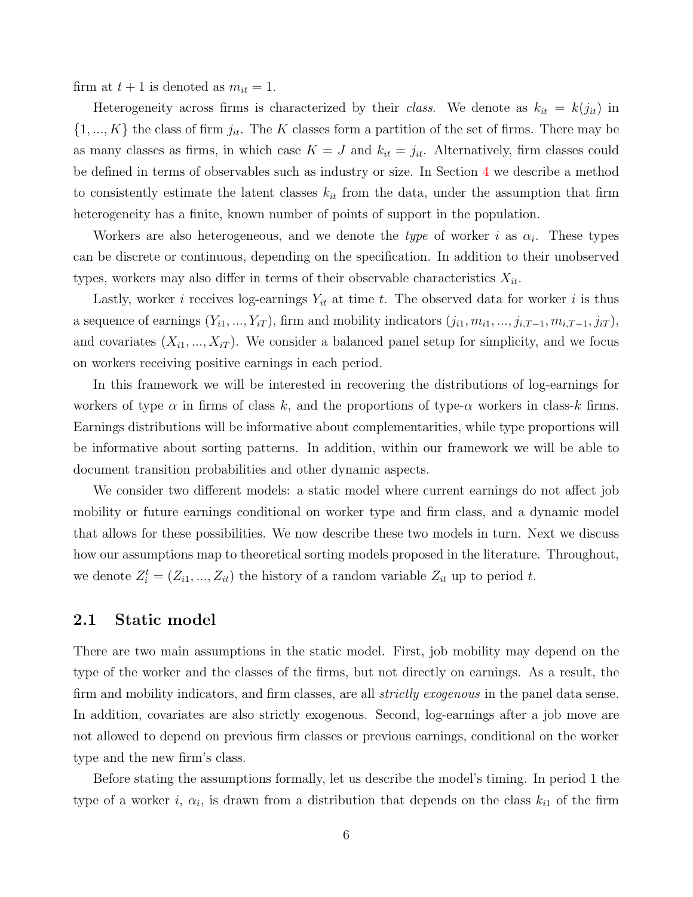firm at  $t + 1$  is denoted as  $m_{it} = 1$ .

Heterogeneity across firms is characterized by their class. We denote as  $k_{it} = k(j_{it})$  in  $\{1, ..., K\}$  the class of firm  $j_{it}$ . The K classes form a partition of the set of firms. There may be as many classes as firms, in which case  $K = J$  and  $k_{it} = j_{it}$ . Alternatively, firm classes could be defined in terms of observables such as industry or size. In Section [4](#page-15-0) we describe a method to consistently estimate the latent classes  $k_{it}$  from the data, under the assumption that firm heterogeneity has a finite, known number of points of support in the population.

Workers are also heterogeneous, and we denote the *type* of worker i as  $\alpha_i$ . These types can be discrete or continuous, depending on the specification. In addition to their unobserved types, workers may also differ in terms of their observable characteristics  $X_{it}$ .

Lastly, worker *i* receives log-earnings  $Y_{it}$  at time *t*. The observed data for worker *i* is thus a sequence of earnings  $(Y_{i1}, ..., Y_{iT})$ , firm and mobility indicators  $(j_{i1}, m_{i1}, ..., j_{i,T-1}, m_{i,T-1}, j_{iT})$ , and covariates  $(X_{i1},...,X_{iT})$ . We consider a balanced panel setup for simplicity, and we focus on workers receiving positive earnings in each period.

In this framework we will be interested in recovering the distributions of log-earnings for workers of type  $\alpha$  in firms of class k, and the proportions of type- $\alpha$  workers in class-k firms. Earnings distributions will be informative about complementarities, while type proportions will be informative about sorting patterns. In addition, within our framework we will be able to document transition probabilities and other dynamic aspects.

We consider two different models: a static model where current earnings do not affect job mobility or future earnings conditional on worker type and firm class, and a dynamic model that allows for these possibilities. We now describe these two models in turn. Next we discuss how our assumptions map to theoretical sorting models proposed in the literature. Throughout, we denote  $Z_i^t = (Z_{i1},..., Z_{it})$  the history of a random variable  $Z_{it}$  up to period t.

#### 2.1 Static model

There are two main assumptions in the static model. First, job mobility may depend on the type of the worker and the classes of the firms, but not directly on earnings. As a result, the firm and mobility indicators, and firm classes, are all *strictly exogenous* in the panel data sense. In addition, covariates are also strictly exogenous. Second, log-earnings after a job move are not allowed to depend on previous firm classes or previous earnings, conditional on the worker type and the new firm's class.

Before stating the assumptions formally, let us describe the model's timing. In period 1 the type of a worker i,  $\alpha_i$ , is drawn from a distribution that depends on the class  $k_{i1}$  of the firm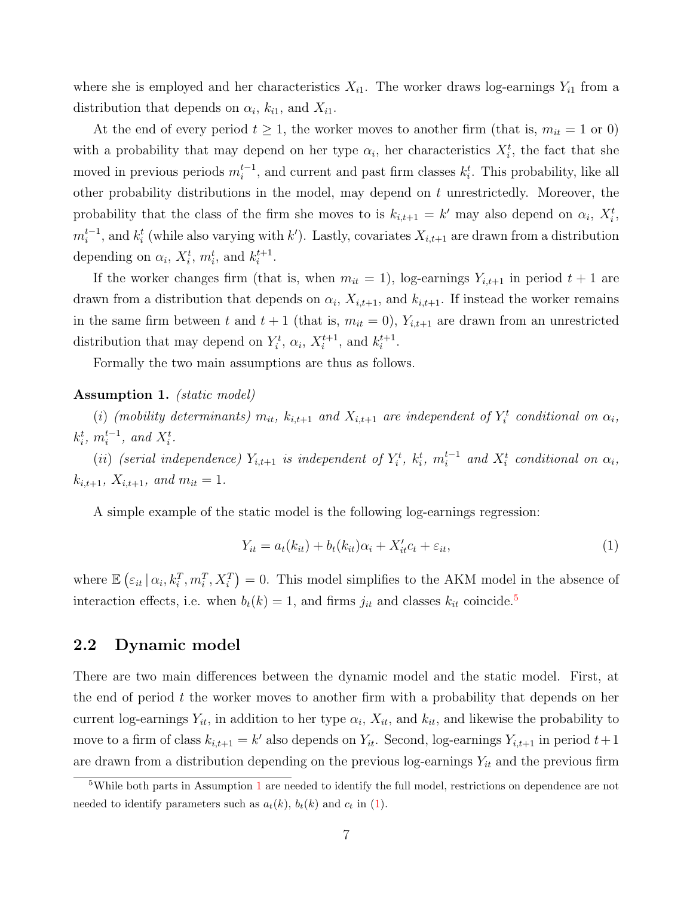where she is employed and her characteristics  $X_{i1}$ . The worker draws log-earnings  $Y_{i1}$  from a distribution that depends on  $\alpha_i$ ,  $k_{i1}$ , and  $X_{i1}$ .

At the end of every period  $t \geq 1$ , the worker moves to another firm (that is,  $m_{it} = 1$  or 0) with a probability that may depend on her type  $\alpha_i$ , her characteristics  $X_i^t$ , the fact that she moved in previous periods  $m_i^{t-1}$ , and current and past firm classes  $k_i^t$ . This probability, like all other probability distributions in the model, may depend on  $t$  unrestrictedly. Moreover, the probability that the class of the firm she moves to is  $k_{i,t+1} = k'$  may also depend on  $\alpha_i$ ,  $X_i^t$ ,  $m_i^{t-1}$ , and  $k_i^t$  (while also varying with k'). Lastly, covariates  $X_{i,t+1}$  are drawn from a distribution depending on  $\alpha_i$ ,  $X_i^t$ ,  $m_i^t$ , and  $k_i^{t+1}$  $i^{t+1}$ .

If the worker changes firm (that is, when  $m_{it} = 1$ ), log-earnings  $Y_{i,t+1}$  in period  $t + 1$  are drawn from a distribution that depends on  $\alpha_i$ ,  $X_{i,t+1}$ , and  $k_{i,t+1}$ . If instead the worker remains in the same firm between t and  $t + 1$  (that is,  $m_{it} = 0$ ),  $Y_{i,t+1}$  are drawn from an unrestricted distribution that may depend on  $Y_i^t$ ,  $\alpha_i$ ,  $X_i^{t+1}$  $i^{t+1}$ , and  $k_i^{t+1}$  $i^{t+1}$ .

Formally the two main assumptions are thus as follows.

#### <span id="page-6-1"></span>Assumption 1. (static model)

(i) (mobility determinants)  $m_{it}$ ,  $k_{i,t+1}$  and  $X_{i,t+1}$  are independent of  $Y_i^t$  conditional on  $\alpha_i$ ,  $k_i^t$ ,  $m_i^{t-1}$ , and  $X_i^t$ .

(ii) (serial independence)  $Y_{i,t+1}$  is independent of  $Y_i^t$ ,  $k_i^t$ ,  $m_i^{t-1}$  and  $X_i^t$  conditional on  $\alpha_i$ ,  $k_{i,t+1}, X_{i,t+1}, \text{ and } m_{it} = 1.$ 

A simple example of the static model is the following log-earnings regression:

<span id="page-6-2"></span>
$$
Y_{it} = a_t(k_{it}) + b_t(k_{it})\alpha_i + X'_{it}c_t + \varepsilon_{it},\tag{1}
$$

where  $\mathbb{E}\left(\varepsilon_{it} | \alpha_i, k_i^T, m_i^T, X_i^T\right) = 0$ . This model simplifies to the AKM model in the absence of interaction effects, i.e. when  $b_t(k) = 1$ , and firms  $j_{it}$  and classes  $k_{it}$  coincide.<sup>[5](#page-6-0)</sup>

#### 2.2 Dynamic model

There are two main differences between the dynamic model and the static model. First, at the end of period  $t$  the worker moves to another firm with a probability that depends on her current log-earnings  $Y_{it}$ , in addition to her type  $\alpha_i$ ,  $X_{it}$ , and  $k_{it}$ , and likewise the probability to move to a firm of class  $k_{i,t+1} = k'$  also depends on  $Y_{it}$ . Second, log-earnings  $Y_{i,t+1}$  in period  $t+1$ are drawn from a distribution depending on the previous log-earnings  $Y_{it}$  and the previous firm

<span id="page-6-0"></span><sup>&</sup>lt;sup>5</sup>While both parts in Assumption [1](#page-6-1) are needed to identify the full model, restrictions on dependence are not needed to identify parameters such as  $a_t(k)$ ,  $b_t(k)$  and  $c_t$  in [\(1\)](#page-6-2).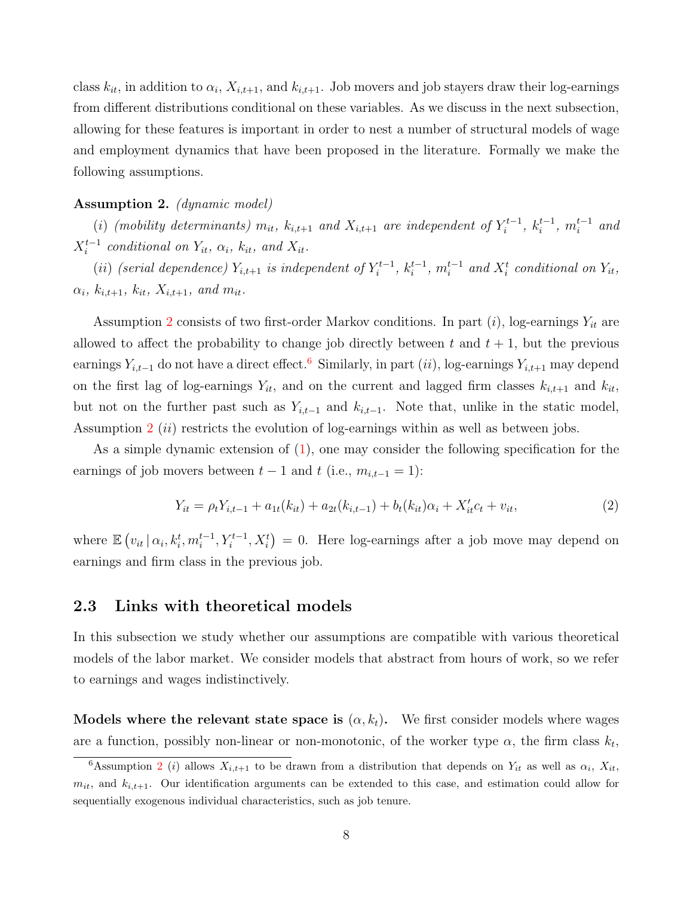class  $k_{it}$ , in addition to  $\alpha_i$ ,  $X_{i,t+1}$ , and  $k_{i,t+1}$ . Job movers and job stayers draw their log-earnings from different distributions conditional on these variables. As we discuss in the next subsection, allowing for these features is important in order to nest a number of structural models of wage and employment dynamics that have been proposed in the literature. Formally we make the following assumptions.

#### <span id="page-7-0"></span>Assumption 2. *(dynamic model)*

(i) (mobility determinants)  $m_{it}$ ,  $k_{i,t+1}$  and  $X_{i,t+1}$  are independent of  $Y_i^{t-1}$  $\zeta_i^{t-1},\ k_i^{t-1}$  $i^{t-1}$ ,  $m_i^{t-1}$  and  $X_i^{t-1}$  $i_t^{t-1}$  conditional on  $Y_{it}$ ,  $\alpha_i$ ,  $k_{it}$ , and  $X_{it}$ .

(ii) (serial dependence)  $Y_{i,t+1}$  is independent of  $Y_i^{t-1}$  $\zeta_i^{t-1},\,k_i^{t-1}$  $i_t^{t-1}$ ,  $m_i^{t-1}$  and  $X_i^t$  conditional on  $Y_{it}$ ,  $\alpha_i, k_{i,t+1}, k_{it}, X_{i,t+1}, and m_{it}.$ 

Assumption [2](#page-7-0) consists of two first-order Markov conditions. In part  $(i)$ , log-earnings  $Y_{it}$  are allowed to affect the probability to change job directly between t and  $t + 1$ , but the previous earnings  $Y_{i,t-1}$  do not have a direct effect.<sup>[6](#page-7-1)</sup> Similarly, in part (ii), log-earnings  $Y_{i,t+1}$  may depend on the first lag of log-earnings  $Y_{it}$ , and on the current and lagged firm classes  $k_{i,t+1}$  and  $k_{it}$ , but not on the further past such as  $Y_{i,t-1}$  and  $k_{i,t-1}$ . Note that, unlike in the static model, Assumption [2](#page-7-0) *(ii)* restricts the evolution of log-earnings within as well as between jobs.

As a simple dynamic extension of [\(1\)](#page-6-2), one may consider the following specification for the earnings of job movers between  $t - 1$  and  $t$  (i.e.,  $m_{i,t-1} = 1$ ):

<span id="page-7-2"></span>
$$
Y_{it} = \rho_t Y_{i,t-1} + a_{1t}(k_{it}) + a_{2t}(k_{i,t-1}) + b_t(k_{it})\alpha_i + X'_{it}c_t + v_{it},
$$
\n(2)

where  $\mathbb{E}\left(v_{it} | \alpha_i, k_i^t, m_i^{t-1}, Y_i^{t-1}, X_i^t\right) = 0$ . Here log-earnings after a job move may depend on earnings and firm class in the previous job.

### 2.3 Links with theoretical models

In this subsection we study whether our assumptions are compatible with various theoretical models of the labor market. We consider models that abstract from hours of work, so we refer to earnings and wages indistinctively.

Models where the relevant state space is  $(\alpha, k_t)$ . We first consider models where wages are a function, possibly non-linear or non-monotonic, of the worker type  $\alpha$ , the firm class  $k_t$ ,

<span id="page-7-1"></span><sup>&</sup>lt;sup>6</sup>Assumption [2](#page-7-0) (i) allows  $X_{i,t+1}$  to be drawn from a distribution that depends on  $Y_{it}$  as well as  $\alpha_i$ ,  $X_{it}$ ,  $m_{it}$ , and  $k_{i,t+1}$ . Our identification arguments can be extended to this case, and estimation could allow for sequentially exogenous individual characteristics, such as job tenure.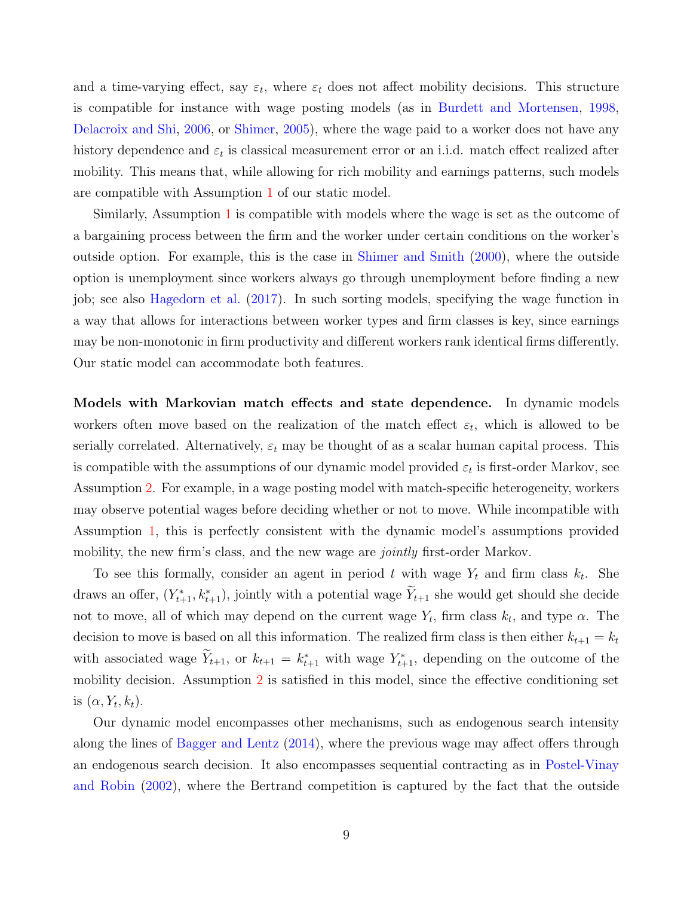and a time-varying effect, say  $\varepsilon_t$ , where  $\varepsilon_t$  does not affect mobility decisions. This structure is compatible for instance with wage posting models (as in [Burdett and Mortensen,](#page-39-7) [1998,](#page-39-7) [Delacroix and Shi,](#page-39-8) [2006,](#page-39-8) or [Shimer,](#page-42-7) [2005\)](#page-42-7), where the wage paid to a worker does not have any history dependence and  $\varepsilon_t$  is classical measurement error or an i.i.d. match effect realized after mobility. This means that, while allowing for rich mobility and earnings patterns, such models are compatible with Assumption [1](#page-6-1) of our static model.

Similarly, Assumption [1](#page-6-1) is compatible with models where the wage is set as the outcome of a bargaining process between the firm and the worker under certain conditions on the worker's outside option. For example, this is the case in [Shimer and Smith](#page-42-0) [\(2000\)](#page-42-0), where the outside option is unemployment since workers always go through unemployment before finding a new job; see also [Hagedorn et al.](#page-40-4) [\(2017\)](#page-40-4). In such sorting models, specifying the wage function in a way that allows for interactions between worker types and firm classes is key, since earnings may be non-monotonic in firm productivity and different workers rank identical firms differently. Our static model can accommodate both features.

Models with Markovian match effects and state dependence. In dynamic models workers often move based on the realization of the match effect  $\varepsilon_t$ , which is allowed to be serially correlated. Alternatively,  $\varepsilon_t$  may be thought of as a scalar human capital process. This is compatible with the assumptions of our dynamic model provided  $\varepsilon_t$  is first-order Markov, see Assumption [2.](#page-7-0) For example, in a wage posting model with match-specific heterogeneity, workers may observe potential wages before deciding whether or not to move. While incompatible with Assumption [1,](#page-6-1) this is perfectly consistent with the dynamic model's assumptions provided mobility, the new firm's class, and the new wage are *jointly* first-order Markov.

To see this formally, consider an agent in period t with wage  $Y_t$  and firm class  $k_t$ . She draws an offer,  $(Y_{t+1}^*, k_{t+1}^*)$ , jointly with a potential wage  $Y_{t+1}$  she would get should she decide not to move, all of which may depend on the current wage  $Y_t$ , firm class  $k_t$ , and type  $\alpha$ . The decision to move is based on all this information. The realized firm class is then either  $k_{t+1} = k_t$ with associated wage  $\tilde{Y}_{t+1}$ , or  $k_{t+1} = k_{t+1}^*$  with wage  $Y_{t+1}^*$ , depending on the outcome of the mobility decision. Assumption [2](#page-7-0) is satisfied in this model, since the effective conditioning set is  $(\alpha, Y_t, k_t)$ .

Our dynamic model encompasses other mechanisms, such as endogenous search intensity along the lines of [Bagger and Lentz](#page-38-1) [\(2014\)](#page-38-1), where the previous wage may affect offers through an endogenous search decision. It also encompasses sequential contracting as in [Postel-Vinay](#page-42-6) [and Robin](#page-42-6) [\(2002\)](#page-42-6), where the Bertrand competition is captured by the fact that the outside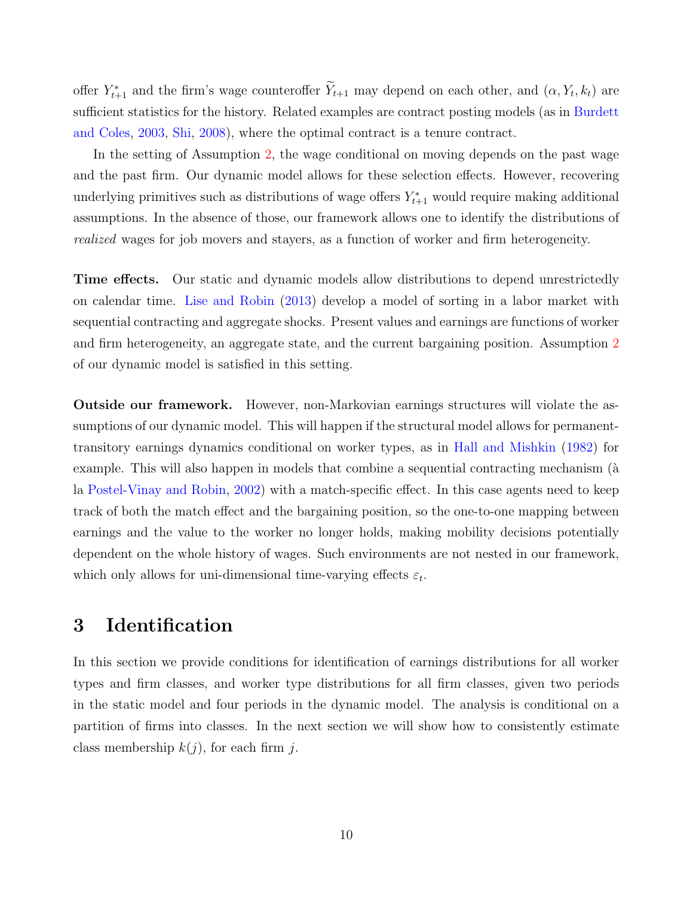offer  $Y_{t+1}^*$  and the firm's wage counteroffer  $Y_{t+1}$  may depend on each other, and  $(\alpha, Y_t, k_t)$  are sufficient statistics for the history. Related examples are contract posting models (as in [Burdett](#page-39-9) [and Coles,](#page-39-9) [2003,](#page-39-9) [Shi,](#page-42-8) [2008\)](#page-42-8), where the optimal contract is a tenure contract.

In the setting of Assumption [2,](#page-7-0) the wage conditional on moving depends on the past wage and the past firm. Our dynamic model allows for these selection effects. However, recovering underlying primitives such as distributions of wage offers  $Y_{t+1}^*$  would require making additional assumptions. In the absence of those, our framework allows one to identify the distributions of realized wages for job movers and stayers, as a function of worker and firm heterogeneity.

Time effects. Our static and dynamic models allow distributions to depend unrestrictedly on calendar time. [Lise and Robin](#page-42-9) [\(2013\)](#page-42-9) develop a model of sorting in a labor market with sequential contracting and aggregate shocks. Present values and earnings are functions of worker and firm heterogeneity, an aggregate state, and the current bargaining position. Assumption [2](#page-7-0) of our dynamic model is satisfied in this setting.

Outside our framework. However, non-Markovian earnings structures will violate the assumptions of our dynamic model. This will happen if the structural model allows for permanenttransitory earnings dynamics conditional on worker types, as in [Hall and Mishkin](#page-40-8) [\(1982\)](#page-40-8) for example. This will also happen in models that combine a sequential contracting mechanism (à la [Postel-Vinay and Robin,](#page-42-6) [2002\)](#page-42-6) with a match-specific effect. In this case agents need to keep track of both the match effect and the bargaining position, so the one-to-one mapping between earnings and the value to the worker no longer holds, making mobility decisions potentially dependent on the whole history of wages. Such environments are not nested in our framework, which only allows for uni-dimensional time-varying effects  $\varepsilon_t$ .

# <span id="page-9-0"></span>3 Identification

In this section we provide conditions for identification of earnings distributions for all worker types and firm classes, and worker type distributions for all firm classes, given two periods in the static model and four periods in the dynamic model. The analysis is conditional on a partition of firms into classes. In the next section we will show how to consistently estimate class membership  $k(j)$ , for each firm j.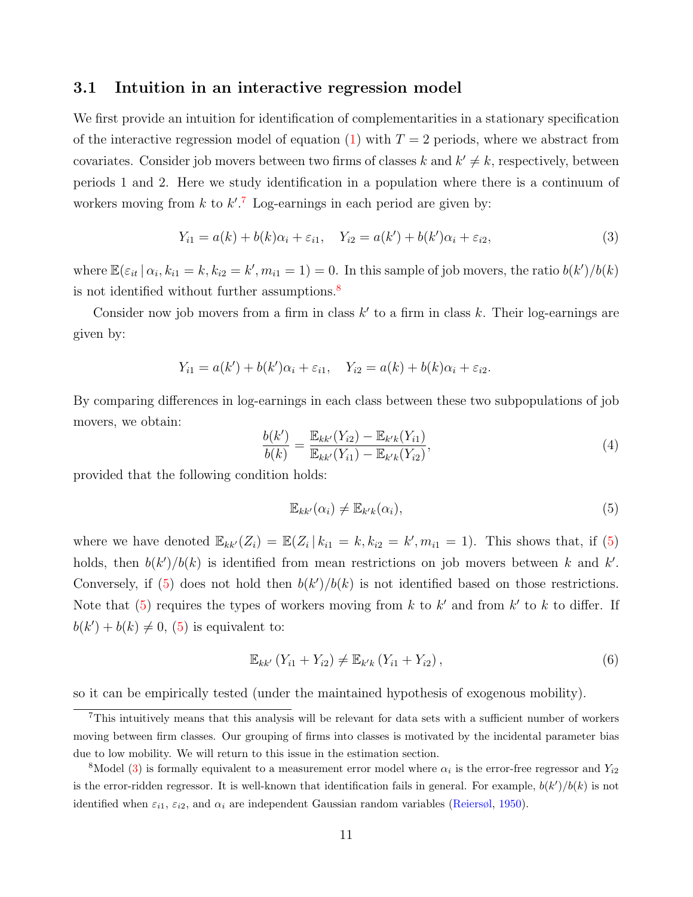#### 3.1 Intuition in an interactive regression model

We first provide an intuition for identification of complementarities in a stationary specification of the interactive regression model of equation [\(1\)](#page-6-2) with  $T = 2$  periods, where we abstract from covariates. Consider job movers between two firms of classes k and  $k' \neq k$ , respectively, between periods 1 and 2. Here we study identification in a population where there is a continuum of workers moving from k to  $k^{\prime}$ .<sup>[7](#page-10-0)</sup> Log-earnings in each period are given by:

<span id="page-10-3"></span>
$$
Y_{i1} = a(k) + b(k)\alpha_i + \varepsilon_{i1}, \quad Y_{i2} = a(k') + b(k')\alpha_i + \varepsilon_{i2}, \tag{3}
$$

where  $\mathbb{E}(\varepsilon_{it} | \alpha_i, k_{i1} = k, k_{i2} = k', m_{i1} = 1) = 0$ . In this sample of job movers, the ratio  $b(k')/b(k)$ is not identified without further assumptions.<sup>[8](#page-10-1)</sup>

Consider now job movers from a firm in class  $k'$  to a firm in class k. Their log-earnings are given by:

$$
Y_{i1} = a(k') + b(k')\alpha_i + \varepsilon_{i1}, \quad Y_{i2} = a(k) + b(k)\alpha_i + \varepsilon_{i2}.
$$

By comparing differences in log-earnings in each class between these two subpopulations of job movers, we obtain:

$$
\frac{b(k')}{b(k)} = \frac{\mathbb{E}_{kk'}(Y_{i2}) - \mathbb{E}_{k'k}(Y_{i1})}{\mathbb{E}_{kk'}(Y_{i1}) - \mathbb{E}_{k'k}(Y_{i2})},
$$
\n(4)

provided that the following condition holds:

<span id="page-10-2"></span>
$$
\mathbb{E}_{kk'}(\alpha_i) \neq \mathbb{E}_{k'k}(\alpha_i),\tag{5}
$$

where we have denoted  $\mathbb{E}_{kk'}(Z_i) = \mathbb{E}(Z_i | k_{i1} = k, k_{i2} = k', m_{i1} = 1)$ . This shows that, if [\(5\)](#page-10-2) holds, then  $b(k')/b(k)$  is identified from mean restrictions on job movers between k and k'. Conversely, if [\(5\)](#page-10-2) does not hold then  $b(k')/b(k)$  is not identified based on those restrictions. Note that  $(5)$  requires the types of workers moving from k to k' and from k' to k to differ. If  $b(k') + b(k) \neq 0$ , [\(5\)](#page-10-2) is equivalent to:

<span id="page-10-4"></span>
$$
\mathbb{E}_{kk'}(Y_{i1} + Y_{i2}) \neq \mathbb{E}_{k'k}(Y_{i1} + Y_{i2}), \tag{6}
$$

so it can be empirically tested (under the maintained hypothesis of exogenous mobility).

<span id="page-10-0"></span><sup>7</sup>This intuitively means that this analysis will be relevant for data sets with a sufficient number of workers moving between firm classes. Our grouping of firms into classes is motivated by the incidental parameter bias due to low mobility. We will return to this issue in the estimation section.

<span id="page-10-1"></span><sup>&</sup>lt;sup>8</sup>Model [\(3\)](#page-10-3) is formally equivalent to a measurement error model where  $\alpha_i$  is the error-free regressor and  $Y_{i2}$ is the error-ridden regressor. It is well-known that identification fails in general. For example,  $b(k')/b(k)$  is not identified when  $\varepsilon_{i1}$ ,  $\varepsilon_{i2}$ , and  $\alpha_i$  are independent Gaussian random variables [\(Reiersøl,](#page-42-10) [1950\)](#page-42-10).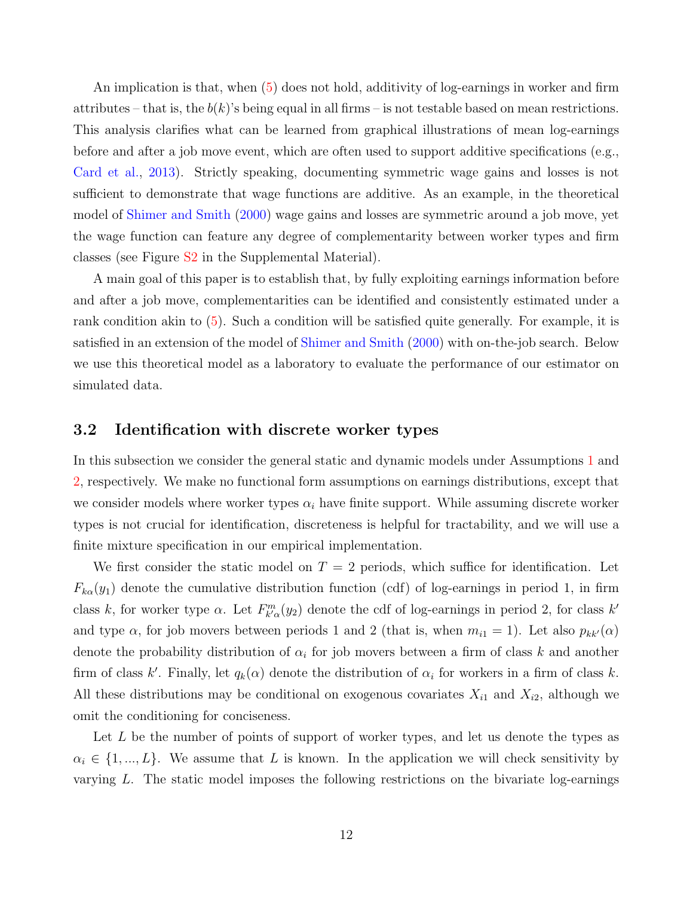An implication is that, when  $(5)$  does not hold, additivity of log-earnings in worker and firm attributes – that is, the  $b(k)$ 's being equal in all firms – is not testable based on mean restrictions. This analysis clarifies what can be learned from graphical illustrations of mean log-earnings before and after a job move event, which are often used to support additive specifications (e.g., [Card et al.,](#page-39-1) [2013\)](#page-39-1). Strictly speaking, documenting symmetric wage gains and losses is not sufficient to demonstrate that wage functions are additive. As an example, in the theoretical model of [Shimer and Smith](#page-42-0) [\(2000\)](#page-42-0) wage gains and losses are symmetric around a job move, yet the wage function can feature any degree of complementarity between worker types and firm classes (see Figure [S2](#page-0-0) in the Supplemental Material).

A main goal of this paper is to establish that, by fully exploiting earnings information before and after a job move, complementarities can be identified and consistently estimated under a rank condition akin to [\(5\)](#page-10-2). Such a condition will be satisfied quite generally. For example, it is satisfied in an extension of the model of [Shimer and Smith](#page-42-0) [\(2000\)](#page-42-0) with on-the-job search. Below we use this theoretical model as a laboratory to evaluate the performance of our estimator on simulated data.

#### 3.2 Identification with discrete worker types

In this subsection we consider the general static and dynamic models under Assumptions [1](#page-6-1) and [2,](#page-7-0) respectively. We make no functional form assumptions on earnings distributions, except that we consider models where worker types  $\alpha_i$  have finite support. While assuming discrete worker types is not crucial for identification, discreteness is helpful for tractability, and we will use a finite mixture specification in our empirical implementation.

We first consider the static model on  $T = 2$  periods, which suffice for identification. Let  $F_{k\alpha}(y_1)$  denote the cumulative distribution function (cdf) of log-earnings in period 1, in firm class k, for worker type  $\alpha$ . Let  $F_{k'\alpha}^m(y_2)$  denote the cdf of log-earnings in period 2, for class k' and type  $\alpha$ , for job movers between periods 1 and 2 (that is, when  $m_{i1} = 1$ ). Let also  $p_{kk'}(\alpha)$ denote the probability distribution of  $\alpha_i$  for job movers between a firm of class k and another firm of class k'. Finally, let  $q_k(\alpha)$  denote the distribution of  $\alpha_i$  for workers in a firm of class k. All these distributions may be conditional on exogenous covariates  $X_{i1}$  and  $X_{i2}$ , although we omit the conditioning for conciseness.

Let L be the number of points of support of worker types, and let us denote the types as  $\alpha_i \in \{1, ..., L\}$ . We assume that L is known. In the application we will check sensitivity by varying L. The static model imposes the following restrictions on the bivariate log-earnings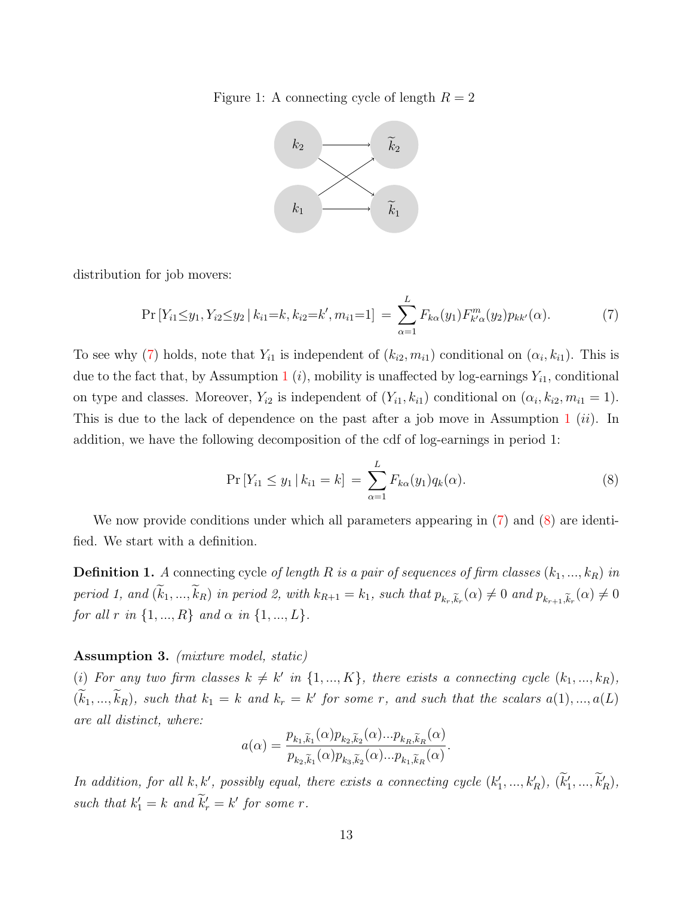Figure 1: A connecting cycle of length  $R = 2$ 

<span id="page-12-3"></span>

distribution for job movers:

<span id="page-12-0"></span>
$$
\Pr\left[Y_{i1}\leq y_1, Y_{i2}\leq y_2 \mid k_{i1}=k, k_{i2}=k', m_{i1}=1\right] = \sum_{\alpha=1}^{L} F_{k\alpha}(y_1) F_{k'\alpha}^m(y_2) p_{kk'}(\alpha). \tag{7}
$$

To see why [\(7\)](#page-12-0) holds, note that  $Y_{i1}$  is independent of  $(k_{i2}, m_{i1})$  conditional on  $(\alpha_i, k_{i1})$ . This is due to the fact that, by Assumption [1](#page-6-1) (i), mobility is unaffected by log-earnings  $Y_{i1}$ , conditional on type and classes. Moreover,  $Y_{i2}$  is independent of  $(Y_{i1}, k_{i1})$  conditional on  $(\alpha_i, k_{i2}, m_{i1} = 1)$ . This is due to the lack of dependence on the past after a job move in Assumption [1](#page-6-1)  $(ii)$ . In addition, we have the following decomposition of the cdf of log-earnings in period 1:

<span id="page-12-1"></span>
$$
\Pr[Y_{i1} \le y_1 \, | \, k_{i1} = k] = \sum_{\alpha=1}^{L} F_{k\alpha}(y_1) q_k(\alpha). \tag{8}
$$

We now provide conditions under which all parameters appearing in [\(7\)](#page-12-0) and [\(8\)](#page-12-1) are identified. We start with a definition.

**Definition 1.** A connecting cycle of length R is a pair of sequences of firm classes  $(k_1, ..., k_R)$  in period 1, and  $(k_1, ..., k_R)$  in period 2, with  $k_{R+1} = k_1$ , such that  $p_{k_r, \tilde{k}_r}(\alpha) \neq 0$  and  $p_{k_{r+1}, \tilde{k}_r}(\alpha) \neq 0$ for all r in  $\{1, ..., R\}$  and  $\alpha$  in  $\{1, ..., L\}$ .

<span id="page-12-2"></span>Assumption 3. *(mixture model, static)* 

(i) For any two firm classes  $k \neq k'$  in  $\{1, ..., K\}$ , there exists a connecting cycle  $(k_1, ..., k_R)$ ,  $(k_1, ..., k_R)$ , such that  $k_1 = k$  and  $k_r = k'$  for some r, and such that the scalars  $a(1), ..., a(L)$ are all distinct, where:

$$
a(\alpha) = \frac{p_{k_1,\widetilde{k}_1}(\alpha)p_{k_2,\widetilde{k}_2}(\alpha) \dots p_{k_R,\widetilde{k}_R}(\alpha)}{p_{k_2,\widetilde{k}_1}(\alpha)p_{k_3,\widetilde{k}_2}(\alpha) \dots p_{k_1,\widetilde{k}_R}(\alpha)}.
$$

In addition, for all k, k', possibly equal, there exists a connecting cycle  $(k'_1, ..., k'_R)$ ,  $(k'_1, ..., k'_R)$ , such that  $k'_1 = k$  and  $k'_r = k'$  for some r.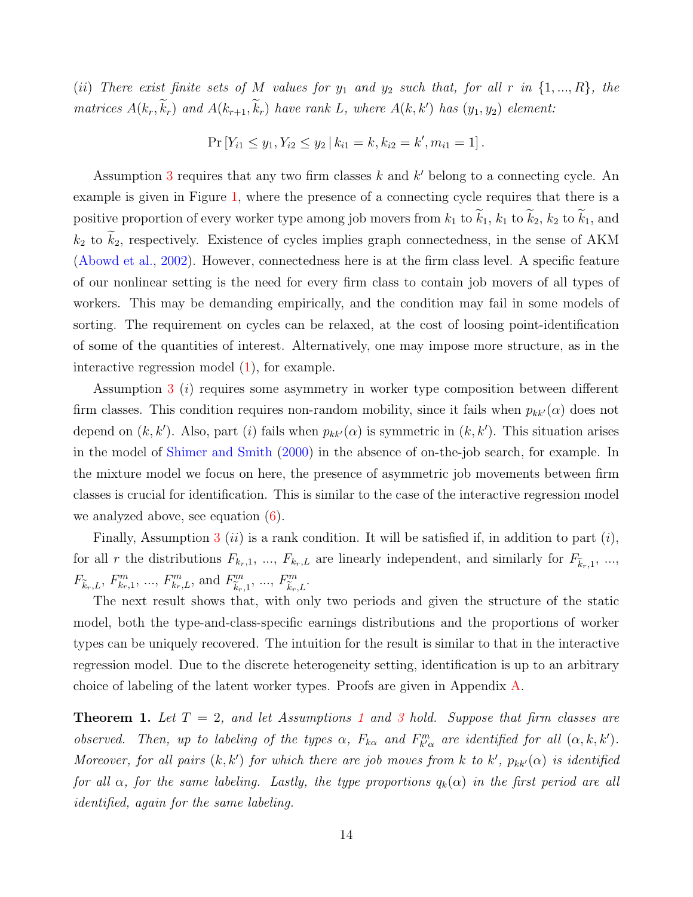(ii) There exist finite sets of M values for  $y_1$  and  $y_2$  such that, for all r in  $\{1, ..., R\}$ , the matrices  $A(k_r, \tilde{k}_r)$  and  $A(k_{r+1}, \tilde{k}_r)$  have rank L, where  $A(k, k')$  has  $(y_1, y_2)$  element:

$$
Pr[Y_{i1} \leq y_1, Y_{i2} \leq y_2 | k_{i1} = k, k_{i2} = k', m_{i1} = 1].
$$

Assumption [3](#page-12-2) requires that any two firm classes  $k$  and  $k'$  belong to a connecting cycle. An example is given in Figure [1,](#page-12-3) where the presence of a connecting cycle requires that there is a positive proportion of every worker type among job movers from  $k_1$  to  $\widetilde{k}_1$ ,  $k_1$  to  $\widetilde{k}_2$ ,  $k_2$  to  $\widetilde{k}_1$ , and  $k_2$  to  $\widetilde{k}_2$ , respectively. Existence of cycles implies graph connectedness, in the sense of AKM [\(Abowd et al.,](#page-38-7) [2002\)](#page-38-7). However, connectedness here is at the firm class level. A specific feature of our nonlinear setting is the need for every firm class to contain job movers of all types of workers. This may be demanding empirically, and the condition may fail in some models of sorting. The requirement on cycles can be relaxed, at the cost of loosing point-identification of some of the quantities of interest. Alternatively, one may impose more structure, as in the interactive regression model [\(1\)](#page-6-2), for example.

Assumption [3](#page-12-2) (i) requires some asymmetry in worker type composition between different firm classes. This condition requires non-random mobility, since it fails when  $p_{kk'}(\alpha)$  does not depend on  $(k, k')$ . Also, part (i) fails when  $p_{kk'}(α)$  is symmetric in  $(k, k')$ . This situation arises in the model of [Shimer and Smith](#page-42-0) [\(2000\)](#page-42-0) in the absence of on-the-job search, for example. In the mixture model we focus on here, the presence of asymmetric job movements between firm classes is crucial for identification. This is similar to the case of the interactive regression model we analyzed above, see equation [\(6\)](#page-10-4).

Finally, Assumption [3](#page-12-2) (*ii*) is a rank condition. It will be satisfied if, in addition to part  $(i)$ , for all r the distributions  $F_{k_r,1}, ..., F_{k_r,L}$  are linearly independent, and similarly for  $F_{\widetilde{k}_r,1}, ...,$  $F_{\tilde{k}_r,L}$ ,  $F_{k_r,1}^m$ , ...,  $F_{k_r,L}^m$ , and  $F_{\tilde{k}_r}^m$  $k_r,1$  $, \ldots, F_{\widetilde{k}_r,L}^m.$ 

The next result shows that, with only two periods and given the structure of the static model, both the type-and-class-specific earnings distributions and the proportions of worker types can be uniquely recovered. The intuition for the result is similar to that in the interactive regression model. Due to the discrete heterogeneity setting, identification is up to an arbitrary choice of labeling of the latent worker types. Proofs are given in Appendix [A.](#page-44-0)

<span id="page-13-0"></span>**Theorem [1](#page-6-1).** Let  $T = 2$ , and let Assumptions 1 and [3](#page-12-2) hold. Suppose that firm classes are observed. Then, up to labeling of the types  $\alpha$ ,  $F_{k\alpha}$  and  $F_{k'\alpha}^m$  are identified for all  $(\alpha, k, k')$ . Moreover, for all pairs  $(k, k')$  for which there are job moves from k to k',  $p_{kk'}(\alpha)$  is identified for all  $\alpha$ , for the same labeling. Lastly, the type proportions  $q_k(\alpha)$  in the first period are all identified, again for the same labeling.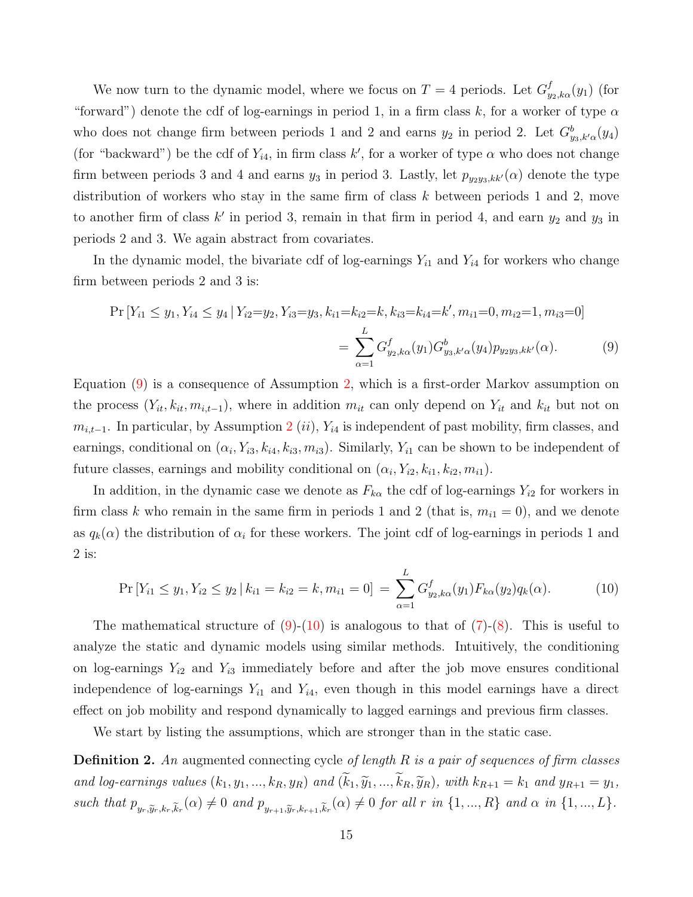We now turn to the dynamic model, where we focus on  $T = 4$  periods. Let  $G_{y_2,k\alpha}^f(y_1)$  (for "forward") denote the cdf of log-earnings in period 1, in a firm class k, for a worker of type  $\alpha$ who does not change firm between periods 1 and 2 and earns  $y_2$  in period 2. Let  $G_{y_3,k'\alpha}^b(y_4)$ (for "backward") be the cdf of  $Y_{i4}$ , in firm class k', for a worker of type  $\alpha$  who does not change firm between periods 3 and 4 and earns  $y_3$  in period 3. Lastly, let  $p_{y_2y_3,kk'}(\alpha)$  denote the type distribution of workers who stay in the same firm of class k between periods 1 and 2, move to another firm of class  $k'$  in period 3, remain in that firm in period 4, and earn  $y_2$  and  $y_3$  in periods 2 and 3. We again abstract from covariates.

In the dynamic model, the bivariate cdf of log-earnings  $Y_{i1}$  and  $Y_{i4}$  for workers who change firm between periods 2 and 3 is:

<span id="page-14-0"></span>
$$
\Pr\left[Y_{i1} \leq y_1, Y_{i4} \leq y_4 \mid Y_{i2} = y_2, Y_{i3} = y_3, k_{i1} = k_{i2} = k, k_{i3} = k_{i4} = k', m_{i1} = 0, m_{i2} = 1, m_{i3} = 0\right]
$$
\n
$$
= \sum_{\alpha=1}^{L} G_{y_2,k\alpha}^f(y_1) G_{y_3,k'\alpha}^b(y_4) p_{y_2y_3,kk'}(\alpha). \tag{9}
$$

Equation [\(9\)](#page-14-0) is a consequence of Assumption [2,](#page-7-0) which is a first-order Markov assumption on the process  $(Y_{it}, k_{it}, m_{i,t-1})$ , where in addition  $m_{it}$  can only depend on  $Y_{it}$  and  $k_{it}$  but not on  $m_{i,t-1}$ . In particular, by Assumption [2](#page-7-0) (ii), Y<sub>i4</sub> is independent of past mobility, firm classes, and earnings, conditional on  $(\alpha_i, Y_{i3}, k_{i4}, k_{i3}, m_{i3})$ . Similarly,  $Y_{i1}$  can be shown to be independent of future classes, earnings and mobility conditional on  $(\alpha_i, Y_{i2}, k_{i1}, k_{i2}, m_{i1})$ .

In addition, in the dynamic case we denote as  $F_{k\alpha}$  the cdf of log-earnings  $Y_{i2}$  for workers in firm class k who remain in the same firm in periods 1 and 2 (that is,  $m_{i1} = 0$ ), and we denote as  $q_k(\alpha)$  the distribution of  $\alpha_i$  for these workers. The joint cdf of log-earnings in periods 1 and 2 is:

<span id="page-14-1"></span>
$$
\Pr\left[Y_{i1} \le y_1, Y_{i2} \le y_2 \mid k_{i1} = k_{i2} = k, m_{i1} = 0\right] = \sum_{\alpha=1}^{L} G_{y_2,k\alpha}^f(y_1) F_{k\alpha}(y_2) q_k(\alpha). \tag{10}
$$

The mathematical structure of  $(9)-(10)$  $(9)-(10)$  $(9)-(10)$  is analogous to that of  $(7)-(8)$  $(7)-(8)$  $(7)-(8)$ . This is useful to analyze the static and dynamic models using similar methods. Intuitively, the conditioning on log-earnings  $Y_{i2}$  and  $Y_{i3}$  immediately before and after the job move ensures conditional independence of log-earnings  $Y_{i1}$  and  $Y_{i4}$ , even though in this model earnings have a direct effect on job mobility and respond dynamically to lagged earnings and previous firm classes.

We start by listing the assumptions, which are stronger than in the static case.

**Definition 2.** An augmented connecting cycle of length  $R$  is a pair of sequences of firm classes and log-earnings values  $(k_1, y_1, ..., k_R, y_R)$  and  $(\widetilde{k}_1, \widetilde{y}_1, ..., \widetilde{k}_R, \widetilde{y}_R)$ , with  $k_{R+1} = k_1$  and  $y_{R+1} = y_1$ , such that  $p_{y_r, \widetilde{y}_r, k_r, \widetilde{k}_r}(\alpha) \neq 0$  and  $p_{y_{r+1}, \widetilde{y}_r, k_{r+1}, \widetilde{k}_r}(\alpha) \neq 0$  for all r in  $\{1, ..., R\}$  and  $\alpha$  in  $\{1, ..., L\}$ .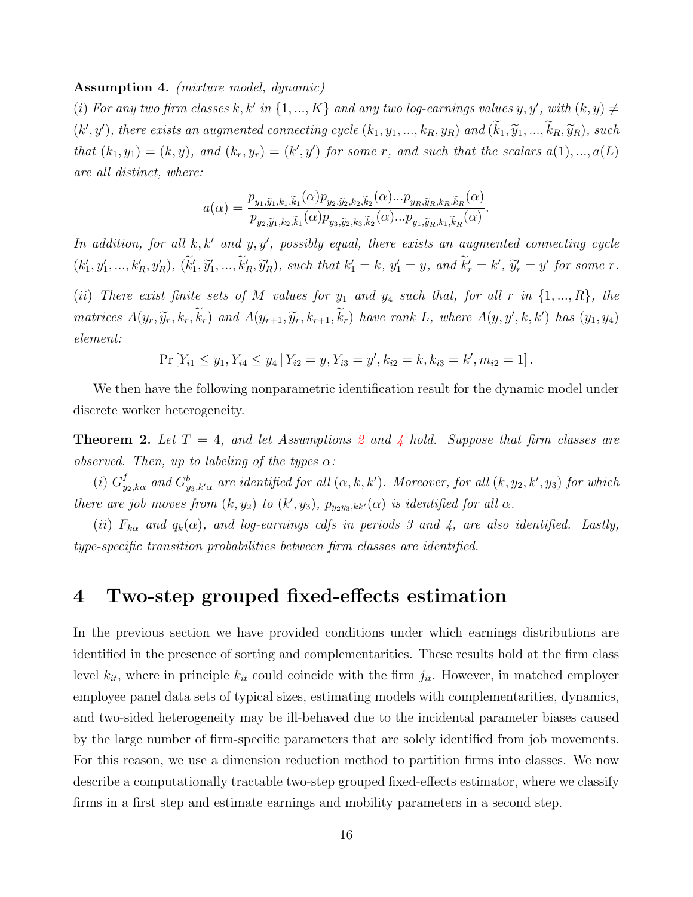#### <span id="page-15-1"></span>Assumption 4. (mixture model, dynamic)

(i) For any two firm classes k, k' in  $\{1, ..., K\}$  and any two log-earnings values y, y', with  $(k, y) \neq$  $(k', y')$ , there exists an augmented connecting cycle  $(k_1, y_1, ..., k_R, y_R)$  and  $(\tilde{k}_1, \tilde{y}_1, ..., \tilde{k}_R, \tilde{y}_R)$ , such that  $(k_1, y_1) = (k, y)$ , and  $(k_r, y_r) = (k', y')$  for some r, and such that the scalars  $a(1), ..., a(L)$ are all distinct, where:

$$
a(\alpha) = \frac{p_{y_1,\widetilde{y}_1,k_1,\widetilde{k}_1}(\alpha)p_{y_2,\widetilde{y}_2,k_2,\widetilde{k}_2}(\alpha)...p_{y_R,\widetilde{y}_R,k_R,\widetilde{k}_R}(\alpha)}{p_{y_2,\widetilde{y}_1,k_2,\widetilde{k}_1}(\alpha)p_{y_3,\widetilde{y}_2,k_3,\widetilde{k}_2}(\alpha)...p_{y_1,\widetilde{y}_R,k_1,\widetilde{k}_R}(\alpha)}.
$$

In addition, for all  $k, k'$  and  $y, y'$ , possibly equal, there exists an augmented connecting cycle  $(k'_1, y'_1, ..., k'_R, y'_R), (\tilde{k}'_1, \tilde{y}'_1, ..., \tilde{k}'_R, \tilde{y}'_R)$ , such that  $k'_1 = k$ ,  $y'_1 = y$ , and  $\tilde{k}'_r = k'$ ,  $\tilde{y}'_r = y'$  for some r.

(ii) There exist finite sets of M values for  $y_1$  and  $y_4$  such that, for all r in  $\{1, ..., R\}$ , the matrices  $A(y_r, \tilde{y}_r, k_r, k_r)$  and  $A(y_{r+1}, \tilde{y}_r, k_{r+1}, k_r)$  have rank L, where  $A(y, y', k, k')$  has  $(y_1, y_4)$ element:

$$
Pr[Y_{i1} \le y_1, Y_{i4} \le y_4 | Y_{i2} = y, Y_{i3} = y', k_{i2} = k, k_{i3} = k', m_{i2} = 1].
$$

We then have the following nonparametric identification result for the dynamic model under discrete worker heterogeneity.

<span id="page-15-2"></span>**Theorem [2](#page-7-0).** Let  $T = 4$  $T = 4$ , and let Assumptions 2 and 4 hold. Suppose that firm classes are observed. Then, up to labeling of the types  $\alpha$ :

(i)  $G_{y_2,k\alpha}^f$  and  $G_{y_3,k'\alpha}^b$  are identified for all  $(\alpha, k, k')$ . Moreover, for all  $(k, y_2, k', y_3)$  for which there are job moves from  $(k, y_2)$  to  $(k', y_3)$ ,  $p_{y_2y_3, kk'}(\alpha)$  is identified for all  $\alpha$ .

(ii)  $F_{k\alpha}$  and  $q_k(\alpha)$ , and log-earnings cdfs in periods 3 and 4, are also identified. Lastly, type-specific transition probabilities between firm classes are identified.

### <span id="page-15-0"></span>4 Two-step grouped fixed-effects estimation

In the previous section we have provided conditions under which earnings distributions are identified in the presence of sorting and complementarities. These results hold at the firm class level  $k_{it}$ , where in principle  $k_{it}$  could coincide with the firm  $j_{it}$ . However, in matched employer employee panel data sets of typical sizes, estimating models with complementarities, dynamics, and two-sided heterogeneity may be ill-behaved due to the incidental parameter biases caused by the large number of firm-specific parameters that are solely identified from job movements. For this reason, we use a dimension reduction method to partition firms into classes. We now describe a computationally tractable two-step grouped fixed-effects estimator, where we classify firms in a first step and estimate earnings and mobility parameters in a second step.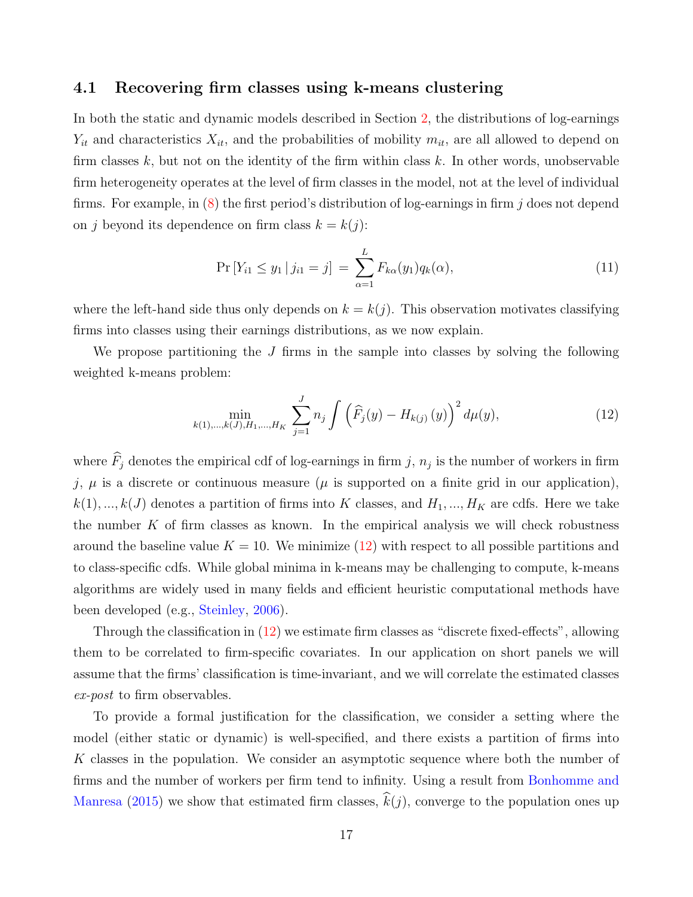#### 4.1 Recovering firm classes using k-means clustering

In both the static and dynamic models described in Section [2,](#page-4-0) the distributions of log-earnings  $Y_{it}$  and characteristics  $X_{it}$ , and the probabilities of mobility  $m_{it}$ , are all allowed to depend on firm classes  $k$ , but not on the identity of the firm within class  $k$ . In other words, unobservable firm heterogeneity operates at the level of firm classes in the model, not at the level of individual firms. For example, in  $(8)$  the first period's distribution of log-earnings in firm j does not depend on j beyond its dependence on firm class  $k = k(j)$ :

$$
\Pr[Y_{i1} \le y_1 | j_{i1} = j] = \sum_{\alpha=1}^{L} F_{k\alpha}(y_1) q_k(\alpha), \tag{11}
$$

where the left-hand side thus only depends on  $k = k(j)$ . This observation motivates classifying firms into classes using their earnings distributions, as we now explain.

We propose partitioning the  $J$  firms in the sample into classes by solving the following weighted k-means problem:

<span id="page-16-0"></span>
$$
\min_{k(1),\dots,k(J),H_1,\dots,H_K} \sum_{j=1}^J n_j \int \left(\widehat{F}_j(y) - H_{k(j)}(y)\right)^2 d\mu(y),\tag{12}
$$

where  $F_j$  denotes the empirical cdf of log-earnings in firm  $j$ ,  $n_j$  is the number of workers in firm j,  $\mu$  is a discrete or continuous measure ( $\mu$  is supported on a finite grid in our application),  $k(1), ..., k(J)$  denotes a partition of firms into K classes, and  $H_1, ..., H_K$  are cdfs. Here we take the number K of firm classes as known. In the empirical analysis we will check robustness around the baseline value  $K = 10$ . We minimize  $(12)$  with respect to all possible partitions and to class-specific cdfs. While global minima in k-means may be challenging to compute, k-means algorithms are widely used in many fields and efficient heuristic computational methods have been developed (e.g., [Steinley,](#page-43-1) [2006\)](#page-43-1).

Through the classification in [\(12\)](#page-16-0) we estimate firm classes as "discrete fixed-effects", allowing them to be correlated to firm-specific covariates. In our application on short panels we will assume that the firms' classification is time-invariant, and we will correlate the estimated classes ex-post to firm observables.

To provide a formal justification for the classification, we consider a setting where the model (either static or dynamic) is well-specified, and there exists a partition of firms into K classes in the population. We consider an asymptotic sequence where both the number of firms and the number of workers per firm tend to infinity. Using a result from [Bonhomme and](#page-39-3) [Manresa](#page-39-3) [\(2015\)](#page-39-3) we show that estimated firm classes,  $\hat{k}(j)$ , converge to the population ones up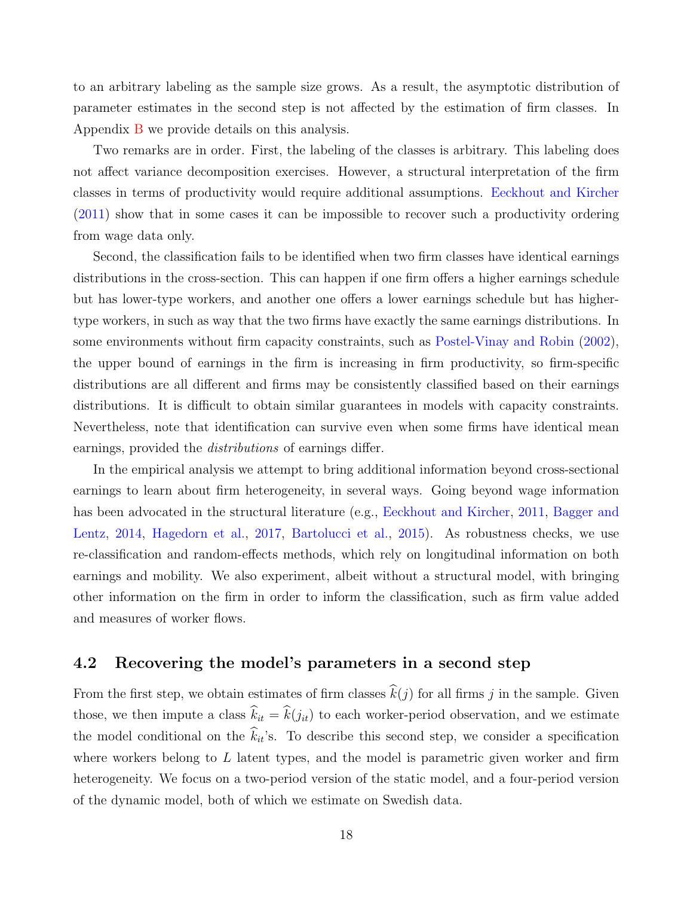to an arbitrary labeling as the sample size grows. As a result, the asymptotic distribution of parameter estimates in the second step is not affected by the estimation of firm classes. In Appendix [B](#page-47-0) we provide details on this analysis.

Two remarks are in order. First, the labeling of the classes is arbitrary. This labeling does not affect variance decomposition exercises. However, a structural interpretation of the firm classes in terms of productivity would require additional assumptions. [Eeckhout and Kircher](#page-40-0) [\(2011\)](#page-40-0) show that in some cases it can be impossible to recover such a productivity ordering from wage data only.

Second, the classification fails to be identified when two firm classes have identical earnings distributions in the cross-section. This can happen if one firm offers a higher earnings schedule but has lower-type workers, and another one offers a lower earnings schedule but has highertype workers, in such as way that the two firms have exactly the same earnings distributions. In some environments without firm capacity constraints, such as [Postel-Vinay and Robin](#page-42-6) [\(2002\)](#page-42-6), the upper bound of earnings in the firm is increasing in firm productivity, so firm-specific distributions are all different and firms may be consistently classified based on their earnings distributions. It is difficult to obtain similar guarantees in models with capacity constraints. Nevertheless, note that identification can survive even when some firms have identical mean earnings, provided the *distributions* of earnings differ.

In the empirical analysis we attempt to bring additional information beyond cross-sectional earnings to learn about firm heterogeneity, in several ways. Going beyond wage information has been advocated in the structural literature (e.g., [Eeckhout and Kircher,](#page-40-0) [2011,](#page-40-0) [Bagger and](#page-38-1) [Lentz,](#page-38-1) [2014,](#page-38-1) [Hagedorn et al.,](#page-40-4) [2017,](#page-40-4) [Bartolucci et al.,](#page-38-8) [2015\)](#page-38-8). As robustness checks, we use re-classification and random-effects methods, which rely on longitudinal information on both earnings and mobility. We also experiment, albeit without a structural model, with bringing other information on the firm in order to inform the classification, such as firm value added and measures of worker flows.

### 4.2 Recovering the model's parameters in a second step

From the first step, we obtain estimates of firm classes  $\hat{k}(j)$  for all firms j in the sample. Given those, we then impute a class  $\hat{k}_{it} = \hat{k}(j_{it})$  to each worker-period observation, and we estimate the model conditional on the  $\hat{k}_{it}$ 's. To describe this second step, we consider a specification where workers belong to  $L$  latent types, and the model is parametric given worker and firm heterogeneity. We focus on a two-period version of the static model, and a four-period version of the dynamic model, both of which we estimate on Swedish data.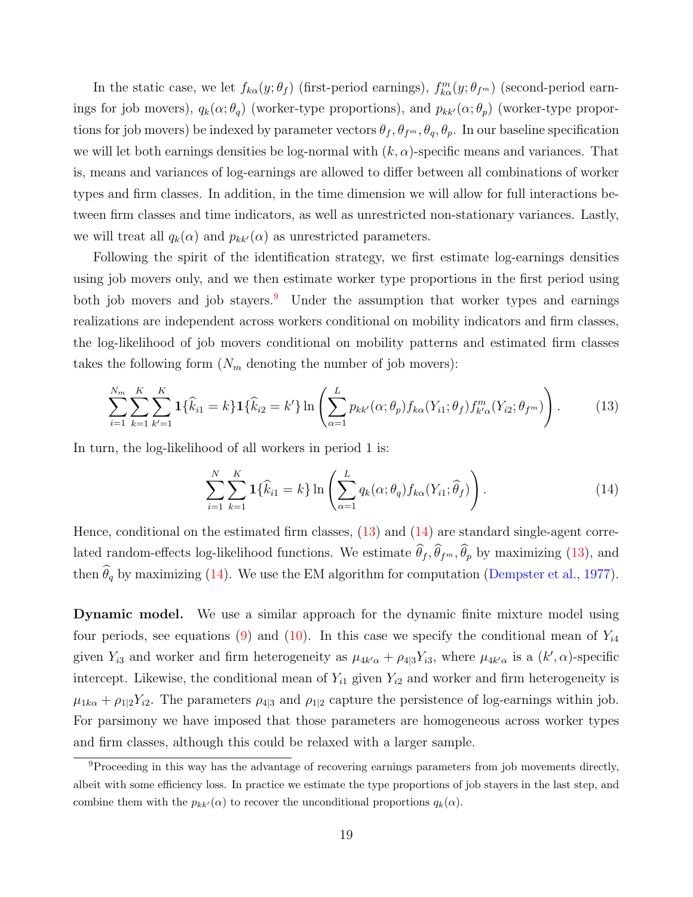In the static case, we let  $f_{k\alpha}(y;\theta_f)$  (first-period earnings),  $f_{k\alpha}^m(y;\theta_{f^m})$  (second-period earnings for job movers),  $q_k(\alpha; \theta_q)$  (worker-type proportions), and  $p_{kk'}(\alpha; \theta_p)$  (worker-type proportions for job movers) be indexed by parameter vectors  $\theta_f$ ,  $\theta_f$ ,  $\theta_q$ ,  $\theta_p$ . In our baseline specification we will let both earnings densities be log-normal with  $(k, \alpha)$ -specific means and variances. That is, means and variances of log-earnings are allowed to differ between all combinations of worker types and firm classes. In addition, in the time dimension we will allow for full interactions between firm classes and time indicators, as well as unrestricted non-stationary variances. Lastly, we will treat all  $q_k(\alpha)$  and  $p_{kk'}(\alpha)$  as unrestricted parameters.

Following the spirit of the identification strategy, we first estimate log-earnings densities using job movers only, and we then estimate worker type proportions in the first period using both job movers and job stayers.<sup>[9](#page-18-0)</sup> Under the assumption that worker types and earnings realizations are independent across workers conditional on mobility indicators and firm classes, the log-likelihood of job movers conditional on mobility patterns and estimated firm classes takes the following form  $(N_m$  denoting the number of job movers):

$$
\sum_{i=1}^{N_m} \sum_{k=1}^{K} \sum_{k'=1}^{K} \mathbf{1} \{\hat{k}_{i1} = k\} \mathbf{1} \{\hat{k}_{i2} = k'\} \ln \left( \sum_{\alpha=1}^{L} p_{kk'}(\alpha; \theta_p) f_{k\alpha}(Y_{i1}; \theta_f) f_{k'\alpha}^m(Y_{i2}; \theta_{fm}) \right).
$$
 (13)

In turn, the log-likelihood of all workers in period 1 is:

<span id="page-18-2"></span><span id="page-18-1"></span>
$$
\sum_{i=1}^{N} \sum_{k=1}^{K} \mathbf{1} \{\hat{k}_{i1} = k\} \ln \left( \sum_{\alpha=1}^{L} q_k(\alpha; \theta_q) f_{k\alpha}(Y_{i1}; \hat{\theta}_f) \right).
$$
 (14)

Hence, conditional on the estimated firm classes,  $(13)$  and  $(14)$  are standard single-agent correlated random-effects log-likelihood functions. We estimate  $\hat{\theta}_f$ ,  $\hat{\theta}_f$ <sub>m</sub>,  $\hat{\theta}_p$  by maximizing [\(13\)](#page-18-1), and then  $\hat{\theta}_q$  by maximizing [\(14\)](#page-18-2). We use the EM algorithm for computation [\(Dempster et al.,](#page-40-9) [1977\)](#page-40-9).

**Dynamic model.** We use a similar approach for the dynamic finite mixture model using four periods, see equations [\(9\)](#page-14-0) and [\(10\)](#page-14-1). In this case we specify the conditional mean of  $Y_{i4}$ given  $Y_{i3}$  and worker and firm heterogeneity as  $\mu_{4k'\alpha} + \rho_{4|3}Y_{i3}$ , where  $\mu_{4k'\alpha}$  is a  $(k', \alpha)$ -specific intercept. Likewise, the conditional mean of  $Y_{i1}$  given  $Y_{i2}$  and worker and firm heterogeneity is  $\mu_{1k\alpha} + \rho_{1|2}Y_{i2}$ . The parameters  $\rho_{4|3}$  and  $\rho_{1|2}$  capture the persistence of log-earnings within job. For parsimony we have imposed that those parameters are homogeneous across worker types and firm classes, although this could be relaxed with a larger sample.

<span id="page-18-0"></span> $9P$ roceeding in this way has the advantage of recovering earnings parameters from job movements directly, albeit with some efficiency loss. In practice we estimate the type proportions of job stayers in the last step, and combine them with the  $p_{kk'}(\alpha)$  to recover the unconditional proportions  $q_k(\alpha)$ .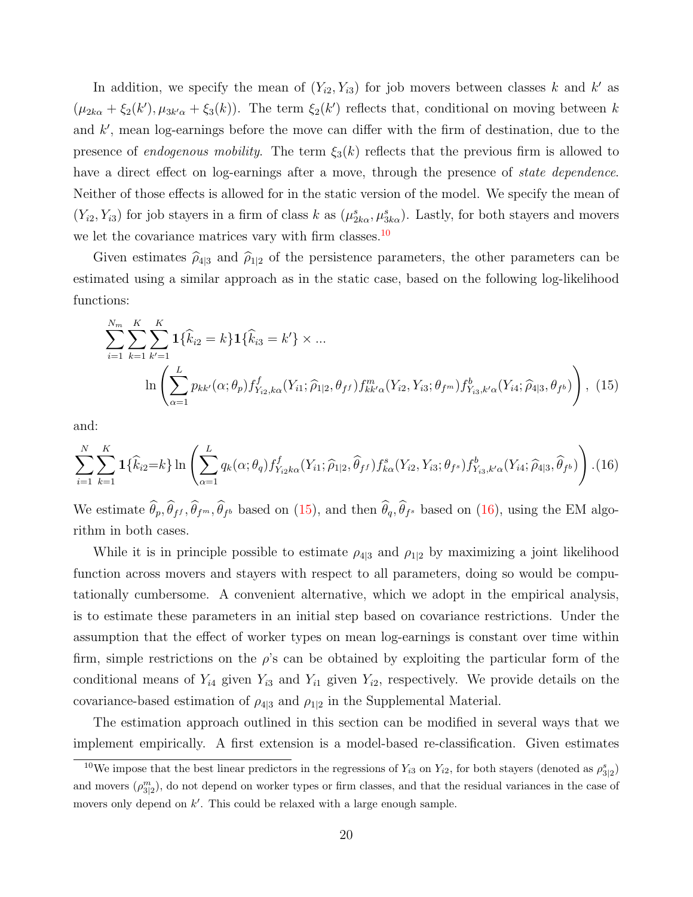In addition, we specify the mean of  $(Y_{i2}, Y_{i3})$  for job movers between classes k and k' as  $(\mu_{2k\alpha} + \xi_2(k'), \mu_{3k'\alpha} + \xi_3(k)).$  The term  $\xi_2(k')$  reflects that, conditional on moving between k and  $k'$ , mean log-earnings before the move can differ with the firm of destination, due to the presence of *endogenous mobility*. The term  $\xi_3(k)$  reflects that the previous firm is allowed to have a direct effect on log-earnings after a move, through the presence of *state dependence*. Neither of those effects is allowed for in the static version of the model. We specify the mean of  $(Y_{i2}, Y_{i3})$  for job stayers in a firm of class k as  $(\mu_{2k\alpha}^s, \mu_{3k\alpha}^s)$ . Lastly, for both stayers and movers we let the covariance matrices vary with firm classes.<sup>[10](#page-19-0)</sup>

Given estimates  $\hat{\rho}_{4|3}$  and  $\hat{\rho}_{1|2}$  of the persistence parameters, the other parameters can be estimated using a similar approach as in the static case, based on the following log-likelihood functions:

<span id="page-19-1"></span>
$$
\sum_{i=1}^{N_m} \sum_{k=1}^{K} \sum_{k'=1}^{K} \mathbf{1} \{\hat{k}_{i2} = k\} \mathbf{1} \{\hat{k}_{i3} = k'\} \times \dots
$$
\n
$$
\ln \left( \sum_{\alpha=1}^{L} p_{kk'}(\alpha; \theta_p) f_{Y_{i2}, k\alpha}^f(Y_{i1}; \hat{\rho}_{1|2}, \theta_{f}) f_{kk'\alpha}^m(Y_{i2}, Y_{i3}; \theta_{f^m}) f_{Y_{i3}, k'\alpha}^b(Y_{i4}; \hat{\rho}_{4|3}, \theta_{f^b}) \right), (15)
$$

and:

<span id="page-19-2"></span>
$$
\sum_{i=1}^{N} \sum_{k=1}^{K} \mathbf{1} \{\hat{k}_{i2} = k\} \ln \left( \sum_{\alpha=1}^{L} q_k(\alpha; \theta_q) f_{Y_{i2}k\alpha}^f(Y_{i1}; \hat{\rho}_{1|2}, \hat{\theta}_{f}) f_{k\alpha}^s(Y_{i2}, Y_{i3}; \theta_{f^s}) f_{Y_{i3},k'\alpha}^b(Y_{i4}; \hat{\rho}_{4|3}, \hat{\theta}_{f^b}) \right). (16)
$$

We estimate  $\theta_p$ ,  $\theta_{ff}$ ,  $\theta_{fm}$ ,  $\theta_{f}$  based on [\(15\)](#page-19-1), and then  $\theta_q$ ,  $\theta_{f}$  based on [\(16\)](#page-19-2), using the EM algorithm in both cases.

While it is in principle possible to estimate  $\rho_{4|3}$  and  $\rho_{1|2}$  by maximizing a joint likelihood function across movers and stayers with respect to all parameters, doing so would be computationally cumbersome. A convenient alternative, which we adopt in the empirical analysis, is to estimate these parameters in an initial step based on covariance restrictions. Under the assumption that the effect of worker types on mean log-earnings is constant over time within firm, simple restrictions on the  $\rho$ 's can be obtained by exploiting the particular form of the conditional means of  $Y_{i4}$  given  $Y_{i3}$  and  $Y_{i1}$  given  $Y_{i2}$ , respectively. We provide details on the covariance-based estimation of  $\rho_{4|3}$  and  $\rho_{1|2}$  in the Supplemental Material.

The estimation approach outlined in this section can be modified in several ways that we implement empirically. A first extension is a model-based re-classification. Given estimates

<span id="page-19-0"></span><sup>&</sup>lt;sup>10</sup>We impose that the best linear predictors in the regressions of  $Y_{i3}$  on  $Y_{i2}$ , for both stayers (denoted as  $\rho_{3|2}^s$ ) and movers  $(\rho_{3|2}^m)$ , do not depend on worker types or firm classes, and that the residual variances in the case of movers only depend on  $k'$ . This could be relaxed with a large enough sample.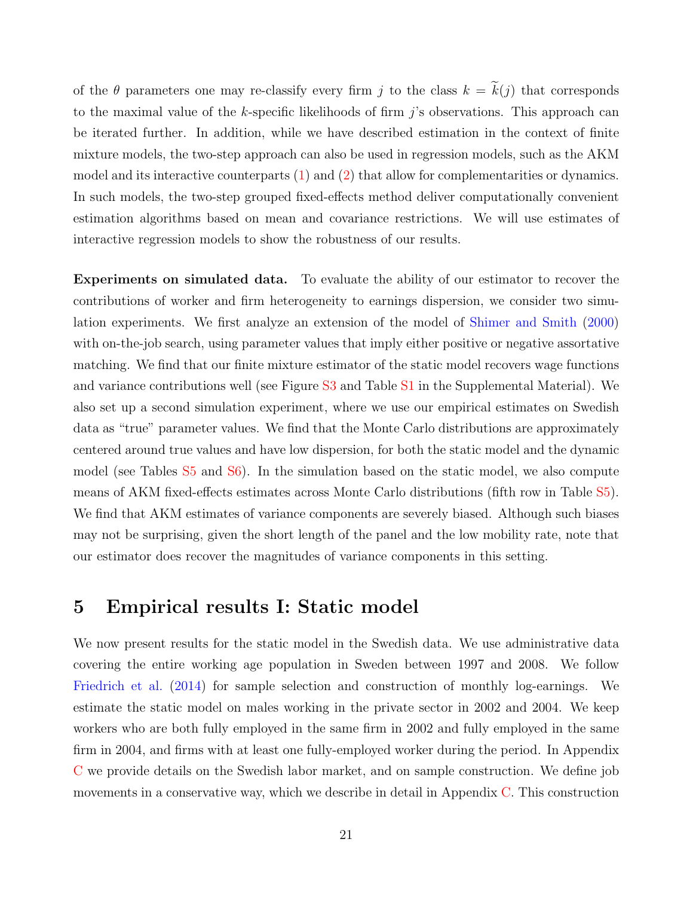of the  $\theta$  parameters one may re-classify every firm j to the class  $k = \tilde{k}(j)$  that corresponds to the maximal value of the k-specific likelihoods of firm  $j$ 's observations. This approach can be iterated further. In addition, while we have described estimation in the context of finite mixture models, the two-step approach can also be used in regression models, such as the AKM model and its interactive counterparts  $(1)$  and  $(2)$  that allow for complementarities or dynamics. In such models, the two-step grouped fixed-effects method deliver computationally convenient estimation algorithms based on mean and covariance restrictions. We will use estimates of interactive regression models to show the robustness of our results.

Experiments on simulated data. To evaluate the ability of our estimator to recover the contributions of worker and firm heterogeneity to earnings dispersion, we consider two simulation experiments. We first analyze an extension of the model of [Shimer and Smith](#page-42-0) [\(2000\)](#page-42-0) with on-the-job search, using parameter values that imply either positive or negative assortative matching. We find that our finite mixture estimator of the static model recovers wage functions and variance contributions well (see Figure [S3](#page-0-0) and Table [S1](#page-0-0) in the Supplemental Material). We also set up a second simulation experiment, where we use our empirical estimates on Swedish data as "true" parameter values. We find that the Monte Carlo distributions are approximately centered around true values and have low dispersion, for both the static model and the dynamic model (see Tables [S5](#page-0-0) and [S6\)](#page-0-0). In the simulation based on the static model, we also compute means of AKM fixed-effects estimates across Monte Carlo distributions (fifth row in Table [S5\)](#page-0-0). We find that AKM estimates of variance components are severely biased. Although such biases may not be surprising, given the short length of the panel and the low mobility rate, note that our estimator does recover the magnitudes of variance components in this setting.

### <span id="page-20-0"></span>5 Empirical results I: Static model

We now present results for the static model in the Swedish data. We use administrative data covering the entire working age population in Sweden between 1997 and 2008. We follow [Friedrich et al.](#page-40-10) [\(2014\)](#page-40-10) for sample selection and construction of monthly log-earnings. We estimate the static model on males working in the private sector in 2002 and 2004. We keep workers who are both fully employed in the same firm in 2002 and fully employed in the same firm in 2004, and firms with at least one fully-employed worker during the period. In Appendix [C](#page-49-0) we provide details on the Swedish labor market, and on sample construction. We define job movements in a conservative way, which we describe in detail in Appendix [C.](#page-49-0) This construction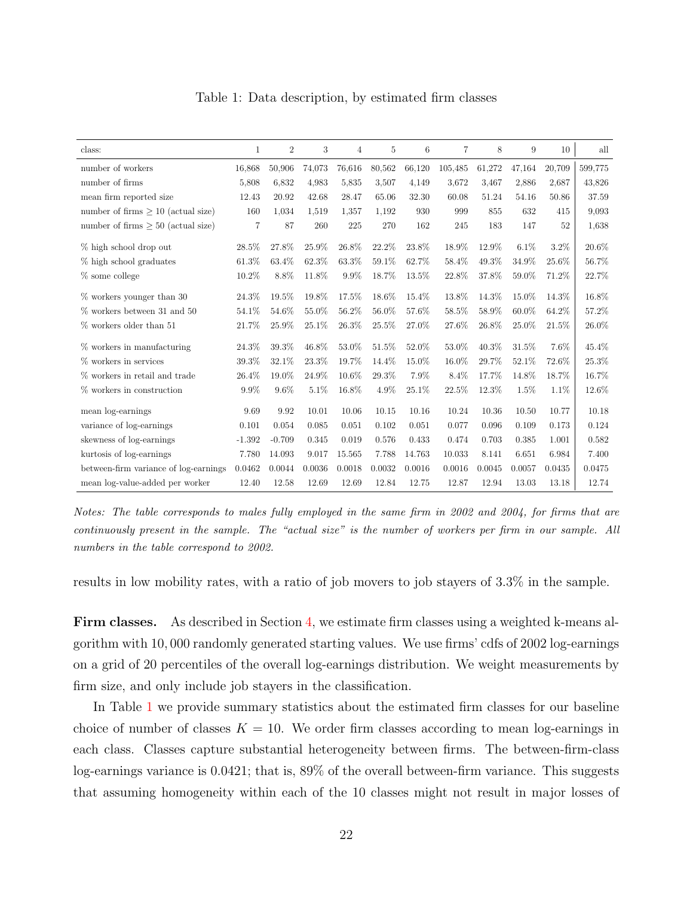<span id="page-21-0"></span>

| class:                                | $\mathbf{1}$ | $\overline{2}$ | 3        | 4      | 5      | 6        | 7       | 8      | 9      | 10     | all     |
|---------------------------------------|--------------|----------------|----------|--------|--------|----------|---------|--------|--------|--------|---------|
| number of workers                     | 16,868       | 50,906         | 74,073   | 76,616 | 80,562 | 66,120   | 105,485 | 61,272 | 47,164 | 20,709 | 599,775 |
| number of firms                       | 5,808        | 6.832          | 4.983    | 5.835  | 3,507  | 4,149    | 3,672   | 3,467  | 2,886  | 2,687  | 43,826  |
| mean firm reported size               | 12.43        | 20.92          | 42.68    | 28.47  | 65.06  | 32.30    | 60.08   | 51.24  | 54.16  | 50.86  | 37.59   |
| number of firms $> 10$ (actual size)  | 160          | 1,034          | 1,519    | 1,357  | 1,192  | 930      | 999     | 855    | 632    | 415    | 9,093   |
| number of firms $> 50$ (actual size)  | 7            | 87             | 260      | 225    | 270    | 162      | 245     | 183    | 147    | 52     | 1.638   |
| % high school drop out                | 28.5%        | 27.8%          | $25.9\%$ | 26.8%  | 22.2%  | 23.8%    | 18.9%   | 12.9%  | 6.1%   | 3.2%   | 20.6%   |
| % high school graduates               | 61.3%        | 63.4%          | 62.3%    | 63.3%  | 59.1%  | 62.7%    | 58.4%   | 49.3%  | 34.9%  | 25.6%  | 56.7%   |
| $%$ some college                      | 10.2%        | 8.8%           | 11.8%    | 9.9%   | 18.7%  | 13.5%    | 22.8%   | 37.8%  | 59.0%  | 71.2%  | 22.7%   |
| $\%$ workers younger than 30          | 24.3%        | 19.5%          | 19.8%    | 17.5%  | 18.6%  | 15.4%    | 13.8%   | 14.3%  | 15.0%  | 14.3%  | 16.8%   |
| % workers between 31 and 50           | 54.1%        | 54.6%          | 55.0%    | 56.2%  | 56.0%  | 57.6%    | 58.5%   | 58.9%  | 60.0%  | 64.2%  | 57.2%   |
| % workers older than 51               | 21.7%        | 25.9%          | 25.1%    | 26.3%  | 25.5%  | 27.0%    | 27.6%   | 26.8%  | 25.0%  | 21.5%  | 26.0%   |
| $%$ workers in manufacturing          | 24.3%        | 39.3%          | 46.8%    | 53.0%  | 51.5%  | $52.0\%$ | 53.0%   | 40.3%  | 31.5%  | 7.6%   | 45.4%   |
| % workers in services                 | 39.3%        | 32.1%          | 23.3%    | 19.7%  | 14.4%  | 15.0%    | 16.0%   | 29.7%  | 52.1%  | 72.6%  | 25.3%   |
| % workers in retail and trade         | 26.4%        | 19.0%          | 24.9%    | 10.6%  | 29.3%  | 7.9%     | 8.4%    | 17.7%  | 14.8%  | 18.7%  | 16.7%   |
| % workers in construction             | 9.9%         | 9.6%           | 5.1%     | 16.8%  | 4.9%   | 25.1%    | 22.5%   | 12.3%  | 1.5%   | 1.1%   | 12.6%   |
| mean log-earnings                     | 9.69         | 9.92           | 10.01    | 10.06  | 10.15  | 10.16    | 10.24   | 10.36  | 10.50  | 10.77  | 10.18   |
| variance of log-earnings              | 0.101        | 0.054          | 0.085    | 0.051  | 0.102  | 0.051    | 0.077   | 0.096  | 0.109  | 0.173  | 0.124   |
| skewness of log-earnings              | $-1.392$     | $-0.709$       | 0.345    | 0.019  | 0.576  | 0.433    | 0.474   | 0.703  | 0.385  | 1.001  | 0.582   |
| kurtosis of log-earnings              | 7.780        | 14.093         | 9.017    | 15.565 | 7.788  | 14.763   | 10.033  | 8.141  | 6.651  | 6.984  | 7.400   |
| between-firm variance of log-earnings | 0.0462       | 0.0044         | 0.0036   | 0.0018 | 0.0032 | 0.0016   | 0.0016  | 0.0045 | 0.0057 | 0.0435 | 0.0475  |
| mean log-value-added per worker       | 12.40        | 12.58          | 12.69    | 12.69  | 12.84  | 12.75    | 12.87   | 12.94  | 13.03  | 13.18  | 12.74   |

Notes: The table corresponds to males fully employed in the same firm in 2002 and 2004, for firms that are continuously present in the sample. The "actual size" is the number of workers per firm in our sample. All numbers in the table correspond to 2002.

results in low mobility rates, with a ratio of job movers to job stayers of 3.3% in the sample.

Firm classes. As described in Section [4,](#page-15-0) we estimate firm classes using a weighted k-means algorithm with 10, 000 randomly generated starting values. We use firms' cdfs of 2002 log-earnings on a grid of 20 percentiles of the overall log-earnings distribution. We weight measurements by firm size, and only include job stayers in the classification.

In Table [1](#page-21-0) we provide summary statistics about the estimated firm classes for our baseline choice of number of classes  $K = 10$ . We order firm classes according to mean log-earnings in each class. Classes capture substantial heterogeneity between firms. The between-firm-class log-earnings variance is 0.0421; that is, 89% of the overall between-firm variance. This suggests that assuming homogeneity within each of the 10 classes might not result in major losses of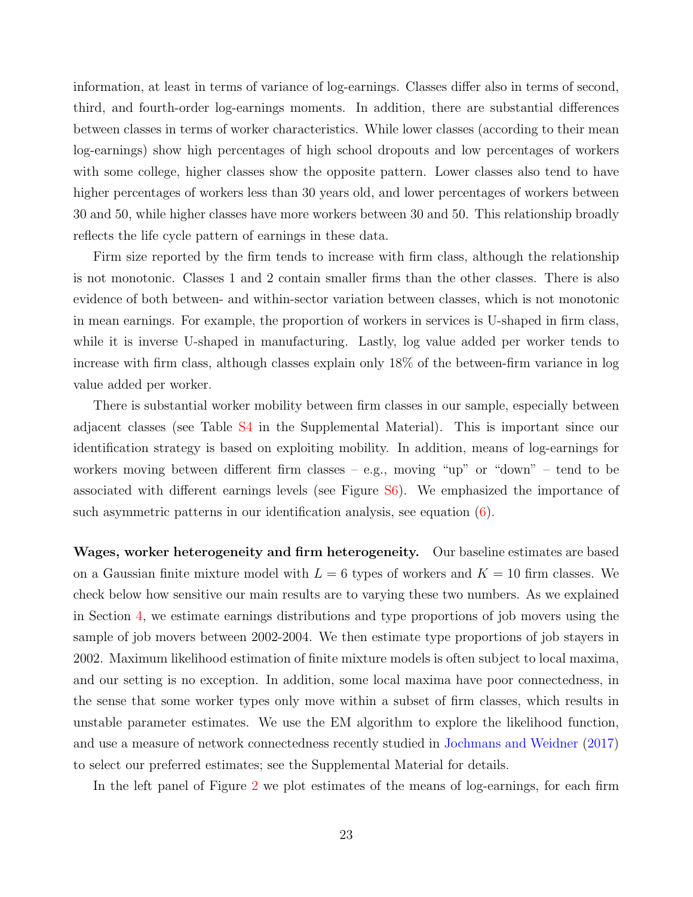information, at least in terms of variance of log-earnings. Classes differ also in terms of second, third, and fourth-order log-earnings moments. In addition, there are substantial differences between classes in terms of worker characteristics. While lower classes (according to their mean log-earnings) show high percentages of high school dropouts and low percentages of workers with some college, higher classes show the opposite pattern. Lower classes also tend to have higher percentages of workers less than 30 years old, and lower percentages of workers between 30 and 50, while higher classes have more workers between 30 and 50. This relationship broadly reflects the life cycle pattern of earnings in these data.

Firm size reported by the firm tends to increase with firm class, although the relationship is not monotonic. Classes 1 and 2 contain smaller firms than the other classes. There is also evidence of both between- and within-sector variation between classes, which is not monotonic in mean earnings. For example, the proportion of workers in services is U-shaped in firm class, while it is inverse U-shaped in manufacturing. Lastly, log value added per worker tends to increase with firm class, although classes explain only 18% of the between-firm variance in log value added per worker.

There is substantial worker mobility between firm classes in our sample, especially between adjacent classes (see Table [S4](#page-0-0) in the Supplemental Material). This is important since our identification strategy is based on exploiting mobility. In addition, means of log-earnings for workers moving between different firm classes – e.g., moving "up" or "down" – tend to be associated with different earnings levels (see Figure [S6\)](#page-0-0). We emphasized the importance of such asymmetric patterns in our identification analysis, see equation  $(6)$ .

Wages, worker heterogeneity and firm heterogeneity. Our baseline estimates are based on a Gaussian finite mixture model with  $L = 6$  types of workers and  $K = 10$  firm classes. We check below how sensitive our main results are to varying these two numbers. As we explained in Section [4,](#page-15-0) we estimate earnings distributions and type proportions of job movers using the sample of job movers between 2002-2004. We then estimate type proportions of job stayers in 2002. Maximum likelihood estimation of finite mixture models is often subject to local maxima, and our setting is no exception. In addition, some local maxima have poor connectedness, in the sense that some worker types only move within a subset of firm classes, which results in unstable parameter estimates. We use the EM algorithm to explore the likelihood function, and use a measure of network connectedness recently studied in [Jochmans and Weidner](#page-41-9) [\(2017\)](#page-41-9) to select our preferred estimates; see the Supplemental Material for details.

In the left panel of Figure [2](#page-23-0) we plot estimates of the means of log-earnings, for each firm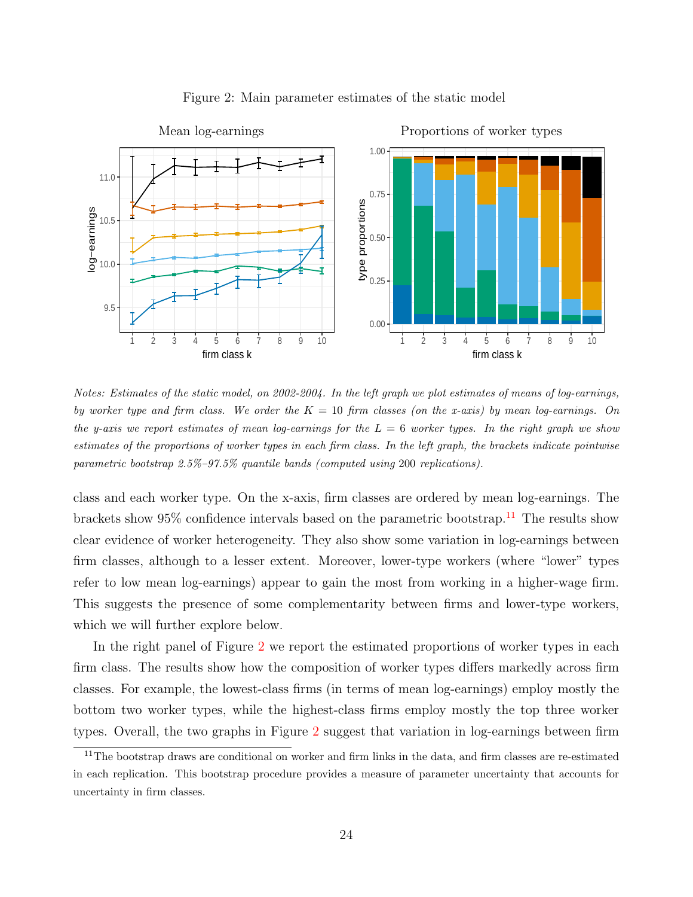

<span id="page-23-0"></span>Figure 2: Main parameter estimates of the static model

Notes: Estimates of the static model, on 2002-2004. In the left graph we plot estimates of means of log-earnings, by worker type and firm class. We order the  $K = 10$  firm classes (on the x-axis) by mean log-earnings. On the y-axis we report estimates of mean log-earnings for the  $L = 6$  worker types. In the right graph we show estimates of the proportions of worker types in each firm class. In the left graph, the brackets indicate pointwise parametric bootstrap 2.5%–97.5% quantile bands (computed using 200 replications).

class and each worker type. On the x-axis, firm classes are ordered by mean log-earnings. The brackets show  $95\%$  confidence intervals based on the parametric bootstrap.<sup>[11](#page-23-1)</sup> The results show clear evidence of worker heterogeneity. They also show some variation in log-earnings between firm classes, although to a lesser extent. Moreover, lower-type workers (where "lower" types refer to low mean log-earnings) appear to gain the most from working in a higher-wage firm. This suggests the presence of some complementarity between firms and lower-type workers, which we will further explore below.

In the right panel of Figure [2](#page-23-0) we report the estimated proportions of worker types in each firm class. The results show how the composition of worker types differs markedly across firm classes. For example, the lowest-class firms (in terms of mean log-earnings) employ mostly the bottom two worker types, while the highest-class firms employ mostly the top three worker types. Overall, the two graphs in Figure [2](#page-23-0) suggest that variation in log-earnings between firm

<span id="page-23-1"></span><sup>&</sup>lt;sup>11</sup>The bootstrap draws are conditional on worker and firm links in the data, and firm classes are re-estimated in each replication. This bootstrap procedure provides a measure of parameter uncertainty that accounts for uncertainty in firm classes.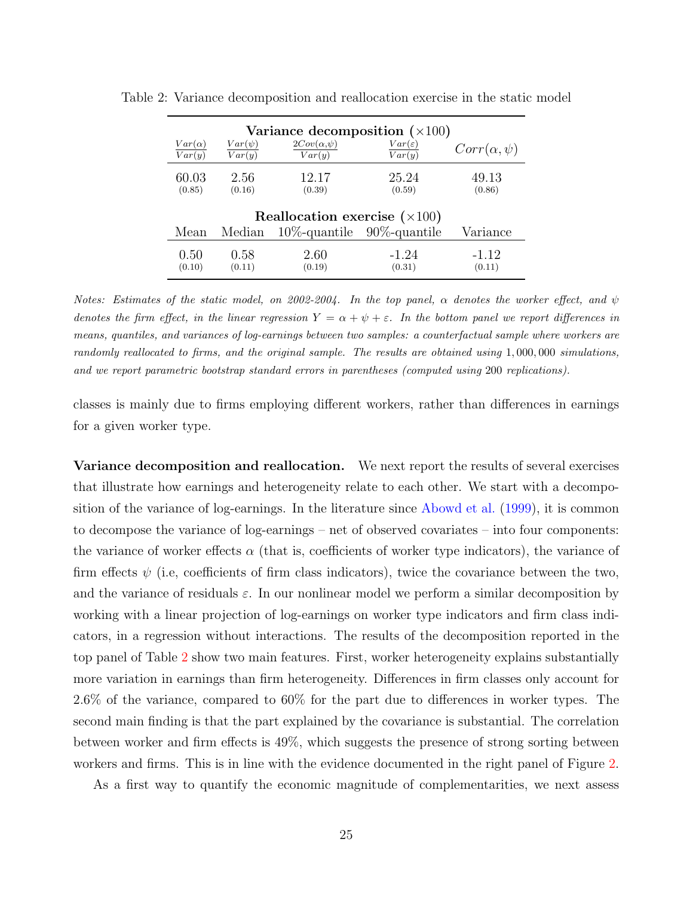<span id="page-24-0"></span>

| Variance decomposition $(\times 100)$ |             |                                      |                                   |                      |  |  |
|---------------------------------------|-------------|--------------------------------------|-----------------------------------|----------------------|--|--|
| $Var(\alpha)$                         | $Var(\psi)$ | $2Cov(\alpha,\psi)$                  | $Var(\varepsilon)$                | $Corr(\alpha, \psi)$ |  |  |
| Var(y)                                | Var(y)      | Var(y)                               | Var(y)                            |                      |  |  |
| 60.03                                 | 2.56        | 12.17                                | 25.24                             | 49.13                |  |  |
| (0.85)                                | (0.16)      | (0.39)                               | (0.59)                            | (0.86)               |  |  |
|                                       |             | Reallocation exercise $(\times 100)$ |                                   |                      |  |  |
| Mean                                  | Median      |                                      | $10\%$ -quantile $90\%$ -quantile | Variance             |  |  |
| 0.50                                  | 0.58        | 2.60                                 | $-1.24$                           | $-1.12$              |  |  |
| (0.10)                                | (0.11)      | (0.19)                               | (0.31)                            | (0.11)               |  |  |

Table 2: Variance decomposition and reallocation exercise in the static model

Notes: Estimates of the static model, on 2002-2004. In the top panel,  $\alpha$  denotes the worker effect, and  $\psi$ denotes the firm effect, in the linear regression  $Y = \alpha + \psi + \varepsilon$ . In the bottom panel we report differences in means, quantiles, and variances of log-earnings between two samples: a counterfactual sample where workers are randomly reallocated to firms, and the original sample. The results are obtained using 1, 000, 000 simulations, and we report parametric bootstrap standard errors in parentheses (computed using 200 replications).

classes is mainly due to firms employing different workers, rather than differences in earnings for a given worker type.

**Variance decomposition and reallocation.** We next report the results of several exercises that illustrate how earnings and heterogeneity relate to each other. We start with a decomposition of the variance of log-earnings. In the literature since [Abowd et al.](#page-38-0) [\(1999\)](#page-38-0), it is common to decompose the variance of log-earnings – net of observed covariates – into four components: the variance of worker effects  $\alpha$  (that is, coefficients of worker type indicators), the variance of firm effects  $\psi$  (i.e, coefficients of firm class indicators), twice the covariance between the two, and the variance of residuals  $\varepsilon$ . In our nonlinear model we perform a similar decomposition by working with a linear projection of log-earnings on worker type indicators and firm class indicators, in a regression without interactions. The results of the decomposition reported in the top panel of Table [2](#page-24-0) show two main features. First, worker heterogeneity explains substantially more variation in earnings than firm heterogeneity. Differences in firm classes only account for 2.6% of the variance, compared to 60% for the part due to differences in worker types. The second main finding is that the part explained by the covariance is substantial. The correlation between worker and firm effects is 49%, which suggests the presence of strong sorting between workers and firms. This is in line with the evidence documented in the right panel of Figure [2.](#page-23-0)

As a first way to quantify the economic magnitude of complementarities, we next assess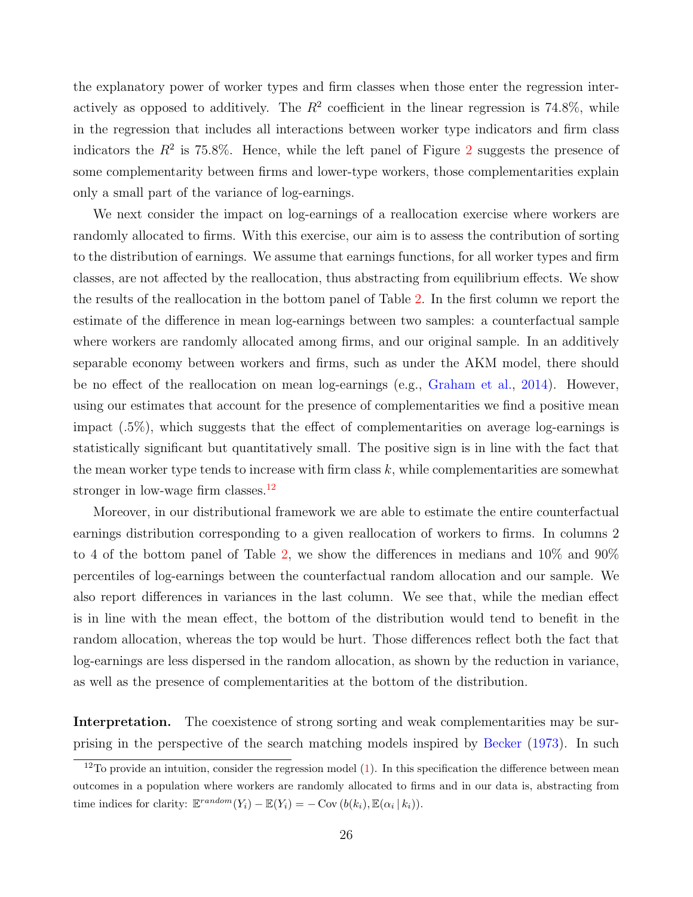the explanatory power of worker types and firm classes when those enter the regression interactively as opposed to additively. The  $R^2$  coefficient in the linear regression is 74.8%, while in the regression that includes all interactions between worker type indicators and firm class indicators the  $R^2$  $R^2$  is 75.8%. Hence, while the left panel of Figure 2 suggests the presence of some complementarity between firms and lower-type workers, those complementarities explain only a small part of the variance of log-earnings.

We next consider the impact on log-earnings of a reallocation exercise where workers are randomly allocated to firms. With this exercise, our aim is to assess the contribution of sorting to the distribution of earnings. We assume that earnings functions, for all worker types and firm classes, are not affected by the reallocation, thus abstracting from equilibrium effects. We show the results of the reallocation in the bottom panel of Table [2.](#page-24-0) In the first column we report the estimate of the difference in mean log-earnings between two samples: a counterfactual sample where workers are randomly allocated among firms, and our original sample. In an additively separable economy between workers and firms, such as under the AKM model, there should be no effect of the reallocation on mean log-earnings (e.g., [Graham et al.,](#page-40-11) [2014\)](#page-40-11). However, using our estimates that account for the presence of complementarities we find a positive mean impact (.5%), which suggests that the effect of complementarities on average log-earnings is statistically significant but quantitatively small. The positive sign is in line with the fact that the mean worker type tends to increase with firm class  $k$ , while complementarities are somewhat stronger in low-wage firm classes. $^{12}$  $^{12}$  $^{12}$ 

Moreover, in our distributional framework we are able to estimate the entire counterfactual earnings distribution corresponding to a given reallocation of workers to firms. In columns 2 to 4 of the bottom panel of Table [2,](#page-24-0) we show the differences in medians and 10% and 90% percentiles of log-earnings between the counterfactual random allocation and our sample. We also report differences in variances in the last column. We see that, while the median effect is in line with the mean effect, the bottom of the distribution would tend to benefit in the random allocation, whereas the top would be hurt. Those differences reflect both the fact that log-earnings are less dispersed in the random allocation, as shown by the reduction in variance, as well as the presence of complementarities at the bottom of the distribution.

Interpretation. The coexistence of strong sorting and weak complementarities may be surprising in the perspective of the search matching models inspired by [Becker](#page-39-0) [\(1973\)](#page-39-0). In such

<span id="page-25-0"></span><sup>&</sup>lt;sup>12</sup>To provide an intuition, consider the regression model  $(1)$ . In this specification the difference between mean outcomes in a population where workers are randomly allocated to firms and in our data is, abstracting from time indices for clarity:  $\mathbb{E}^{random}(Y_i) - \mathbb{E}(Y_i) = -\text{Cov}(b(k_i), \mathbb{E}(\alpha_i | k_i)).$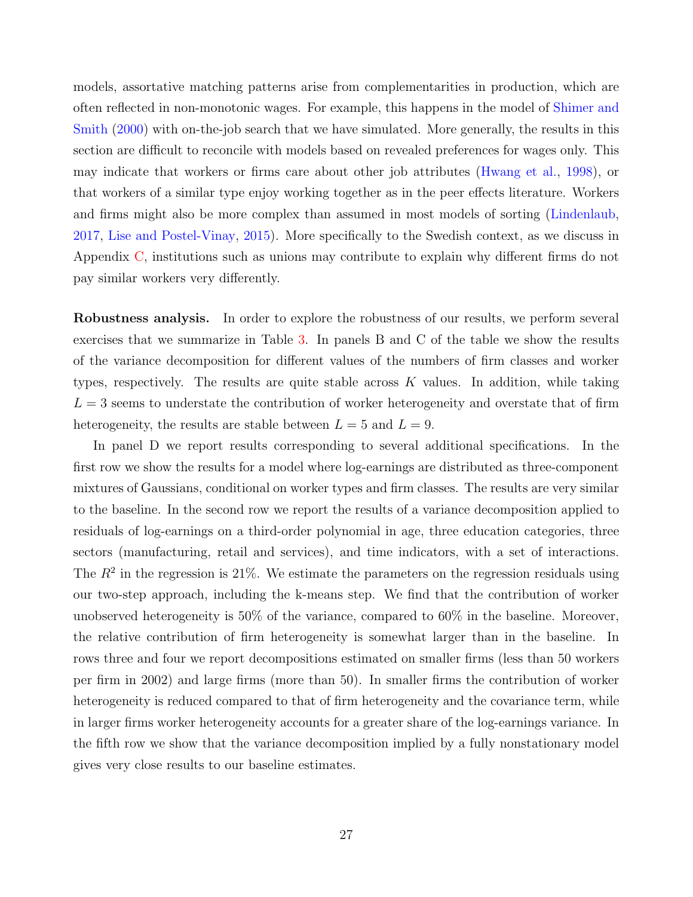models, assortative matching patterns arise from complementarities in production, which are often reflected in non-monotonic wages. For example, this happens in the model of [Shimer and](#page-42-0) [Smith](#page-42-0) [\(2000\)](#page-42-0) with on-the-job search that we have simulated. More generally, the results in this section are difficult to reconcile with models based on revealed preferences for wages only. This may indicate that workers or firms care about other job attributes [\(Hwang et al.,](#page-41-10) [1998\)](#page-41-10), or that workers of a similar type enjoy working together as in the peer effects literature. Workers and firms might also be more complex than assumed in most models of sorting [\(Lindenlaub,](#page-41-11) [2017,](#page-41-11) [Lise and Postel-Vinay,](#page-42-11) [2015\)](#page-42-11). More specifically to the Swedish context, as we discuss in Appendix [C,](#page-49-0) institutions such as unions may contribute to explain why different firms do not pay similar workers very differently.

Robustness analysis. In order to explore the robustness of our results, we perform several exercises that we summarize in Table [3.](#page-27-0) In panels B and C of the table we show the results of the variance decomposition for different values of the numbers of firm classes and worker types, respectively. The results are quite stable across K values. In addition, while taking  $L = 3$  seems to understate the contribution of worker heterogeneity and overstate that of firm heterogeneity, the results are stable between  $L = 5$  and  $L = 9$ .

In panel D we report results corresponding to several additional specifications. In the first row we show the results for a model where log-earnings are distributed as three-component mixtures of Gaussians, conditional on worker types and firm classes. The results are very similar to the baseline. In the second row we report the results of a variance decomposition applied to residuals of log-earnings on a third-order polynomial in age, three education categories, three sectors (manufacturing, retail and services), and time indicators, with a set of interactions. The  $R^2$  in the regression is 21%. We estimate the parameters on the regression residuals using our two-step approach, including the k-means step. We find that the contribution of worker unobserved heterogeneity is 50% of the variance, compared to 60% in the baseline. Moreover, the relative contribution of firm heterogeneity is somewhat larger than in the baseline. In rows three and four we report decompositions estimated on smaller firms (less than 50 workers per firm in 2002) and large firms (more than 50). In smaller firms the contribution of worker heterogeneity is reduced compared to that of firm heterogeneity and the covariance term, while in larger firms worker heterogeneity accounts for a greater share of the log-earnings variance. In the fifth row we show that the variance decomposition implied by a fully nonstationary model gives very close results to our baseline estimates.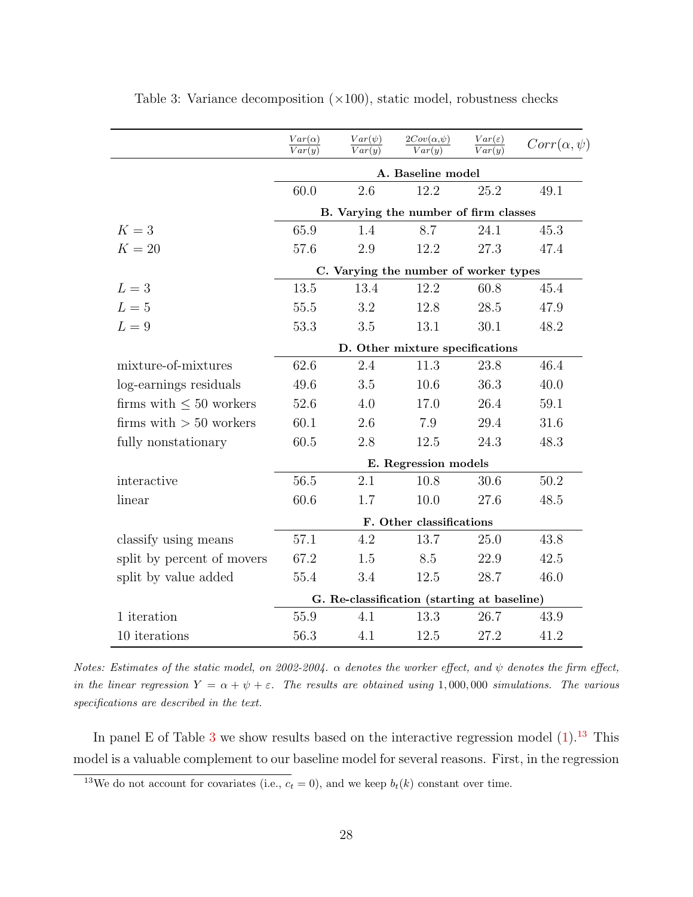|                              | $Var(\alpha)$<br>$\overline{Var(y)}$        | $Var(\psi)$<br>Var(y) | $2Cov(\alpha,\psi)$<br>$\overline{Var}(y)$ | $Var(\varepsilon)$<br>$\overline{Var(y)}$ | $Corr(\alpha, \psi)$ |  |  |
|------------------------------|---------------------------------------------|-----------------------|--------------------------------------------|-------------------------------------------|----------------------|--|--|
|                              |                                             |                       | A. Baseline model                          |                                           |                      |  |  |
|                              | 60.0                                        | 2.6                   | 12.2                                       | 25.2                                      | 49.1                 |  |  |
|                              | B. Varying the number of firm classes       |                       |                                            |                                           |                      |  |  |
| $K=3$                        | 65.9                                        | 1.4                   | 8.7                                        | 24.1                                      | 45.3                 |  |  |
| $K=20$                       | 57.6                                        | 2.9                   | 12.2                                       | 27.3                                      | 47.4                 |  |  |
|                              |                                             |                       | C. Varying the number of worker types      |                                           |                      |  |  |
| $L=3$                        | 13.5                                        | 13.4                  | 12.2                                       | 60.8                                      | 45.4                 |  |  |
| $L=5$                        | 55.5                                        | 3.2                   | 12.8                                       | 28.5                                      | 47.9                 |  |  |
| $L=9$                        | 53.3                                        | 3.5                   | 13.1                                       | 30.1                                      | 48.2                 |  |  |
|                              | D. Other mixture specifications             |                       |                                            |                                           |                      |  |  |
| mixture-of-mixtures          | 62.6                                        | 2.4                   | 11.3                                       | 23.8                                      | 46.4                 |  |  |
| log-earnings residuals       | 49.6                                        | 3.5                   | 10.6                                       | 36.3                                      | 40.0                 |  |  |
| firms with $\leq 50$ workers | 52.6                                        | 4.0                   | 17.0                                       | 26.4                                      | 59.1                 |  |  |
| firms with $> 50$ workers    | 60.1                                        | 2.6                   | 7.9                                        | 29.4                                      | 31.6                 |  |  |
| fully nonstationary          | 60.5                                        | 2.8                   | 12.5                                       | 24.3                                      | 48.3                 |  |  |
|                              |                                             |                       | E. Regression models                       |                                           |                      |  |  |
| interactive                  | 56.5                                        | 2.1                   | 10.8                                       | 30.6                                      | 50.2                 |  |  |
| linear                       | 60.6                                        | 1.7                   | 10.0                                       | 27.6                                      | 48.5                 |  |  |
|                              |                                             |                       | F. Other classifications                   |                                           |                      |  |  |
| classify using means         | 57.1                                        | 4.2                   | 13.7                                       | 25.0                                      | 43.8                 |  |  |
| split by percent of movers   | 67.2                                        | 1.5                   | 8.5                                        | 22.9                                      | 42.5                 |  |  |
| split by value added         | 55.4                                        | 3.4                   | 12.5                                       | 28.7                                      | 46.0                 |  |  |
|                              | G. Re-classification (starting at baseline) |                       |                                            |                                           |                      |  |  |
| 1 iteration                  | 55.9                                        | 4.1                   | 13.3                                       | 26.7                                      | 43.9                 |  |  |
| 10 iterations                | 56.3                                        | 4.1                   | 12.5                                       | 27.2                                      | 41.2                 |  |  |

<span id="page-27-0"></span>Table 3: Variance decomposition  $(\times 100)$ , static model, robustness checks

Notes: Estimates of the static model, on 2002-2004.  $\alpha$  denotes the worker effect, and  $\psi$  denotes the firm effect, in the linear regression  $Y = \alpha + \psi + \varepsilon$ . The results are obtained using 1,000,000 simulations. The various specifications are described in the text.

In panel E of Table [3](#page-27-0) we show results based on the interactive regression model  $(1).^{13}$  $(1).^{13}$  $(1).^{13}$  $(1).^{13}$  This model is a valuable complement to our baseline model for several reasons. First, in the regression

<span id="page-27-1"></span><sup>&</sup>lt;sup>13</sup>We do not account for covariates (i.e.,  $c_t = 0$ ), and we keep  $b_t(k)$  constant over time.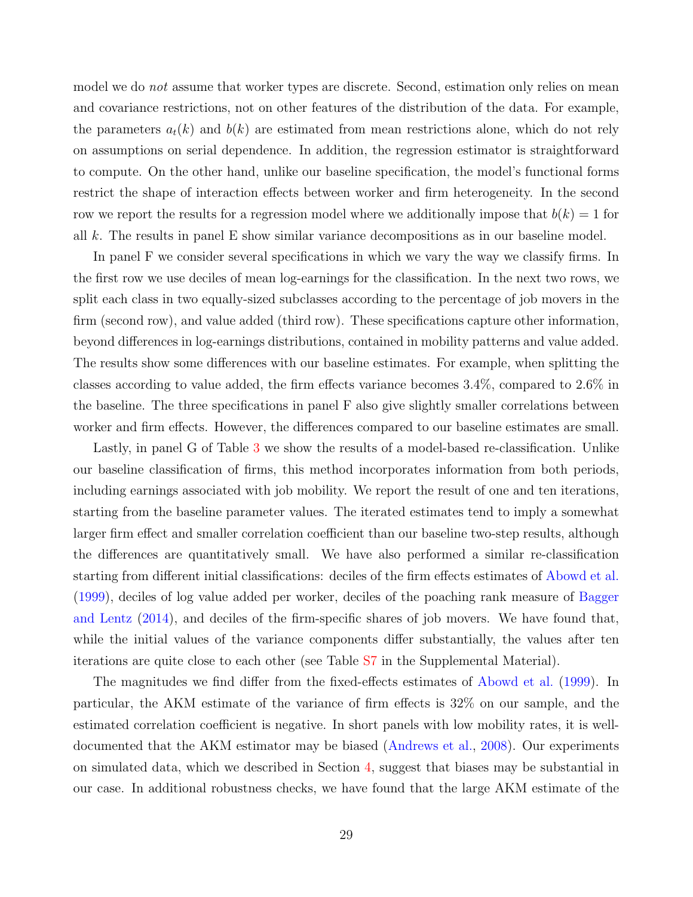model we do *not* assume that worker types are discrete. Second, estimation only relies on mean and covariance restrictions, not on other features of the distribution of the data. For example, the parameters  $a_t(k)$  and  $b(k)$  are estimated from mean restrictions alone, which do not rely on assumptions on serial dependence. In addition, the regression estimator is straightforward to compute. On the other hand, unlike our baseline specification, the model's functional forms restrict the shape of interaction effects between worker and firm heterogeneity. In the second row we report the results for a regression model where we additionally impose that  $b(k) = 1$  for all  $k$ . The results in panel E show similar variance decompositions as in our baseline model.

In panel F we consider several specifications in which we vary the way we classify firms. In the first row we use deciles of mean log-earnings for the classification. In the next two rows, we split each class in two equally-sized subclasses according to the percentage of job movers in the firm (second row), and value added (third row). These specifications capture other information, beyond differences in log-earnings distributions, contained in mobility patterns and value added. The results show some differences with our baseline estimates. For example, when splitting the classes according to value added, the firm effects variance becomes 3.4%, compared to 2.6% in the baseline. The three specifications in panel F also give slightly smaller correlations between worker and firm effects. However, the differences compared to our baseline estimates are small.

Lastly, in panel G of Table [3](#page-27-0) we show the results of a model-based re-classification. Unlike our baseline classification of firms, this method incorporates information from both periods, including earnings associated with job mobility. We report the result of one and ten iterations, starting from the baseline parameter values. The iterated estimates tend to imply a somewhat larger firm effect and smaller correlation coefficient than our baseline two-step results, although the differences are quantitatively small. We have also performed a similar re-classification starting from different initial classifications: deciles of the firm effects estimates of [Abowd et al.](#page-38-0) [\(1999\)](#page-38-0), deciles of log value added per worker, deciles of the poaching rank measure of [Bagger](#page-38-1) [and Lentz](#page-38-1) [\(2014\)](#page-38-1), and deciles of the firm-specific shares of job movers. We have found that, while the initial values of the variance components differ substantially, the values after ten iterations are quite close to each other (see Table [S7](#page-0-0) in the Supplemental Material).

The magnitudes we find differ from the fixed-effects estimates of [Abowd et al.](#page-38-0) [\(1999\)](#page-38-0). In particular, the AKM estimate of the variance of firm effects is 32% on our sample, and the estimated correlation coefficient is negative. In short panels with low mobility rates, it is welldocumented that the AKM estimator may be biased [\(Andrews et al.,](#page-38-3) [2008\)](#page-38-3). Our experiments on simulated data, which we described in Section [4,](#page-15-0) suggest that biases may be substantial in our case. In additional robustness checks, we have found that the large AKM estimate of the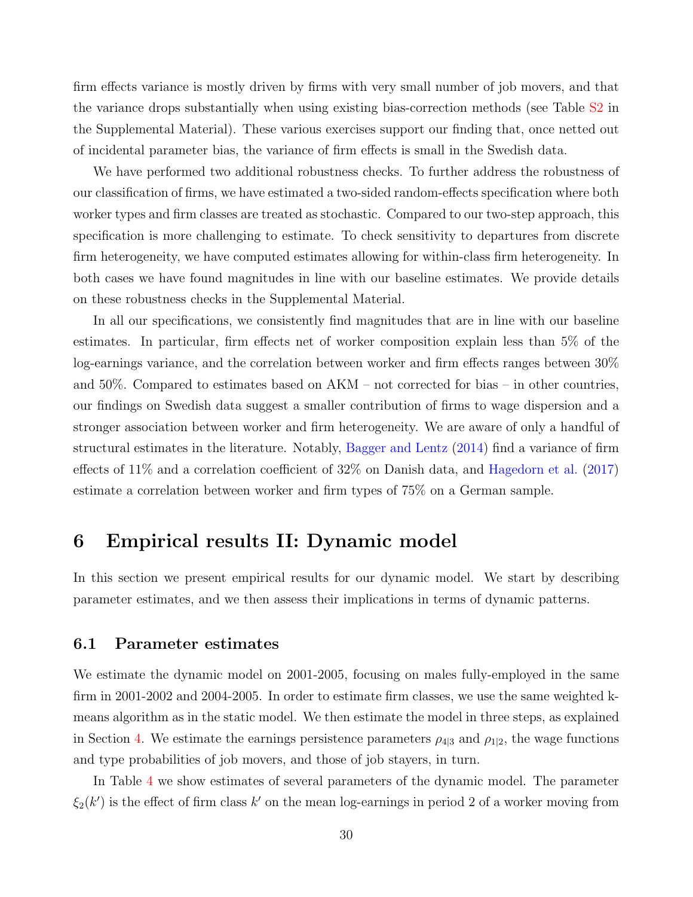firm effects variance is mostly driven by firms with very small number of job movers, and that the variance drops substantially when using existing bias-correction methods (see Table [S2](#page-0-0) in the Supplemental Material). These various exercises support our finding that, once netted out of incidental parameter bias, the variance of firm effects is small in the Swedish data.

We have performed two additional robustness checks. To further address the robustness of our classification of firms, we have estimated a two-sided random-effects specification where both worker types and firm classes are treated as stochastic. Compared to our two-step approach, this specification is more challenging to estimate. To check sensitivity to departures from discrete firm heterogeneity, we have computed estimates allowing for within-class firm heterogeneity. In both cases we have found magnitudes in line with our baseline estimates. We provide details on these robustness checks in the Supplemental Material.

In all our specifications, we consistently find magnitudes that are in line with our baseline estimates. In particular, firm effects net of worker composition explain less than 5% of the log-earnings variance, and the correlation between worker and firm effects ranges between 30% and 50%. Compared to estimates based on AKM – not corrected for bias – in other countries, our findings on Swedish data suggest a smaller contribution of firms to wage dispersion and a stronger association between worker and firm heterogeneity. We are aware of only a handful of structural estimates in the literature. Notably, [Bagger and Lentz](#page-38-1) [\(2014\)](#page-38-1) find a variance of firm effects of 11% and a correlation coefficient of 32% on Danish data, and [Hagedorn et al.](#page-40-4) [\(2017\)](#page-40-4) estimate a correlation between worker and firm types of 75% on a German sample.

### <span id="page-29-0"></span>6 Empirical results II: Dynamic model

In this section we present empirical results for our dynamic model. We start by describing parameter estimates, and we then assess their implications in terms of dynamic patterns.

### 6.1 Parameter estimates

We estimate the dynamic model on 2001-2005, focusing on males fully-employed in the same firm in 2001-2002 and 2004-2005. In order to estimate firm classes, we use the same weighted kmeans algorithm as in the static model. We then estimate the model in three steps, as explained in Section [4.](#page-15-0) We estimate the earnings persistence parameters  $\rho_{4|3}$  and  $\rho_{1|2}$ , the wage functions and type probabilities of job movers, and those of job stayers, in turn.

In Table [4](#page-30-0) we show estimates of several parameters of the dynamic model. The parameter  $\xi_2(k')$  is the effect of firm class k' on the mean log-earnings in period 2 of a worker moving from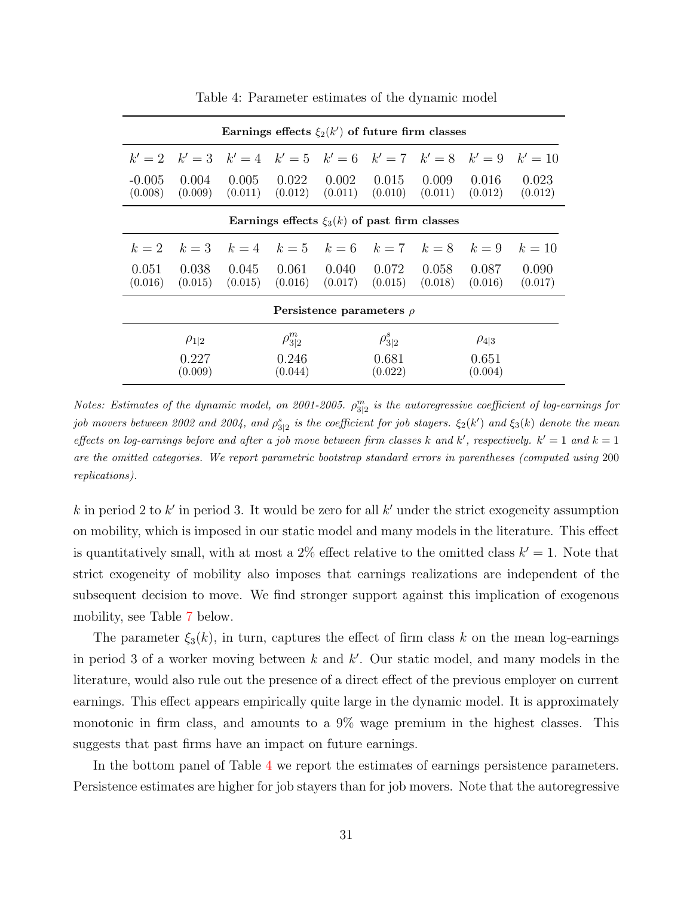| Earnings effects $\xi_2(k')$ of future firm classes |                  |                                                          |                  |                  |                                                                |                              |                  |                                                                 |
|-----------------------------------------------------|------------------|----------------------------------------------------------|------------------|------------------|----------------------------------------------------------------|------------------------------|------------------|-----------------------------------------------------------------|
|                                                     |                  |                                                          |                  |                  |                                                                |                              |                  | $k'=2$ $k'=3$ $k'=4$ $k'=5$ $k'=6$ $k'=7$ $k'=8$ $k'=9$ $k'=10$ |
| $-0.005$                                            |                  | $0.004$ $0.005$ $0.022$<br>$(0.008)$ $(0.009)$ $(0.011)$ | (0.012)          | 0.002            | $0.015\,$<br>$(0.011)$ $(0.010)$ $(0.011)$ $(0.012)$ $(0.012)$ | 0.009                        | $0.016$ 0.023    |                                                                 |
| Earnings effects $\xi_3(k)$ of past firm classes    |                  |                                                          |                  |                  |                                                                |                              |                  |                                                                 |
|                                                     |                  | $k=2$ $k=3$ $k=4$ $k=5$ $k=6$ $k=7$ $k=8$ $k=9$ $k=10$   |                  |                  |                                                                |                              |                  |                                                                 |
| 0.051<br>(0.016)                                    | (0.015)          | $0.038$ $0.045$ $0.061$<br>(0.015)                       | (0.016)          | 0.040<br>(0.017) | 0.072                                                          | 0.058<br>$(0.015)$ $(0.018)$ | 0.087<br>(0.016) | 0.090<br>(0.017)                                                |
| Persistence parameters $\rho$                       |                  |                                                          |                  |                  |                                                                |                              |                  |                                                                 |
|                                                     | $\rho_{1 2}$     |                                                          | $\rho_{3 2}^m$   |                  | $\rho_{3 2}^s$                                                 |                              | $\rho_{4 3}$     |                                                                 |
|                                                     | 0.227<br>(0.009) |                                                          | 0.246<br>(0.044) |                  | 0.681<br>(0.022)                                               |                              | 0.651<br>(0.004) |                                                                 |

<span id="page-30-0"></span>Table 4: Parameter estimates of the dynamic model

Notes: Estimates of the dynamic model, on 2001-2005.  $\rho_{3|2}^m$  is the autoregressive coefficient of log-earnings for job movers between 2002 and 2004, and  $\rho_{3|2}^s$  is the coefficient for job stayers.  $\xi_2(k')$  and  $\xi_3(k)$  denote the mean effects on log-earnings before and after a job move between firm classes k and k', respectively.  $k' = 1$  and  $k = 1$ are the omitted categories. We report parametric bootstrap standard errors in parentheses (computed using 200 replications).

k in period 2 to  $k'$  in period 3. It would be zero for all  $k'$  under the strict exogeneity assumption on mobility, which is imposed in our static model and many models in the literature. This effect is quantitatively small, with at most a 2% effect relative to the omitted class  $k' = 1$ . Note that strict exogeneity of mobility also imposes that earnings realizations are independent of the subsequent decision to move. We find stronger support against this implication of exogenous mobility, see Table [7](#page-33-0) below.

The parameter  $\xi_3(k)$ , in turn, captures the effect of firm class k on the mean log-earnings in period 3 of a worker moving between  $k$  and  $k'$ . Our static model, and many models in the literature, would also rule out the presence of a direct effect of the previous employer on current earnings. This effect appears empirically quite large in the dynamic model. It is approximately monotonic in firm class, and amounts to a 9% wage premium in the highest classes. This suggests that past firms have an impact on future earnings.

In the bottom panel of Table [4](#page-30-0) we report the estimates of earnings persistence parameters. Persistence estimates are higher for job stayers than for job movers. Note that the autoregressive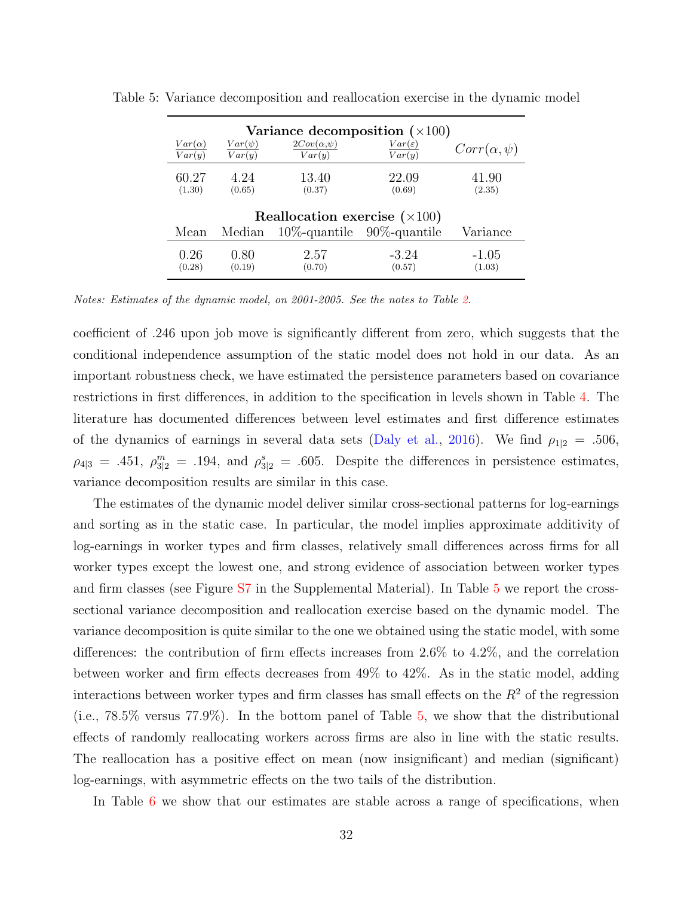<span id="page-31-0"></span>

| Variance decomposition $(\times 100)$ |                                      |                     |                                   |                      |  |  |  |
|---------------------------------------|--------------------------------------|---------------------|-----------------------------------|----------------------|--|--|--|
| $Var(\alpha)$                         | $Var(\psi)$                          | $2Cov(\alpha,\psi)$ | $Var(\varepsilon)$                | $Corr(\alpha, \psi)$ |  |  |  |
| Var(y)                                | Var(y)                               | Var(y)              | Var(y)                            |                      |  |  |  |
| 60.27                                 | 4.24                                 | 13.40               | 22.09                             | 41.90                |  |  |  |
| (1.30)                                | (0.65)                               | (0.37)              | (0.69)                            | (2.35)               |  |  |  |
|                                       | Reallocation exercise $(\times 100)$ |                     |                                   |                      |  |  |  |
| Mean                                  | Median                               |                     | $10\%$ -quantile $90\%$ -quantile | Variance             |  |  |  |
| 0.26                                  | 0.80                                 | 2.57                | $-3.24$                           | $-1.05$              |  |  |  |
| (0.28)                                | (0.19)                               | (0.70)              | (0.57)                            | (1.03)               |  |  |  |

Table 5: Variance decomposition and reallocation exercise in the dynamic model

Notes: Estimates of the dynamic model, on 2001-2005. See the notes to Table [2.](#page-24-0)

coefficient of .246 upon job move is significantly different from zero, which suggests that the conditional independence assumption of the static model does not hold in our data. As an important robustness check, we have estimated the persistence parameters based on covariance restrictions in first differences, in addition to the specification in levels shown in Table [4.](#page-30-0) The literature has documented differences between level estimates and first difference estimates of the dynamics of earnings in several data sets [\(Daly et al.,](#page-39-10) [2016\)](#page-39-10). We find  $\rho_{1|2} = .506$ ,  $\rho_{4|3} = .451, \ \rho_{3|2}^m = .194, \text{ and } \rho_{3|2}^s = .605.$  Despite the differences in persistence estimates, variance decomposition results are similar in this case.

The estimates of the dynamic model deliver similar cross-sectional patterns for log-earnings and sorting as in the static case. In particular, the model implies approximate additivity of log-earnings in worker types and firm classes, relatively small differences across firms for all worker types except the lowest one, and strong evidence of association between worker types and firm classes (see Figure [S7](#page-0-0) in the Supplemental Material). In Table [5](#page-31-0) we report the crosssectional variance decomposition and reallocation exercise based on the dynamic model. The variance decomposition is quite similar to the one we obtained using the static model, with some differences: the contribution of firm effects increases from 2.6% to 4.2%, and the correlation between worker and firm effects decreases from 49% to 42%. As in the static model, adding interactions between worker types and firm classes has small effects on the  $R<sup>2</sup>$  of the regression (i.e., 78.5% versus 77.9%). In the bottom panel of Table [5,](#page-31-0) we show that the distributional effects of randomly reallocating workers across firms are also in line with the static results. The reallocation has a positive effect on mean (now insignificant) and median (significant) log-earnings, with asymmetric effects on the two tails of the distribution.

In Table [6](#page-32-0) we show that our estimates are stable across a range of specifications, when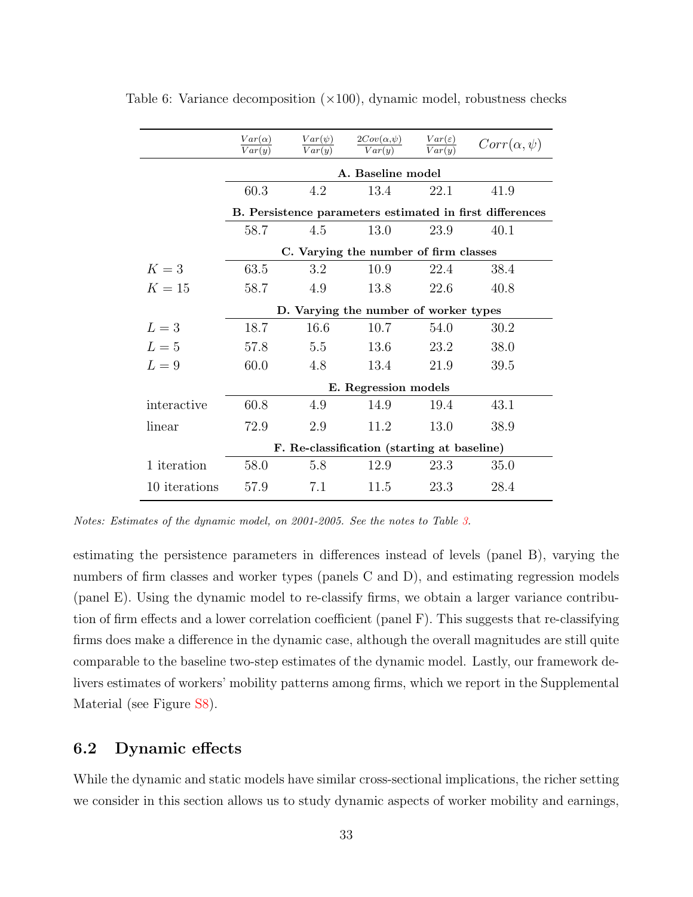|               | $Var(\alpha)$<br>$\overline{Var}(y)$                     | $Var(\psi)$<br>$\overline{Var}(y)$ | $2Cov(\alpha,\psi)$<br>$\overline{Var}(y)$  | $Var(\varepsilon)$<br>$\overline{Var}(y)$ | $Corr(\alpha, \psi)$ |  |  |  |  |
|---------------|----------------------------------------------------------|------------------------------------|---------------------------------------------|-------------------------------------------|----------------------|--|--|--|--|
|               | A. Baseline model                                        |                                    |                                             |                                           |                      |  |  |  |  |
|               | 60.3                                                     | 4.2                                | 13.4                                        | 22.1                                      | 41.9                 |  |  |  |  |
|               | B. Persistence parameters estimated in first differences |                                    |                                             |                                           |                      |  |  |  |  |
|               | 58.7                                                     | 4.5                                | 13.0                                        | 23.9                                      | 40.1                 |  |  |  |  |
|               |                                                          |                                    | C. Varying the number of firm classes       |                                           |                      |  |  |  |  |
| $K=3$         | 63.5                                                     | 3.2                                | 10.9                                        | 22.4                                      | 38.4                 |  |  |  |  |
| $K=15$        | 58.7                                                     | 4.9                                | 13.8                                        | 22.6                                      | 40.8                 |  |  |  |  |
|               | D. Varying the number of worker types                    |                                    |                                             |                                           |                      |  |  |  |  |
| $L=3$         | 18.7                                                     | 16.6                               | 10.7                                        | 54.0                                      | 30.2                 |  |  |  |  |
| $L=5$         | 57.8                                                     | 5.5                                | 13.6                                        | 23.2                                      | 38.0                 |  |  |  |  |
| $L=9$         | 60.0                                                     | 4.8                                | 13.4                                        | 21.9                                      | 39.5                 |  |  |  |  |
|               |                                                          |                                    | E. Regression models                        |                                           |                      |  |  |  |  |
| interactive   | 60.8                                                     | 4.9                                | 14.9                                        | 19.4                                      | 43.1                 |  |  |  |  |
| linear        | 72.9                                                     | 2.9                                | 11.2                                        | 13.0                                      | 38.9                 |  |  |  |  |
|               |                                                          |                                    | F. Re-classification (starting at baseline) |                                           |                      |  |  |  |  |
| 1 iteration   | 58.0                                                     | 5.8                                | 12.9                                        | 23.3                                      | 35.0                 |  |  |  |  |
| 10 iterations | 57.9                                                     | 7.1                                | 11.5                                        | 23.3                                      | 28.4                 |  |  |  |  |

<span id="page-32-0"></span>Table 6: Variance decomposition  $(\times 100)$ , dynamic model, robustness checks

Notes: Estimates of the dynamic model, on 2001-2005. See the notes to Table [3.](#page-27-0)

estimating the persistence parameters in differences instead of levels (panel B), varying the numbers of firm classes and worker types (panels C and D), and estimating regression models (panel E). Using the dynamic model to re-classify firms, we obtain a larger variance contribution of firm effects and a lower correlation coefficient (panel F). This suggests that re-classifying firms does make a difference in the dynamic case, although the overall magnitudes are still quite comparable to the baseline two-step estimates of the dynamic model. Lastly, our framework delivers estimates of workers' mobility patterns among firms, which we report in the Supplemental Material (see Figure [S8\)](#page-0-0).

### 6.2 Dynamic effects

While the dynamic and static models have similar cross-sectional implications, the richer setting we consider in this section allows us to study dynamic aspects of worker mobility and earnings,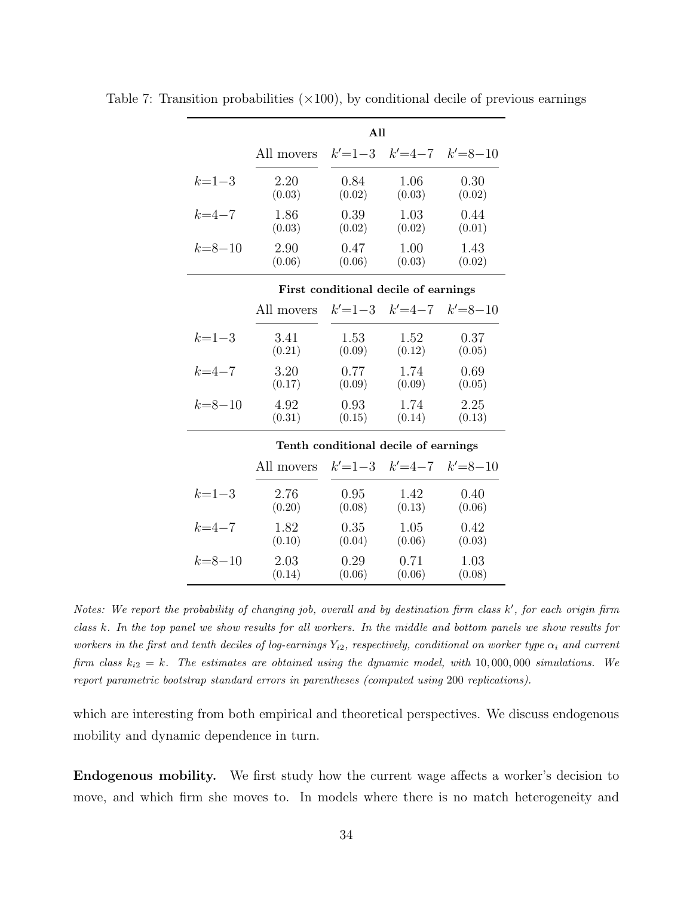<span id="page-33-0"></span>

|              | All                                    |        |        |                                         |  |  |  |  |
|--------------|----------------------------------------|--------|--------|-----------------------------------------|--|--|--|--|
|              | All movers                             |        |        | $k'=1-3$ $k'=4-7$ $k'=8-10$             |  |  |  |  |
| $k=1-3$      | 2.20                                   | 0.84   | 1.06   | 0.30                                    |  |  |  |  |
|              | (0.03)                                 | (0.02) | (0.03) | (0.02)                                  |  |  |  |  |
| $k = 4 - 7$  | 1.86                                   | 0.39   | 1.03   | 0.44                                    |  |  |  |  |
|              | (0.03)                                 | (0.02) | (0.02) | (0.01)                                  |  |  |  |  |
| $k = 8 - 10$ | 2.90                                   | 0.47   | 1.00   | 1.43                                    |  |  |  |  |
|              | (0.06)                                 | (0.06) | (0.03) | (0.02)                                  |  |  |  |  |
|              | First conditional decile of earnings   |        |        |                                         |  |  |  |  |
|              | All movers                             |        |        | $k' = 1 - 3$ $k' = 4 - 7$ $k' = 8 - 10$ |  |  |  |  |
| $k = 1 - 3$  | 3.41                                   | 1.53   | 1.52   | 0.37                                    |  |  |  |  |
|              | (0.21)                                 | (0.09) | (0.12) | (0.05)                                  |  |  |  |  |
| $k = 4 - 7$  | 3.20                                   | 0.77   | 1.74   | 0.69                                    |  |  |  |  |
|              | (0.17)                                 | (0.09) | (0.09) | (0.05)                                  |  |  |  |  |
| $k = 8 - 10$ | 4.92                                   | 0.93   | 1.74   | 2.25                                    |  |  |  |  |
|              | (0.31)                                 | (0.15) | (0.14) | (0.13)                                  |  |  |  |  |
|              | Tenth conditional decile of earnings   |        |        |                                         |  |  |  |  |
|              | All movers $k'=1-3$ $k'=4-7$ $k'=8-10$ |        |        |                                         |  |  |  |  |
| $k=1-3$      | 2.76                                   | 0.95   | 1.42   | 0.40                                    |  |  |  |  |
|              | (0.20)                                 | (0.08) | (0.13) | (0.06)                                  |  |  |  |  |

Table 7: Transition probabilities  $(\times 100)$ , by conditional decile of previous earnings

Notes: We report the probability of changing job, overall and by destination firm class  $k'$ , for each origin firm class k. In the top panel we show results for all workers. In the middle and bottom panels we show results for workers in the first and tenth deciles of log-earnings  $Y_{i2}$ , respectively, conditional on worker type  $\alpha_i$  and current firm class  $k_{i2} = k$ . The estimates are obtained using the dynamic model, with 10,000,000 simulations. We report parametric bootstrap standard errors in parentheses (computed using 200 replications).

 $k=4-7$  1.82 0.35 1.05 0.42<br>
(0.10) (0.04) (0.06) (0.03)

 $k=8-10$  2.03 0.29 0.71 1.03<br>
(0.14) (0.06) (0.06) (0.08)

 $(0.06)$   $(0.06)$ 

 $(0.03)$ 

which are interesting from both empirical and theoretical perspectives. We discuss endogenous mobility and dynamic dependence in turn.

Endogenous mobility. We first study how the current wage affects a worker's decision to move, and which firm she moves to. In models where there is no match heterogeneity and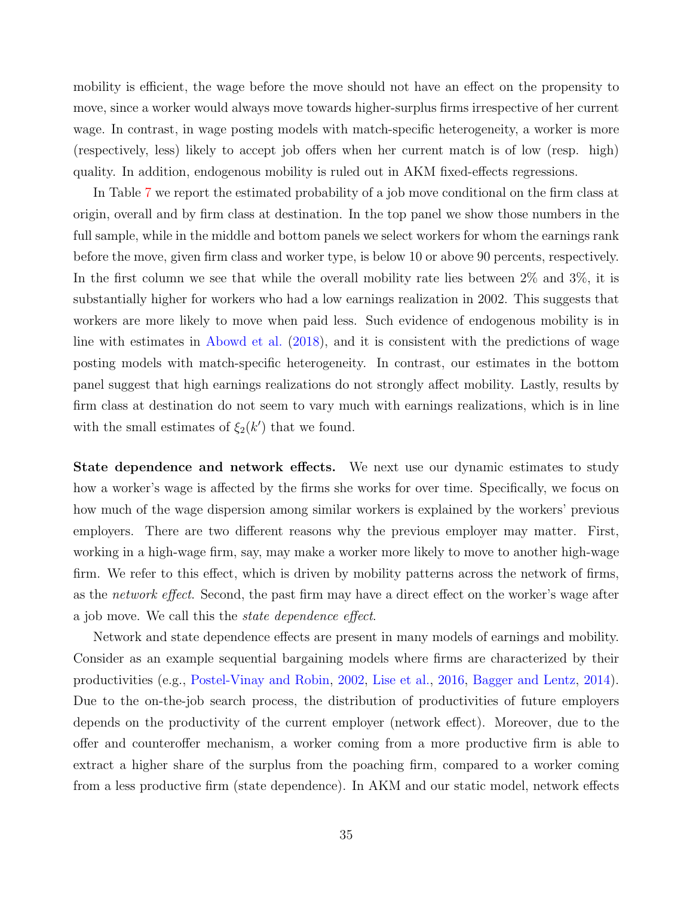mobility is efficient, the wage before the move should not have an effect on the propensity to move, since a worker would always move towards higher-surplus firms irrespective of her current wage. In contrast, in wage posting models with match-specific heterogeneity, a worker is more (respectively, less) likely to accept job offers when her current match is of low (resp. high) quality. In addition, endogenous mobility is ruled out in AKM fixed-effects regressions.

In Table [7](#page-33-0) we report the estimated probability of a job move conditional on the firm class at origin, overall and by firm class at destination. In the top panel we show those numbers in the full sample, while in the middle and bottom panels we select workers for whom the earnings rank before the move, given firm class and worker type, is below 10 or above 90 percents, respectively. In the first column we see that while the overall mobility rate lies between 2% and 3%, it is substantially higher for workers who had a low earnings realization in 2002. This suggests that workers are more likely to move when paid less. Such evidence of endogenous mobility is in line with estimates in [Abowd et al.](#page-38-6) [\(2018\)](#page-38-6), and it is consistent with the predictions of wage posting models with match-specific heterogeneity. In contrast, our estimates in the bottom panel suggest that high earnings realizations do not strongly affect mobility. Lastly, results by firm class at destination do not seem to vary much with earnings realizations, which is in line with the small estimates of  $\xi_2(k')$  that we found.

**State dependence and network effects.** We next use our dynamic estimates to study how a worker's wage is affected by the firms she works for over time. Specifically, we focus on how much of the wage dispersion among similar workers is explained by the workers' previous employers. There are two different reasons why the previous employer may matter. First, working in a high-wage firm, say, may make a worker more likely to move to another high-wage firm. We refer to this effect, which is driven by mobility patterns across the network of firms, as the *network effect*. Second, the past firm may have a direct effect on the worker's wage after a job move. We call this the state dependence effect.

Network and state dependence effects are present in many models of earnings and mobility. Consider as an example sequential bargaining models where firms are characterized by their productivities (e.g., [Postel-Vinay and Robin,](#page-42-6) [2002,](#page-42-6) [Lise et al.,](#page-42-5) [2016,](#page-42-5) [Bagger and Lentz,](#page-38-1) [2014\)](#page-38-1). Due to the on-the-job search process, the distribution of productivities of future employers depends on the productivity of the current employer (network effect). Moreover, due to the offer and counteroffer mechanism, a worker coming from a more productive firm is able to extract a higher share of the surplus from the poaching firm, compared to a worker coming from a less productive firm (state dependence). In AKM and our static model, network effects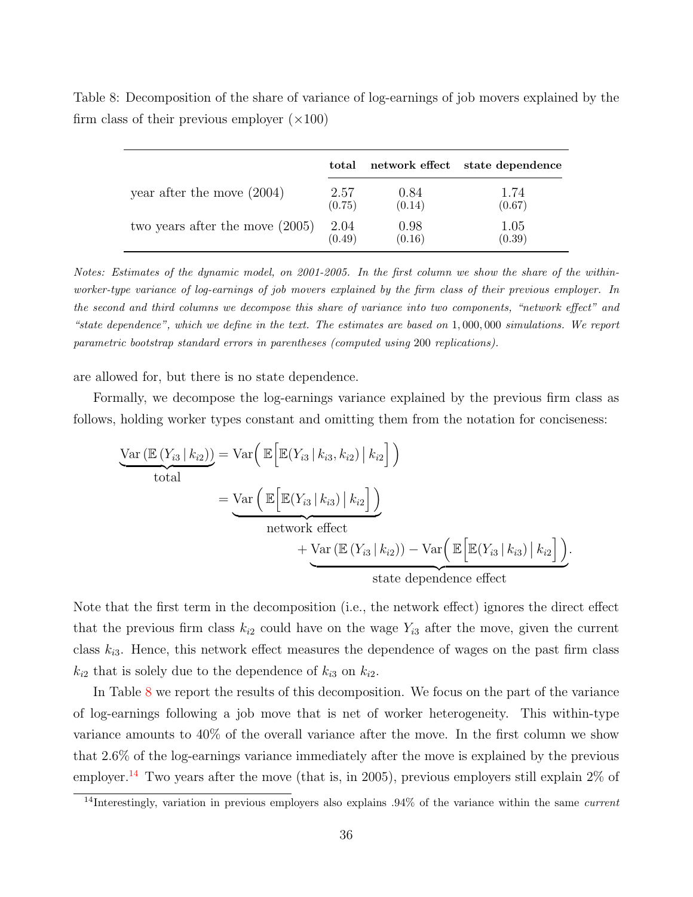|                                 | total  |        | network effect state dependence |
|---------------------------------|--------|--------|---------------------------------|
| year after the move $(2004)$    | 2.57   | 0.84   | 1.74                            |
|                                 | (0.75) | (0.14) | (0.67)                          |
| two years after the move (2005) | 2.04   | 0.98   | 1.05                            |
|                                 | (0.49) | (0.16) | (0.39)                          |

<span id="page-35-0"></span>Table 8: Decomposition of the share of variance of log-earnings of job movers explained by the firm class of their previous employer  $(\times 100)$ 

Notes: Estimates of the dynamic model, on 2001-2005. In the first column we show the share of the withinworker-type variance of log-earnings of job movers explained by the firm class of their previous employer. In the second and third columns we decompose this share of variance into two components, "network effect" and "state dependence", which we define in the text. The estimates are based on 1, 000, 000 simulations. We report parametric bootstrap standard errors in parentheses (computed using 200 replications).

are allowed for, but there is no state dependence.

Formally, we decompose the log-earnings variance explained by the previous firm class as follows, holding worker types constant and omitting them from the notation for conciseness:

$$
\underbrace{\text{Var}(\mathbb{E}(Y_{i3} | k_{i2}))}_{\text{total}} = \text{Var}\left(\mathbb{E}\left[\mathbb{E}(Y_{i3} | k_{i3}, k_{i2}) | k_{i2}\right]\right)
$$
\n
$$
= \underbrace{\text{Var}\left(\mathbb{E}\left[\mathbb{E}(Y_{i3} | k_{i3}) | k_{i2}\right]\right)}_{\text{network effect}} + \underbrace{\text{Var}(\mathbb{E}(Y_{i3} | k_{i2})) - \text{Var}\left(\mathbb{E}\left[\mathbb{E}(Y_{i3} | k_{i3}) | k_{i2}\right]\right)}_{\text{state dependence effect}}.
$$

Note that the first term in the decomposition (i.e., the network effect) ignores the direct effect that the previous firm class  $k_{i2}$  could have on the wage  $Y_{i3}$  after the move, given the current class  $k_{i3}$ . Hence, this network effect measures the dependence of wages on the past firm class  $k_{i2}$  that is solely due to the dependence of  $k_{i3}$  on  $k_{i2}$ .

In Table [8](#page-35-0) we report the results of this decomposition. We focus on the part of the variance of log-earnings following a job move that is net of worker heterogeneity. This within-type variance amounts to 40% of the overall variance after the move. In the first column we show that 2.6% of the log-earnings variance immediately after the move is explained by the previous employer.<sup>[14](#page-35-1)</sup> Two years after the move (that is, in 2005), previous employers still explain 2% of

<span id="page-35-1"></span> $14$ Interestingly, variation in previous employers also explains .94% of the variance within the same *current*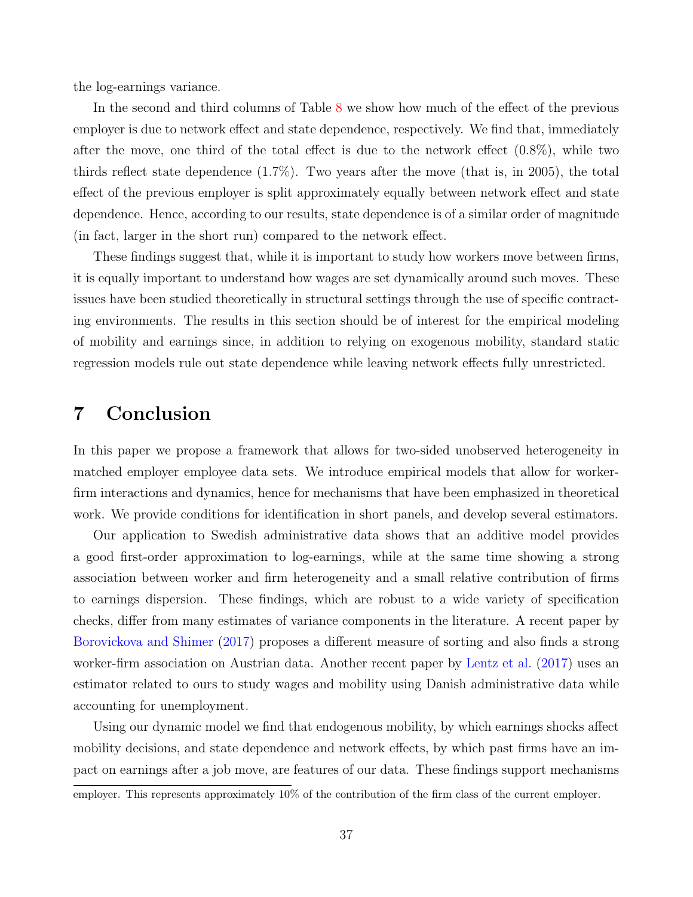the log-earnings variance.

In the second and third columns of Table [8](#page-35-0) we show how much of the effect of the previous employer is due to network effect and state dependence, respectively. We find that, immediately after the move, one third of the total effect is due to the network effect (0.8%), while two thirds reflect state dependence (1.7%). Two years after the move (that is, in 2005), the total effect of the previous employer is split approximately equally between network effect and state dependence. Hence, according to our results, state dependence is of a similar order of magnitude (in fact, larger in the short run) compared to the network effect.

These findings suggest that, while it is important to study how workers move between firms, it is equally important to understand how wages are set dynamically around such moves. These issues have been studied theoretically in structural settings through the use of specific contracting environments. The results in this section should be of interest for the empirical modeling of mobility and earnings since, in addition to relying on exogenous mobility, standard static regression models rule out state dependence while leaving network effects fully unrestricted.

## <span id="page-36-0"></span>7 Conclusion

In this paper we propose a framework that allows for two-sided unobserved heterogeneity in matched employer employee data sets. We introduce empirical models that allow for workerfirm interactions and dynamics, hence for mechanisms that have been emphasized in theoretical work. We provide conditions for identification in short panels, and develop several estimators.

Our application to Swedish administrative data shows that an additive model provides a good first-order approximation to log-earnings, while at the same time showing a strong association between worker and firm heterogeneity and a small relative contribution of firms to earnings dispersion. These findings, which are robust to a wide variety of specification checks, differ from many estimates of variance components in the literature. A recent paper by [Borovickova and Shimer](#page-39-11) [\(2017\)](#page-39-11) proposes a different measure of sorting and also finds a strong worker-firm association on Austrian data. Another recent paper by [Lentz et al.](#page-41-12) [\(2017\)](#page-41-12) uses an estimator related to ours to study wages and mobility using Danish administrative data while accounting for unemployment.

Using our dynamic model we find that endogenous mobility, by which earnings shocks affect mobility decisions, and state dependence and network effects, by which past firms have an impact on earnings after a job move, are features of our data. These findings support mechanisms

employer. This represents approximately 10% of the contribution of the firm class of the current employer.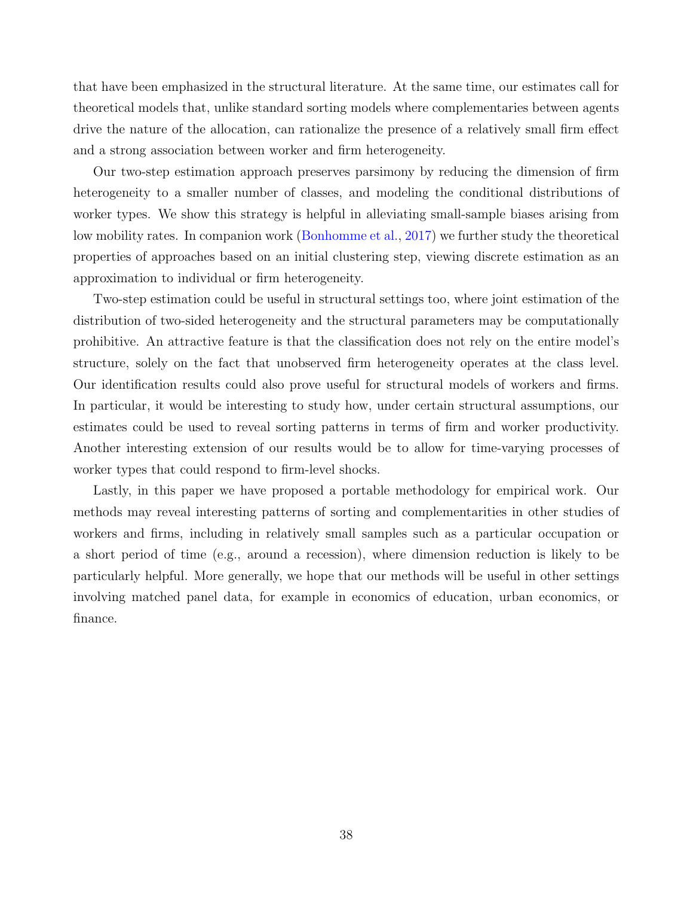that have been emphasized in the structural literature. At the same time, our estimates call for theoretical models that, unlike standard sorting models where complementaries between agents drive the nature of the allocation, can rationalize the presence of a relatively small firm effect and a strong association between worker and firm heterogeneity.

Our two-step estimation approach preserves parsimony by reducing the dimension of firm heterogeneity to a smaller number of classes, and modeling the conditional distributions of worker types. We show this strategy is helpful in alleviating small-sample biases arising from low mobility rates. In companion work [\(Bonhomme et al.,](#page-39-2) [2017\)](#page-39-2) we further study the theoretical properties of approaches based on an initial clustering step, viewing discrete estimation as an approximation to individual or firm heterogeneity.

Two-step estimation could be useful in structural settings too, where joint estimation of the distribution of two-sided heterogeneity and the structural parameters may be computationally prohibitive. An attractive feature is that the classification does not rely on the entire model's structure, solely on the fact that unobserved firm heterogeneity operates at the class level. Our identification results could also prove useful for structural models of workers and firms. In particular, it would be interesting to study how, under certain structural assumptions, our estimates could be used to reveal sorting patterns in terms of firm and worker productivity. Another interesting extension of our results would be to allow for time-varying processes of worker types that could respond to firm-level shocks.

Lastly, in this paper we have proposed a portable methodology for empirical work. Our methods may reveal interesting patterns of sorting and complementarities in other studies of workers and firms, including in relatively small samples such as a particular occupation or a short period of time (e.g., around a recession), where dimension reduction is likely to be particularly helpful. More generally, we hope that our methods will be useful in other settings involving matched panel data, for example in economics of education, urban economics, or finance.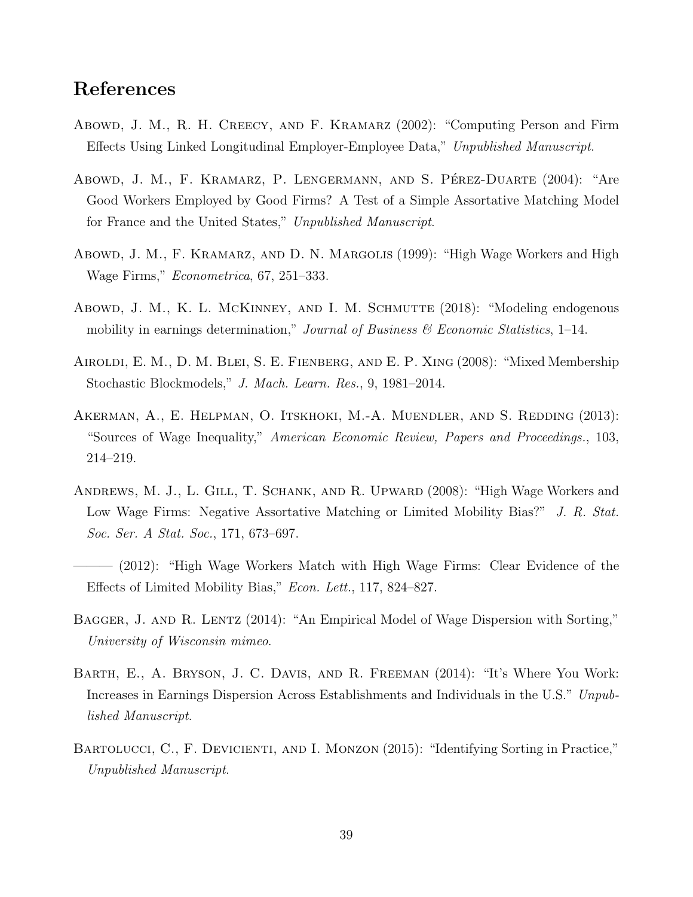# References

- <span id="page-38-7"></span>Abowd, J. M., R. H. Creecy, and F. Kramarz (2002): "Computing Person and Firm Effects Using Linked Longitudinal Employer-Employee Data," Unpublished Manuscript.
- <span id="page-38-2"></span>Abowd, J. M., F. Kramarz, P. Lengermann, and S. Pérez-Duarte (2004): "Are Good Workers Employed by Good Firms? A Test of a Simple Assortative Matching Model for France and the United States," Unpublished Manuscript.
- <span id="page-38-0"></span>Abowd, J. M., F. KRAMARZ, AND D. N. MARGOLIS (1999): "High Wage Workers and High Wage Firms," Econometrica, 67, 251–333.
- <span id="page-38-6"></span>Abowd, J. M., K. L. McKINNEY, AND I. M. SCHMUTTE (2018): "Modeling endogenous mobility in earnings determination," Journal of Business  $\mathcal C$  Economic Statistics, 1–14.
- <span id="page-38-5"></span>Airoldi, E. M., D. M. Blei, S. E. Fienberg, and E. P. Xing (2008): "Mixed Membership Stochastic Blockmodels," J. Mach. Learn. Res., 9, 1981–2014.
- <span id="page-38-9"></span>Akerman, A., E. Helpman, O. Itskhoki, M.-A. Muendler, and S. Redding (2013): "Sources of Wage Inequality," American Economic Review, Papers and Proceedings., 103, 214–219.
- <span id="page-38-3"></span>ANDREWS, M. J., L. GILL, T. SCHANK, AND R. UPWARD (2008): "High Wage Workers and Low Wage Firms: Negative Assortative Matching or Limited Mobility Bias?" J. R. Stat. Soc. Ser. A Stat. Soc., 171, 673–697.
- <span id="page-38-4"></span>– (2012): "High Wage Workers Match with High Wage Firms: Clear Evidence of the Effects of Limited Mobility Bias," Econ. Lett., 117, 824–827.
- <span id="page-38-1"></span>BAGGER, J. AND R. LENTZ (2014): "An Empirical Model of Wage Dispersion with Sorting," University of Wisconsin mimeo.
- <span id="page-38-10"></span>Barth, E., A. Bryson, J. C. Davis, and R. Freeman (2014): "It's Where You Work: Increases in Earnings Dispersion Across Establishments and Individuals in the U.S." Unpublished Manuscript.
- <span id="page-38-8"></span>BARTOLUCCI, C., F. DEVICIENTI, AND I. MONZON (2015): "Identifying Sorting in Practice," Unpublished Manuscript.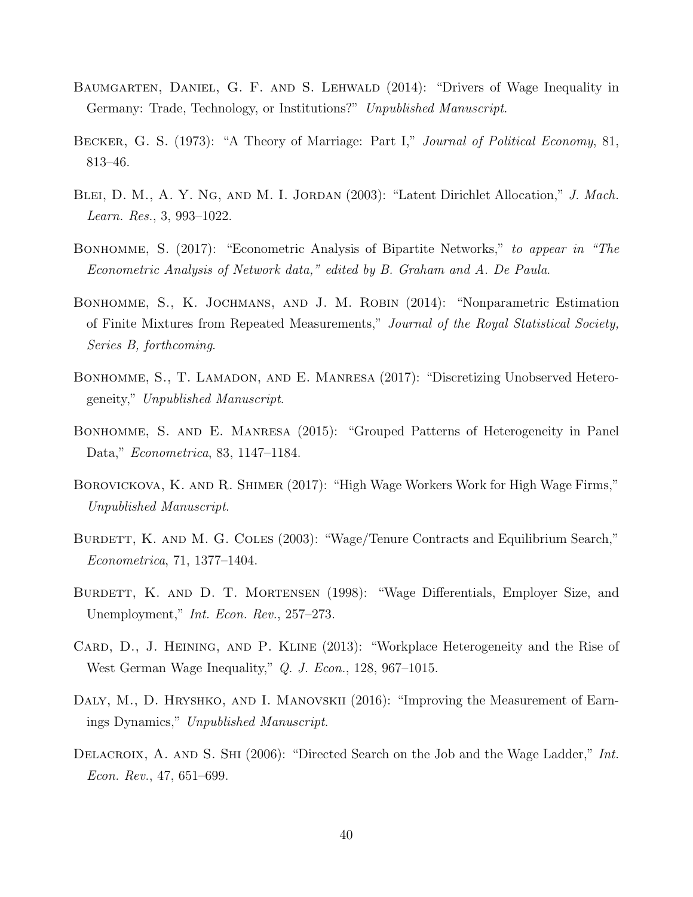- <span id="page-39-12"></span>BAUMGARTEN, DANIEL, G. F. AND S. LEHWALD (2014): "Drivers of Wage Inequality in Germany: Trade, Technology, or Institutions?" Unpublished Manuscript.
- <span id="page-39-0"></span>BECKER, G. S. (1973): "A Theory of Marriage: Part I," Journal of Political Economy, 81, 813–46.
- <span id="page-39-5"></span>BLEI, D. M., A. Y. NG, AND M. I. JORDAN (2003): "Latent Dirichlet Allocation," J. Mach. Learn. Res., 3, 993–1022.
- <span id="page-39-6"></span>BONHOMME, S. (2017): "Econometric Analysis of Bipartite Networks," to appear in "The Econometric Analysis of Network data," edited by B. Graham and A. De Paula.
- <span id="page-39-4"></span>Bonhomme, S., K. Jochmans, and J. M. Robin (2014): "Nonparametric Estimation of Finite Mixtures from Repeated Measurements," Journal of the Royal Statistical Society, Series B, forthcoming.
- <span id="page-39-2"></span>BONHOMME, S., T. LAMADON, AND E. MANRESA (2017): "Discretizing Unobserved Heterogeneity," Unpublished Manuscript.
- <span id="page-39-3"></span>Bonhomme, S. and E. Manresa (2015): "Grouped Patterns of Heterogeneity in Panel Data," Econometrica, 83, 1147–1184.
- <span id="page-39-11"></span>BOROVICKOVA, K. AND R. SHIMER (2017): "High Wage Workers Work for High Wage Firms," Unpublished Manuscript.
- <span id="page-39-9"></span>BURDETT, K. AND M. G. COLES (2003): "Wage/Tenure Contracts and Equilibrium Search," Econometrica, 71, 1377–1404.
- <span id="page-39-7"></span>BURDETT, K. AND D. T. MORTENSEN (1998): "Wage Differentials, Employer Size, and Unemployment," *Int. Econ. Rev.*, 257–273.
- <span id="page-39-1"></span>CARD, D., J. HEINING, AND P. KLINE (2013): "Workplace Heterogeneity and the Rise of West German Wage Inequality," Q. J. Econ., 128, 967-1015.
- <span id="page-39-10"></span>DALY, M., D. HRYSHKO, AND I. MANOVSKII (2016): "Improving the Measurement of Earnings Dynamics," Unpublished Manuscript.
- <span id="page-39-8"></span>DELACROIX, A. AND S. SHI (2006): "Directed Search on the Job and the Wage Ladder," Int. Econ. Rev., 47, 651–699.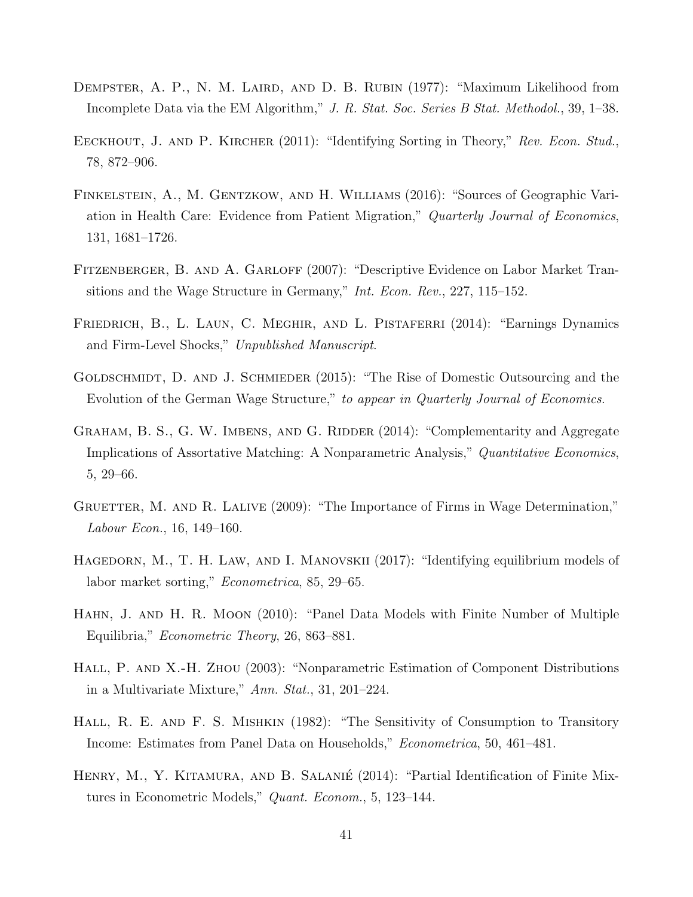- <span id="page-40-9"></span>DEMPSTER, A. P., N. M. LAIRD, AND D. B. RUBIN (1977): "Maximum Likelihood from Incomplete Data via the EM Algorithm," J. R. Stat. Soc. Series B Stat. Methodol., 39, 1–38.
- <span id="page-40-0"></span>EECKHOUT, J. AND P. KIRCHER (2011): "Identifying Sorting in Theory," Rev. Econ. Stud., 78, 872–906.
- <span id="page-40-3"></span>Finkelstein, A., M. Gentzkow, and H. Williams (2016): "Sources of Geographic Variation in Health Care: Evidence from Patient Migration," Quarterly Journal of Economics, 131, 1681–1726.
- <span id="page-40-12"></span>FITZENBERGER, B. AND A. GARLOFF (2007): "Descriptive Evidence on Labor Market Transitions and the Wage Structure in Germany," Int. Econ. Rev., 227, 115–152.
- <span id="page-40-10"></span>FRIEDRICH, B., L. LAUN, C. MEGHIR, AND L. PISTAFERRI (2014): "Earnings Dynamics and Firm-Level Shocks," Unpublished Manuscript.
- <span id="page-40-2"></span>GOLDSCHMIDT, D. AND J. SCHMIEDER (2015): "The Rise of Domestic Outsourcing and the Evolution of the German Wage Structure," to appear in Quarterly Journal of Economics.
- <span id="page-40-11"></span>GRAHAM, B. S., G. W. IMBENS, AND G. RIDDER (2014): "Complementarity and Aggregate Implications of Assortative Matching: A Nonparametric Analysis," Quantitative Economics, 5, 29–66.
- <span id="page-40-1"></span>GRUETTER, M. AND R. LALIVE (2009): "The Importance of Firms in Wage Determination," Labour Econ., 16, 149–160.
- <span id="page-40-4"></span>HAGEDORN, M., T. H. LAW, AND I. MANOVSKII (2017): "Identifying equilibrium models of labor market sorting," Econometrica, 85, 29–65.
- <span id="page-40-5"></span>Hahn, J. and H. R. Moon (2010): "Panel Data Models with Finite Number of Multiple Equilibria," Econometric Theory, 26, 863–881.
- <span id="page-40-6"></span>Hall, P. and X.-H. Zhou (2003): "Nonparametric Estimation of Component Distributions in a Multivariate Mixture," Ann. Stat., 31, 201–224.
- <span id="page-40-8"></span>HALL, R. E. AND F. S. MISHKIN (1982): "The Sensitivity of Consumption to Transitory Income: Estimates from Panel Data on Households," Econometrica, 50, 461–481.
- <span id="page-40-7"></span>HENRY, M., Y. KITAMURA, AND B. SALANIÉ (2014): "Partial Identification of Finite Mixtures in Econometric Models," Quant. Econom., 5, 123–144.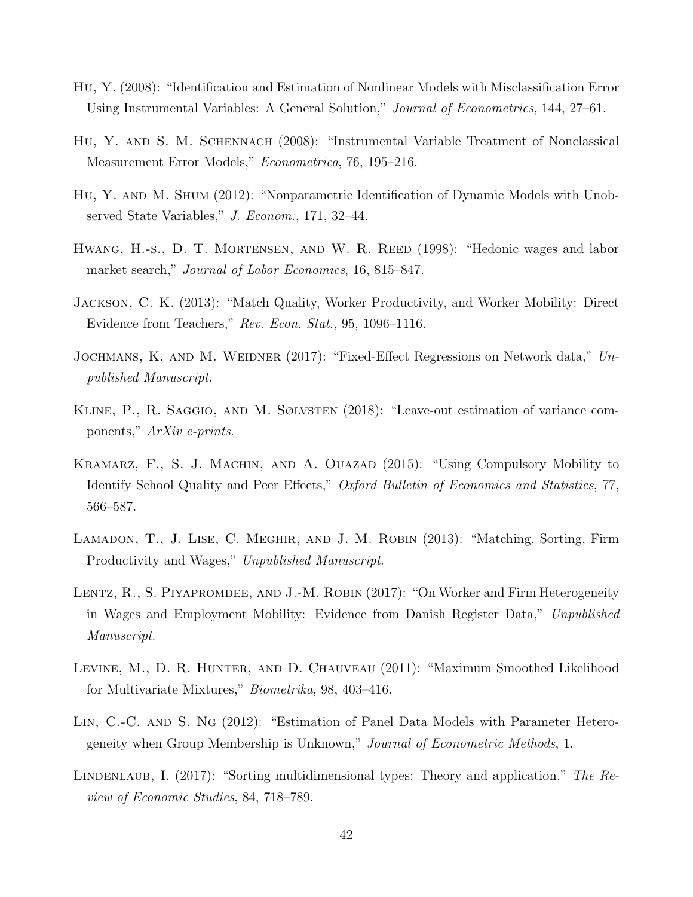- <span id="page-41-5"></span>Hu, Y. (2008): "Identification and Estimation of Nonlinear Models with Misclassification Error Using Instrumental Variables: A General Solution," Journal of Econometrics, 144, 27–61.
- <span id="page-41-7"></span>Hu, Y. and S. M. Schennach (2008): "Instrumental Variable Treatment of Nonclassical Measurement Error Models," Econometrica, 76, 195–216.
- <span id="page-41-8"></span>Hu, Y. and M. Shum (2012): "Nonparametric Identification of Dynamic Models with Unobserved State Variables," J. Econom., 171, 32–44.
- <span id="page-41-10"></span>HWANG, H.-S., D. T. MORTENSEN, AND W. R. REED (1998): "Hedonic wages and labor market search," *Journal of Labor Economics*, 16, 815–847.
- <span id="page-41-1"></span>Jackson, C. K. (2013): "Match Quality, Worker Productivity, and Worker Mobility: Direct Evidence from Teachers," Rev. Econ. Stat., 95, 1096–1116.
- <span id="page-41-9"></span>JOCHMANS, K. AND M. WEIDNER (2017): "Fixed-Effect Regressions on Network data,"  $Un$ published Manuscript.
- <span id="page-41-3"></span>KLINE, P., R. SAGGIO, AND M. SØLVSTEN (2018): "Leave-out estimation of variance components," ArXiv e-prints.
- <span id="page-41-0"></span>KRAMARZ, F., S. J. MACHIN, AND A. OUAZAD (2015): "Using Compulsory Mobility to Identify School Quality and Peer Effects," Oxford Bulletin of Economics and Statistics, 77, 566–587.
- <span id="page-41-2"></span>LAMADON, T., J. LISE, C. MEGHIR, AND J. M. ROBIN (2013): "Matching, Sorting, Firm Productivity and Wages," Unpublished Manuscript.
- <span id="page-41-12"></span>LENTZ, R., S. PIYAPROMDEE, AND J.-M. ROBIN (2017): "On Worker and Firm Heterogeneity in Wages and Employment Mobility: Evidence from Danish Register Data," Unpublished Manuscript.
- <span id="page-41-6"></span>LEVINE, M., D. R. HUNTER, AND D. CHAUVEAU (2011): "Maximum Smoothed Likelihood for Multivariate Mixtures," Biometrika, 98, 403–416.
- <span id="page-41-4"></span>Lin, C.-C. and S. Ng (2012): "Estimation of Panel Data Models with Parameter Heterogeneity when Group Membership is Unknown," Journal of Econometric Methods, 1.
- <span id="page-41-11"></span>LINDENLAUB, I.  $(2017)$ : "Sorting multidimensional types: Theory and application," The Review of Economic Studies, 84, 718–789.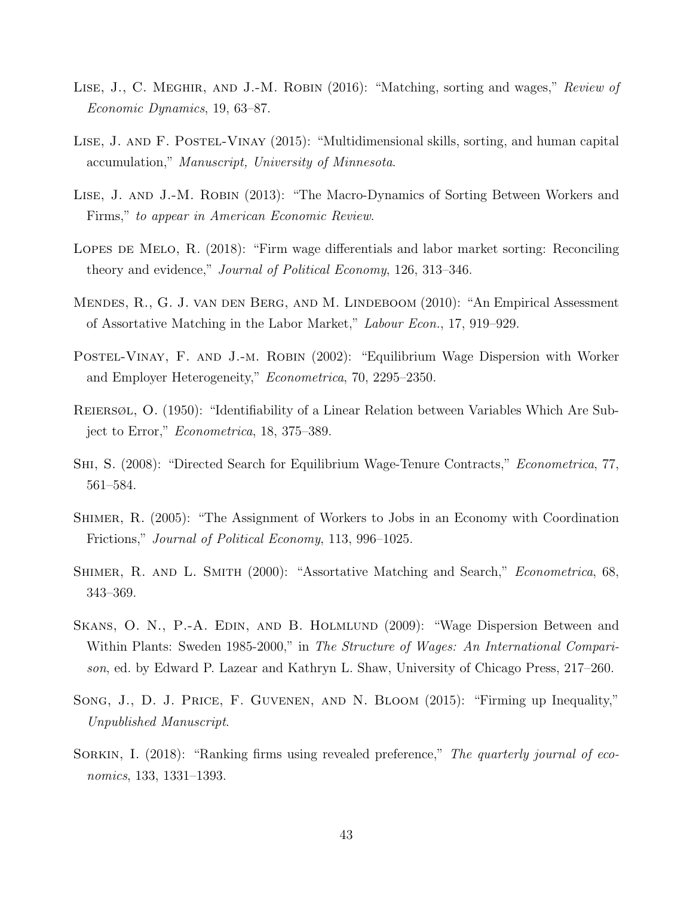- <span id="page-42-5"></span>LISE, J., C. MEGHIR, AND J.-M. ROBIN (2016): "Matching, sorting and wages," Review of Economic Dynamics, 19, 63–87.
- <span id="page-42-11"></span>Lise, J. and F. Postel-Vinay (2015): "Multidimensional skills, sorting, and human capital accumulation," Manuscript, University of Minnesota.
- <span id="page-42-9"></span>LISE, J. AND J.-M. ROBIN (2013): "The Macro-Dynamics of Sorting Between Workers and Firms," to appear in American Economic Review.
- <span id="page-42-4"></span>LOPES DE MELO, R. (2018): "Firm wage differentials and labor market sorting: Reconciling theory and evidence," Journal of Political Economy, 126, 313–346.
- <span id="page-42-1"></span>Mendes, R., G. J. van den Berg, and M. Lindeboom (2010): "An Empirical Assessment of Assortative Matching in the Labor Market," Labour Econ., 17, 919–929.
- <span id="page-42-6"></span>Postel-Vinay, F. and J.-m. Robin (2002): "Equilibrium Wage Dispersion with Worker and Employer Heterogeneity," Econometrica, 70, 2295–2350.
- <span id="page-42-10"></span>REIERSØL, O. (1950): "Identifiability of a Linear Relation between Variables Which Are Subject to Error," Econometrica, 18, 375–389.
- <span id="page-42-8"></span>Shi, S. (2008): "Directed Search for Equilibrium Wage-Tenure Contracts," Econometrica, 77, 561–584.
- <span id="page-42-7"></span>Shimer, R. (2005): "The Assignment of Workers to Jobs in an Economy with Coordination Frictions," Journal of Political Economy, 113, 996–1025.
- <span id="page-42-0"></span>SHIMER, R. AND L. SMITH (2000): "Assortative Matching and Search," *Econometrica*, 68, 343–369.
- <span id="page-42-12"></span>Skans, O. N., P.-A. Edin, and B. Holmlund (2009): "Wage Dispersion Between and Within Plants: Sweden 1985-2000," in The Structure of Wages: An International Comparison, ed. by Edward P. Lazear and Kathryn L. Shaw, University of Chicago Press, 217–260.
- <span id="page-42-2"></span>Song, J., D. J. Price, F. Guvenen, and N. Bloom (2015): "Firming up Inequality," Unpublished Manuscript.
- <span id="page-42-3"></span>SORKIN, I. (2018): "Ranking firms using revealed preference," The quarterly journal of economics, 133, 1331–1393.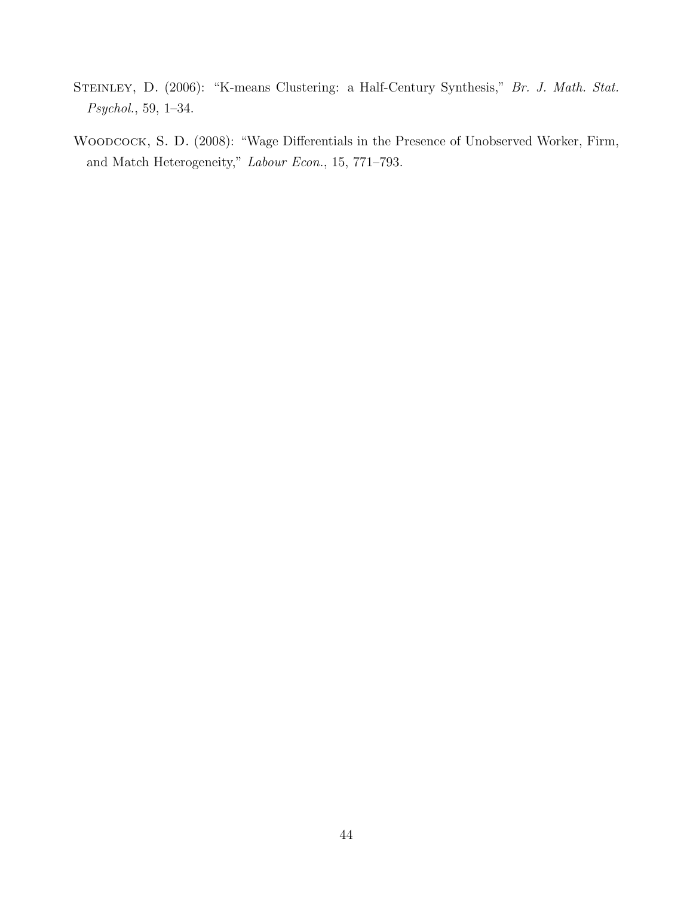- <span id="page-43-1"></span>STEINLEY, D. (2006): "K-means Clustering: a Half-Century Synthesis," Br. J. Math. Stat. Psychol., 59, 1–34.
- <span id="page-43-0"></span>Woodcock, S. D. (2008): "Wage Differentials in the Presence of Unobserved Worker, Firm, and Match Heterogeneity," Labour Econ., 15, 771–793.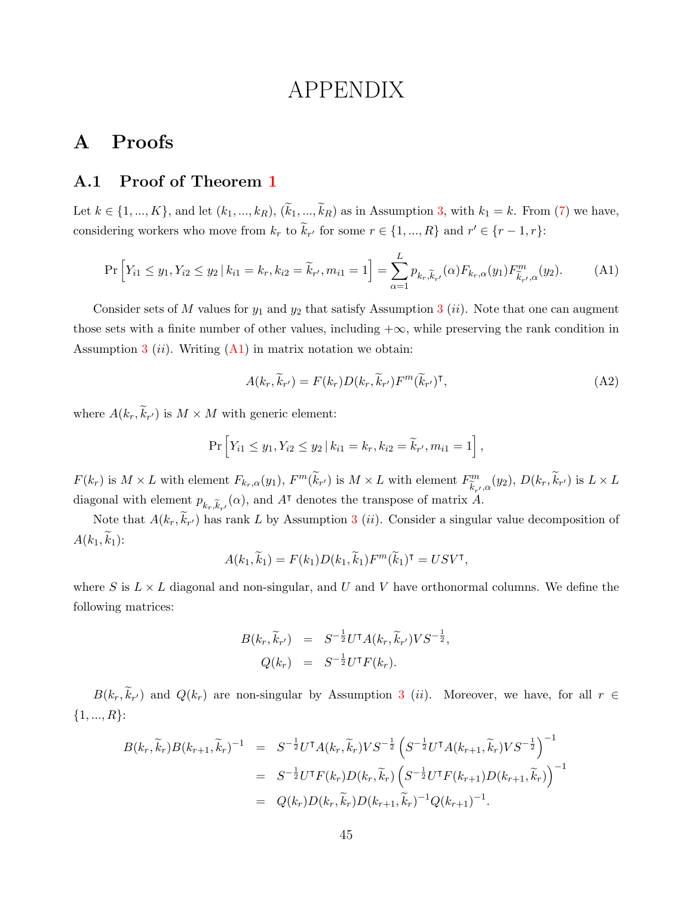# <span id="page-44-1"></span>APPENDIX

# <span id="page-44-0"></span>A Proofs

### A.1 Proof of Theorem [1](#page-13-0)

Let  $k \in \{1, ..., K\}$ , and let  $(k_1, ..., k_R)$ ,  $(\widetilde{k}_1, ..., \widetilde{k}_R)$  as in Assumption [3,](#page-12-2) with  $k_1 = k$ . From [\(7\)](#page-12-0) we have, considering workers who move from  $k_r$  to  $\tilde{k}_{r'}$  for some  $r \in \{1, ..., R\}$  and  $r' \in \{r - 1, r\}$ :

$$
\Pr\left[Y_{i1} \leq y_1, Y_{i2} \leq y_2 \mid k_{i1} = k_r, k_{i2} = \tilde{k}_{r'}, m_{i1} = 1\right] = \sum_{\alpha=1}^{L} p_{k_r, \tilde{k}_{r'}}(\alpha) F_{k_r, \alpha}(y_1) F_{\tilde{k}_{r'}, \alpha}^m(y_2). \tag{A1}
$$

Consider sets of M values for  $y_1$  and  $y_2$  that satisfy Assumption [3](#page-12-2) (*ii*). Note that one can augment those sets with a finite number of other values, including  $+\infty$ , while preserving the rank condition in Assumption  $3$  (*ii*). Writing  $(A1)$  in matrix notation we obtain:

$$
A(k_r, \widetilde{k}_{r'}) = F(k_r)D(k_r, \widetilde{k}_{r'})F^m(\widetilde{k}_{r'})^{\mathsf{T}},\tag{A2}
$$

where  $A(k_r, k_{r'})$  is  $M \times M$  with generic element:

$$
\Pr\left[Y_{i1} \leq y_1, Y_{i2} \leq y_2 \,|\, k_{i1} = k_r, k_{i2} = \widetilde{k}_{r'}, m_{i1} = 1\right],
$$

 $F(k_r)$  is  $M \times L$  with element  $F_{k_r,\alpha}(y_1)$ ,  $F^m(\tilde{k}_{r'})$  is  $M \times L$  with element  $F_{\tilde{k}_{r'}}^m$  $\sum_{\widetilde{k}_{r'},\alpha}^{m}(y_2), D(k_r, k_{r'})$  is  $L \times L$ diagonal with element  $p_{k_r,\widetilde{k}_{r'}}(\alpha)$ , and  $A^{\dagger}$  denotes the transpose of matrix A.

Note that  $A(k_r, k_{r'})$  has rank L by Assumption [3](#page-12-2) (*ii*). Consider a singular value decomposition of  $A(k_1, \widetilde{k}_1)$ :

$$
A(k_1, \widetilde{k}_1) = F(k_1)D(k_1, \widetilde{k}_1)F^m(\widetilde{k}_1)^{\mathsf{T}} = USV^{\mathsf{T}},
$$

where S is  $L \times L$  diagonal and non-singular, and U and V have orthonormal columns. We define the following matrices:

$$
B(k_r, \widetilde{k}_{r'}) = S^{-\frac{1}{2}} U^{\intercal} A(k_r, \widetilde{k}_{r'}) V S^{-\frac{1}{2}},
$$
  

$$
Q(k_r) = S^{-\frac{1}{2}} U^{\intercal} F(k_r).
$$

 $B(k_r, k_{r'})$  and  $Q(k_r)$  are non-singular by Assumption [3](#page-12-2) (*ii*). Moreover, we have, for all  $r \in$  ${1, ..., R}$ :

$$
B(k_r, \widetilde{k}_r)B(k_{r+1}, \widetilde{k}_r)^{-1} = S^{-\frac{1}{2}}U^{\mathsf{T}}A(k_r, \widetilde{k}_r)VS^{-\frac{1}{2}} \left(S^{-\frac{1}{2}}U^{\mathsf{T}}A(k_{r+1}, \widetilde{k}_r)VS^{-\frac{1}{2}}\right)^{-1}
$$
  

$$
= S^{-\frac{1}{2}}U^{\mathsf{T}}F(k_r)D(k_r, \widetilde{k}_r) \left(S^{-\frac{1}{2}}U^{\mathsf{T}}F(k_{r+1})D(k_{r+1}, \widetilde{k}_r)\right)^{-1}
$$
  

$$
= Q(k_r)D(k_r, \widetilde{k}_r)D(k_{r+1}, \widetilde{k}_r)^{-1}Q(k_{r+1})^{-1}.
$$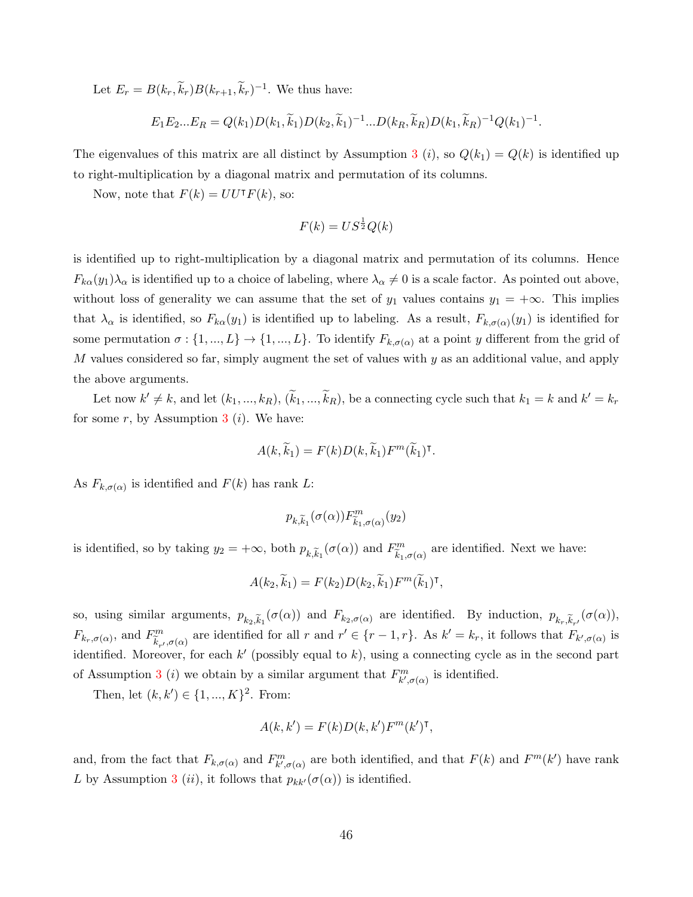Let  $E_r = B(k_r, \tilde{k}_r)B(k_{r+1}, \tilde{k}_r)^{-1}$ . We thus have:

$$
E_1E_2...E_R = Q(k_1)D(k_1,\widetilde{k}_1)D(k_2,\widetilde{k}_1)^{-1}...D(k_R,\widetilde{k}_R)D(k_1,\widetilde{k}_R)^{-1}Q(k_1)^{-1}.
$$

The eigenvalues of this matrix are all distinct by Assumption [3](#page-12-2) (i), so  $Q(k_1) = Q(k)$  is identified up to right-multiplication by a diagonal matrix and permutation of its columns.

Now, note that  $F(k) = U U^{\dagger} F(k)$ , so:

$$
F(k) = US^{\frac{1}{2}}Q(k)
$$

is identified up to right-multiplication by a diagonal matrix and permutation of its columns. Hence  $F_{k\alpha}(y_1)\lambda_\alpha$  is identified up to a choice of labeling, where  $\lambda_\alpha\neq 0$  is a scale factor. As pointed out above, without loss of generality we can assume that the set of  $y_1$  values contains  $y_1 = +\infty$ . This implies that  $\lambda_{\alpha}$  is identified, so  $F_{k\alpha}(y_1)$  is identified up to labeling. As a result,  $F_{k,\sigma(\alpha)}(y_1)$  is identified for some permutation  $\sigma : \{1, ..., L\} \to \{1, ..., L\}$ . To identify  $F_{k,\sigma(\alpha)}$  at a point y different from the grid of M values considered so far, simply augment the set of values with  $y$  as an additional value, and apply the above arguments.

Let now  $k' \neq k$ , and let  $(k_1, ..., k_R)$ ,  $(\widetilde{k}_1, ..., \widetilde{k}_R)$ , be a connecting cycle such that  $k_1 = k$  and  $k' = k_r$ for some  $r$ , by Assumption [3](#page-12-2) (*i*). We have:

$$
A(k,\widetilde{k}_1) = F(k)D(k,\widetilde{k}_1)F^m(\widetilde{k}_1)^{\intercal}.
$$

As  $F_{k,\sigma(\alpha)}$  is identified and  $F(k)$  has rank L:

$$
p_{k,\widetilde{k}_1}(\sigma(\alpha)) F_{\widetilde{k}_1,\sigma(\alpha)}^m(y_2)
$$

is identified, so by taking  $y_2 = +\infty$ , both  $p_{k,\widetilde{k}_1}(\sigma(\alpha))$  and  $F_{\widetilde{k}_1}^m$  $\widetilde{k}_{1,\sigma(\alpha)}^{m}$  are identified. Next we have:

$$
A(k_2, \widetilde{k}_1) = F(k_2)D(k_2, \widetilde{k}_1)F^m(\widetilde{k}_1)^{\intercal},
$$

so, using similar arguments,  $p_{k_2,\widetilde{k}_1}(\sigma(\alpha))$  and  $F_{k_2,\sigma(\alpha)}$  are identified. By induction,  $p_{k_r,\widetilde{k}_{r'}}(\sigma(\alpha))$ ,  $F_{k_r,\sigma(\alpha)}$ , and  $F_{\tilde{k}}^m$  $\widetilde{k}_{r',\sigma(\alpha)}^m$  are identified for all r and  $r' \in \{r-1,r\}$ . As  $k' = k_r$ , it follows that  $F_{k',\sigma(\alpha)}$  is identified. Moreover, for each  $k'$  (possibly equal to k), using a connecting cycle as in the second part of Assumption [3](#page-12-2) (*i*) we obtain by a similar argument that  $F_{k',\sigma(\alpha)}^m$  is identified.

Then, let  $(k, k') \in \{1, ..., K\}^2$ . From:

$$
A(k, k') = F(k)D(k, k')F^{m}(k')^{\mathsf{T}},
$$

and, from the fact that  $F_{k,\sigma(\alpha)}$  and  $F_{k',\sigma(\alpha)}^m$  are both identified, and that  $F(k)$  and  $F^m(k')$  have rank L by Assumption [3](#page-12-2) (ii), it follows that  $p_{kk'}(\sigma(\alpha))$  is identified.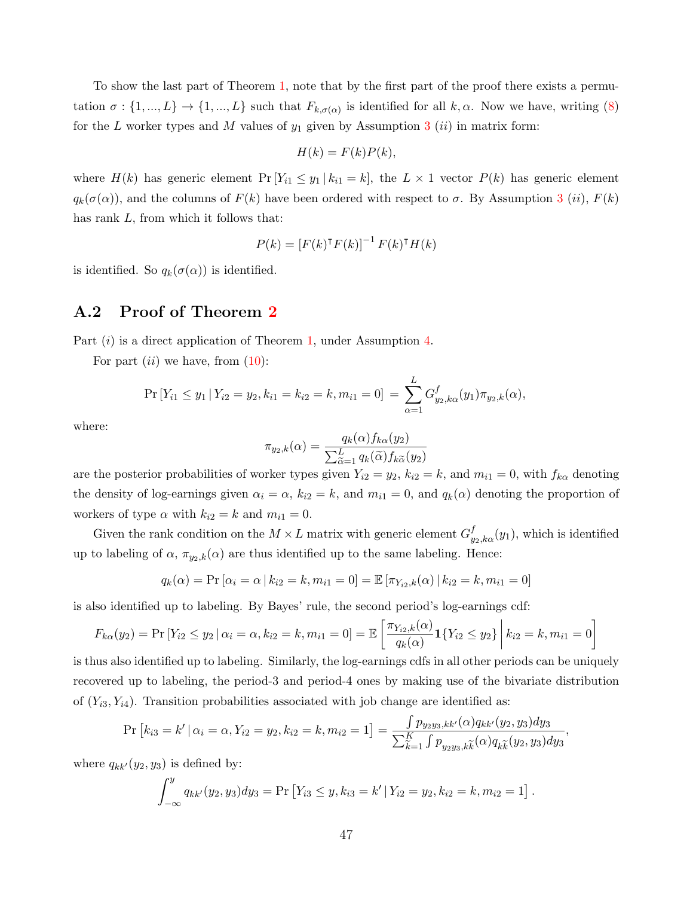To show the last part of Theorem [1,](#page-13-0) note that by the first part of the proof there exists a permutation  $\sigma: \{1, ..., L\} \to \{1, ..., L\}$  such that  $F_{k,\sigma(\alpha)}$  is identified for all  $k, \alpha$ . Now we have, writing [\(8\)](#page-12-1) for the L worker types and M values of  $y_1$  given by Assumption [3](#page-12-2) (ii) in matrix form:

$$
H(k) = F(k)P(k),
$$

where  $H(k)$  has generic element  $Pr[Y_{i1} \leq y_1 | k_{i1} = k]$ , the  $L \times 1$  vector  $P(k)$  has generic element  $q_k(\sigma(\alpha))$ , and the columns of  $F(k)$  have been ordered with respect to  $\sigma$ . By Assumption [3](#page-12-2) (ii),  $F(k)$ has rank L, from which it follows that:

$$
P(k) = \left[ F(k)^\mathsf{T} F(k) \right]^{-1} F(k)^\mathsf{T} H(k)
$$

is identified. So  $q_k(\sigma(\alpha))$  is identified.

### A.2 Proof of Theorem [2](#page-15-2)

Part  $(i)$  is a direct application of Theorem [1,](#page-13-0) under Assumption [4.](#page-15-1)

For part  $(ii)$  we have, from  $(10)$ :

$$
\Pr[Y_{i1} \le y_1 | Y_{i2} = y_2, k_{i1} = k_{i2} = k, m_{i1} = 0] = \sum_{\alpha=1}^{L} G_{y_2, k\alpha}^f(y_1) \pi_{y_2, k}(\alpha),
$$

where:

$$
\pi_{y_2,k}(\alpha) = \frac{q_k(\alpha) f_{k\alpha}(y_2)}{\sum_{\alpha=1}^L q_k(\widetilde{\alpha}) f_{k\widetilde{\alpha}}(y_2)}
$$

are the posterior probabilities of worker types given  $Y_{i2} = y_2$ ,  $k_{i2} = k$ , and  $m_{i1} = 0$ , with  $f_{k\alpha}$  denoting the density of log-earnings given  $\alpha_i = \alpha$ ,  $k_{i2} = k$ , and  $m_{i1} = 0$ , and  $q_k(\alpha)$  denoting the proportion of workers of type  $\alpha$  with  $k_{i2} = k$  and  $m_{i1} = 0$ .

Given the rank condition on the  $M \times L$  matrix with generic element  $G_{y_2,k\alpha}^f(y_1)$ , which is identified up to labeling of  $\alpha$ ,  $\pi_{y_2,k}(\alpha)$  are thus identified up to the same labeling. Hence:

$$
q_k(\alpha) = \Pr\left[\alpha_i = \alpha \,|\, k_{i2} = k, m_{i1} = 0\right] = \mathbb{E}\left[\pi_{Y_{i2},k}(\alpha) \,|\, k_{i2} = k, m_{i1} = 0\right]
$$

is also identified up to labeling. By Bayes' rule, the second period's log-earnings cdf:

$$
F_{k\alpha}(y_2) = \Pr[Y_{i2} \le y_2 | \alpha_i = \alpha, k_{i2} = k, m_{i1} = 0] = \mathbb{E}\left[\frac{\pi_{Y_{i2},k}(\alpha)}{q_k(\alpha)}\mathbf{1}\{Y_{i2} \le y_2\} \middle| k_{i2} = k, m_{i1} = 0\right]
$$

is thus also identified up to labeling. Similarly, the log-earnings cdfs in all other periods can be uniquely recovered up to labeling, the period-3 and period-4 ones by making use of the bivariate distribution of  $(Y_{i3}, Y_{i4})$ . Transition probabilities associated with job change are identified as:

$$
\Pr\left[k_{i3} = k' \,|\, \alpha_i = \alpha, Y_{i2} = y_2, k_{i2} = k, m_{i2} = 1\right] = \frac{\int p_{y_2 y_3, kk'}(\alpha) q_{kk'}(y_2, y_3) dy_3}{\sum_{k=1}^K \int p_{y_2 y_3, k\tilde{k}}(\alpha) q_{k\tilde{k}}(y_2, y_3) dy_3},
$$

where  $q_{kk'}(y_2, y_3)$  is defined by:

$$
\int_{-\infty}^{y} q_{kk'}(y_2, y_3) dy_3 = \Pr \left[ Y_{i3} \leq y, k_{i3} = k' \, | \, Y_{i2} = y_2, k_{i2} = k, m_{i2} = 1 \right].
$$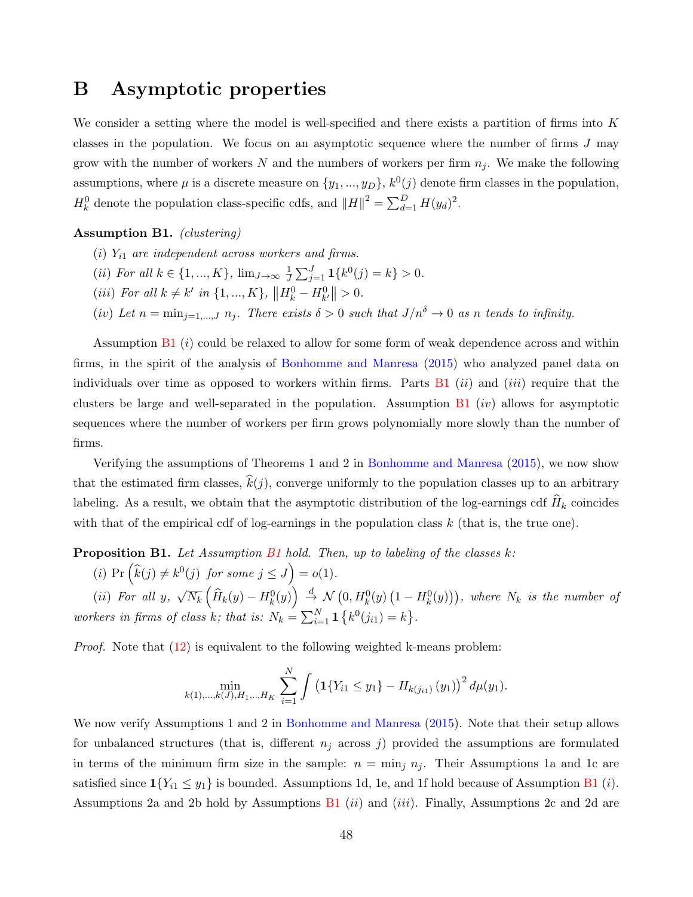### <span id="page-47-0"></span>B Asymptotic properties

We consider a setting where the model is well-specified and there exists a partition of firms into  $K$ classes in the population. We focus on an asymptotic sequence where the number of firms J may grow with the number of workers N and the numbers of workers per firm  $n_i$ . We make the following assumptions, where  $\mu$  is a discrete measure on  $\{y_1, ..., y_D\}, k^0(j)$  denote firm classes in the population,  $H_k^0$  denote the population class-specific cdfs, and  $||H||^2 = \sum_{d=1}^D H(y_d)^2$ .

#### <span id="page-47-1"></span>Assumption B1. (clustering)

- (i)  $Y_{i1}$  are independent across workers and firms.
- (*ii*) For all  $k \in \{1, ..., K\}$ ,  $\lim_{J \to \infty} \frac{1}{J}$  $\frac{1}{J}\sum_{j=1}^{J} \mathbf{1}\{k^0(j) = k\} > 0.$
- (*iii*) For all  $k \neq k'$  in  $\{1, ..., K\}$ ,  $||H_k^0 H_{k'}^0|| > 0$ .
- (iv) Let  $n = \min_{j=1,\dots,J} n_j$ . There exists  $\delta > 0$  such that  $J/n^{\delta} \to 0$  as n tends to infinity.

Assumption  $B1$  (*i*) could be relaxed to allow for some form of weak dependence across and within firms, in the spirit of the analysis of [Bonhomme and Manresa](#page-39-3) [\(2015\)](#page-39-3) who analyzed panel data on individuals over time as opposed to workers within firms. Parts  $B1$  (ii) and (iii) require that the clusters be large and well-separated in the population. Assumption  $B1$  (iv) allows for asymptotic sequences where the number of workers per firm grows polynomially more slowly than the number of firms.

Verifying the assumptions of Theorems 1 and 2 in [Bonhomme and Manresa](#page-39-3) [\(2015\)](#page-39-3), we now show that the estimated firm classes,  $\hat{k}(j)$ , converge uniformly to the population classes up to an arbitrary labeling. As a result, we obtain that the asymptotic distribution of the log-earnings cdf  $\widehat{H}_k$  coincides with that of the empirical cdf of log-earnings in the population class  $k$  (that is, the true one).

<span id="page-47-2"></span>**Proposition [B1](#page-47-1).** Let Assumption B1 hold. Then, up to labeling of the classes k:

(i)  $\Pr\left(\hat{k}(j) \neq k^0(j) \text{ for some } j \leq J\right) = o(1).$ 

(ii) For all y, √  $\overline{N_k}\left(\widehat{H}_k(y)-H_k^0(y)\right) \stackrel{d}{\to} \mathcal{N}\left(0,H_k^0(y)\left(1-H_k^0(y)\right)\right)$ , where  $N_k$  is the number of workers in firms of class k; that is:  $N_k = \sum_{i=1}^N \mathbf{1}\left\{k^0(j_{i1}) = k\right\}.$ 

*Proof.* Note that  $(12)$  is equivalent to the following weighted k-means problem:

$$
\min_{k(1),...,k(J),H_1,..,H_K} \sum_{i=1}^N \int \left( \mathbf{1}\{Y_{i1} \leq y_1\} - H_{k(j_{i1})}(y_1) \right)^2 d\mu(y_1).
$$

We now verify Assumptions 1 and 2 in [Bonhomme and Manresa](#page-39-3) [\(2015\)](#page-39-3). Note that their setup allows for unbalanced structures (that is, different  $n<sub>j</sub>$  across j) provided the assumptions are formulated in terms of the minimum firm size in the sample:  $n = \min_j n_j$ . Their Assumptions 1a and 1c are satisfied since  $\mathbf{1}\{Y_{i1} \leq y_1\}$  is bounded. Assumptions 1d, 1e, and 1f hold because of Assumption [B1](#page-47-1) (*i*). Assumptions 2a and 2b hold by Assumptions  $B1$  (*ii*) and (*iii*). Finally, Assumptions 2c and 2d are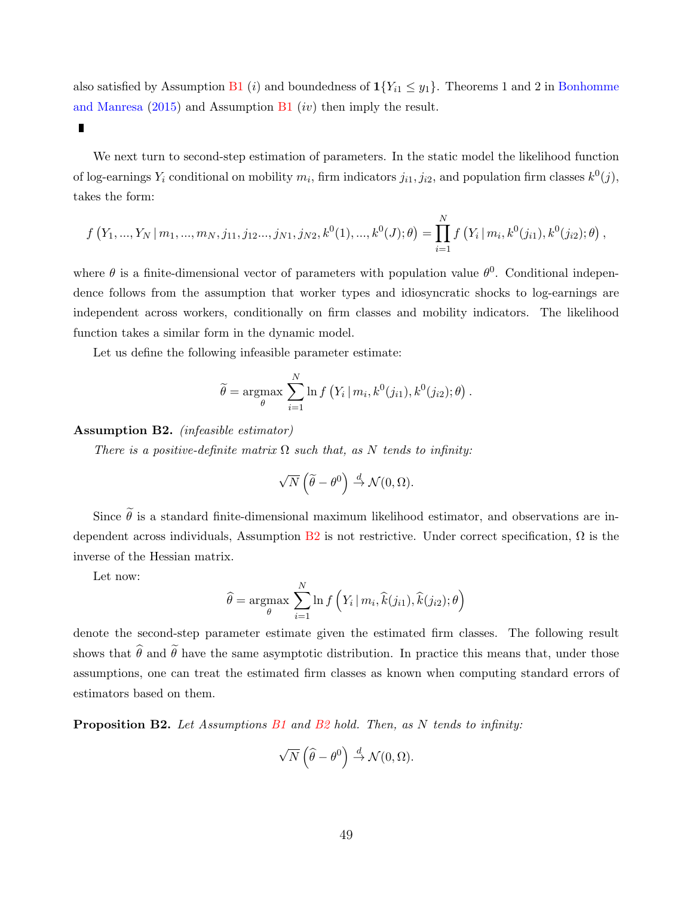also satisfied by Assumption [B1](#page-47-1) (i) and boundedness of  $1\{Y_{i1} \leq y_1\}$ . Theorems 1 and 2 in [Bonhomme](#page-39-3) [and Manresa](#page-39-3)  $(2015)$  and Assumption [B1](#page-47-1)  $(iv)$  then imply the result.

П

We next turn to second-step estimation of parameters. In the static model the likelihood function of log-earnings  $Y_i$  conditional on mobility  $m_i$ , firm indicators  $j_{i1}, j_{i2}$ , and population firm classes  $k^0(j)$ , takes the form:

$$
f(Y_1, ..., Y_N | m_1, ..., m_N, j_{11}, j_{12}, ..., j_{N1}, j_{N2}, k^0(1), ..., k^0(J); \theta) = \prod_{i=1}^N f(Y_i | m_i, k^0(j_{i1}), k^0(j_{i2}); \theta),
$$

where  $\theta$  is a finite-dimensional vector of parameters with population value  $\theta^0$ . Conditional independence follows from the assumption that worker types and idiosyncratic shocks to log-earnings are independent across workers, conditionally on firm classes and mobility indicators. The likelihood function takes a similar form in the dynamic model.

Let us define the following infeasible parameter estimate:

$$
\widetilde{\theta} = \underset{\theta}{\operatorname{argmax}} \sum_{i=1}^{N} \ln f(Y_i \mid m_i, k^0(j_{i1}), k^0(j_{i2}); \theta).
$$

<span id="page-48-0"></span>Assumption B2. (infeasible estimator)

There is a positive-definite matrix  $\Omega$  such that, as N tends to infinity:

$$
\sqrt{N}\left(\widetilde{\theta}-\theta^0\right) \stackrel{d}{\rightarrow} \mathcal{N}(0,\Omega).
$$

Since  $\tilde{\theta}$  is a standard finite-dimensional maximum likelihood estimator, and observations are independent across individuals, Assumption  $B2$  is not restrictive. Under correct specification,  $\Omega$  is the inverse of the Hessian matrix.

Let now:

$$
\widehat{\theta} = \underset{\theta}{\operatorname{argmax}} \sum_{i=1}^{N} \ln f\left(Y_i \,|\, m_i, \widehat{k}(j_{i1}), \widehat{k}(j_{i2}); \theta\right)
$$

denote the second-step parameter estimate given the estimated firm classes. The following result shows that  $\hat{\theta}$  and  $\tilde{\theta}$  have the same asymptotic distribution. In practice this means that, under those assumptions, one can treat the estimated firm classes as known when computing standard errors of estimators based on them.

<span id="page-48-1"></span>**Proposition [B2](#page-48-0).** Let Assumptions [B1](#page-47-1) and B2 hold. Then, as N tends to infinity:

$$
\sqrt{N}\left(\widehat{\theta}-\theta^0\right) \stackrel{d}{\rightarrow} \mathcal{N}(0,\Omega).
$$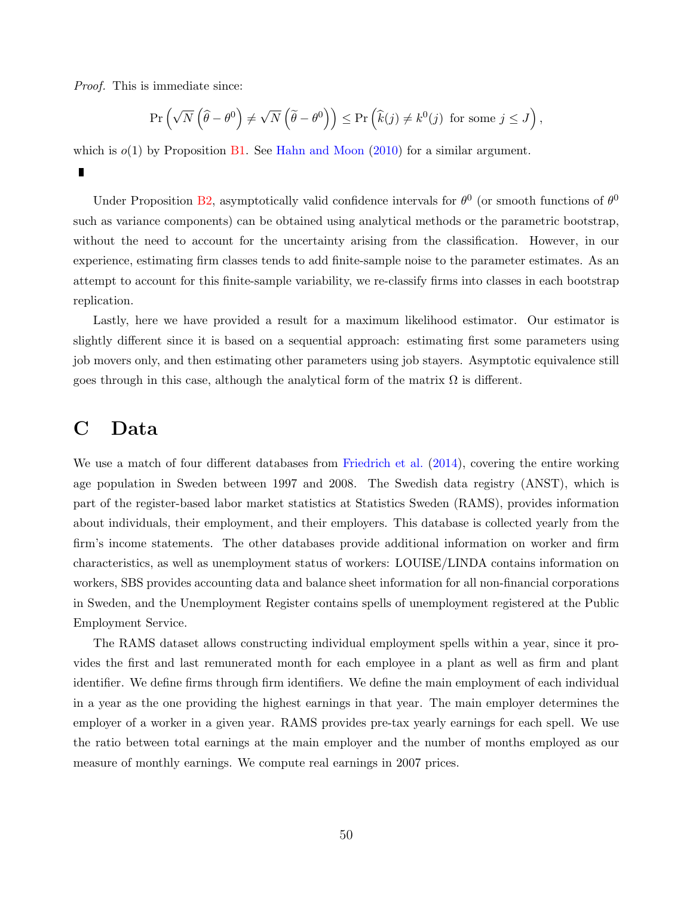Proof. This is immediate since:

$$
\Pr\left(\sqrt{N}\left(\widehat{\theta}-\theta^0\right)\neq\sqrt{N}\left(\widetilde{\theta}-\theta^0\right)\right)\leq \Pr\left(\widehat{k}(j)\neq k^0(j) \text{ for some } j\leq J\right),\right\}
$$

which is  $o(1)$  by Proposition [B1.](#page-47-2) See [Hahn and Moon](#page-40-5) [\(2010\)](#page-40-5) for a similar argument.

П

Under Proposition [B2,](#page-48-1) asymptotically valid confidence intervals for  $\theta^0$  (or smooth functions of  $\theta^0$ such as variance components) can be obtained using analytical methods or the parametric bootstrap, without the need to account for the uncertainty arising from the classification. However, in our experience, estimating firm classes tends to add finite-sample noise to the parameter estimates. As an attempt to account for this finite-sample variability, we re-classify firms into classes in each bootstrap replication.

Lastly, here we have provided a result for a maximum likelihood estimator. Our estimator is slightly different since it is based on a sequential approach: estimating first some parameters using job movers only, and then estimating other parameters using job stayers. Asymptotic equivalence still goes through in this case, although the analytical form of the matrix  $\Omega$  is different.

# <span id="page-49-0"></span>C Data

We use a match of four different databases from [Friedrich et al.](#page-40-10)  $(2014)$ , covering the entire working age population in Sweden between 1997 and 2008. The Swedish data registry (ANST), which is part of the register-based labor market statistics at Statistics Sweden (RAMS), provides information about individuals, their employment, and their employers. This database is collected yearly from the firm's income statements. The other databases provide additional information on worker and firm characteristics, as well as unemployment status of workers: LOUISE/LINDA contains information on workers, SBS provides accounting data and balance sheet information for all non-financial corporations in Sweden, and the Unemployment Register contains spells of unemployment registered at the Public Employment Service.

The RAMS dataset allows constructing individual employment spells within a year, since it provides the first and last remunerated month for each employee in a plant as well as firm and plant identifier. We define firms through firm identifiers. We define the main employment of each individual in a year as the one providing the highest earnings in that year. The main employer determines the employer of a worker in a given year. RAMS provides pre-tax yearly earnings for each spell. We use the ratio between total earnings at the main employer and the number of months employed as our measure of monthly earnings. We compute real earnings in 2007 prices.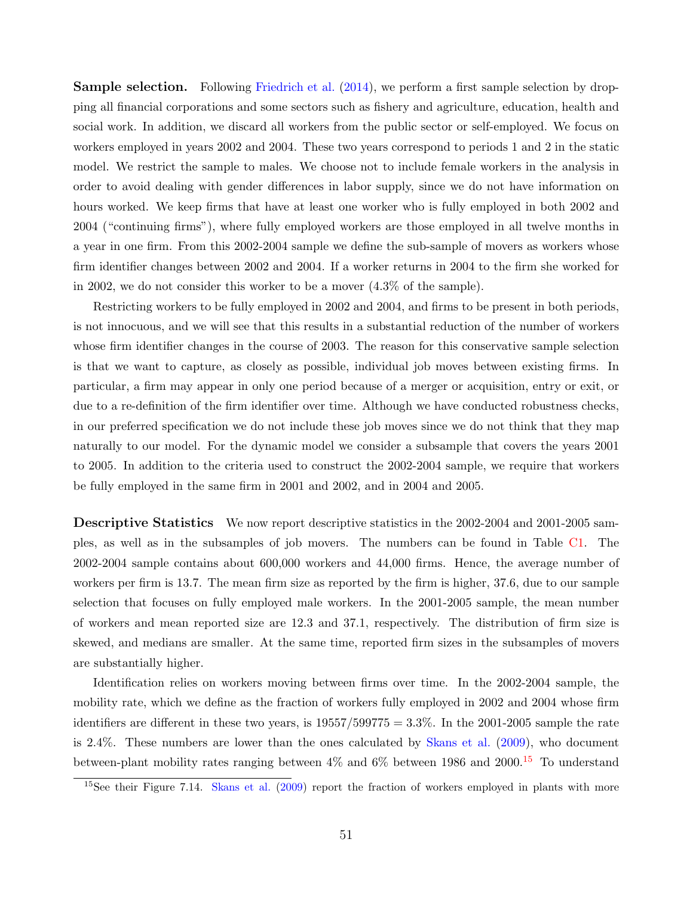Sample selection. Following [Friedrich et al.](#page-40-10)  $(2014)$ , we perform a first sample selection by dropping all financial corporations and some sectors such as fishery and agriculture, education, health and social work. In addition, we discard all workers from the public sector or self-employed. We focus on workers employed in years 2002 and 2004. These two years correspond to periods 1 and 2 in the static model. We restrict the sample to males. We choose not to include female workers in the analysis in order to avoid dealing with gender differences in labor supply, since we do not have information on hours worked. We keep firms that have at least one worker who is fully employed in both 2002 and 2004 ("continuing firms"), where fully employed workers are those employed in all twelve months in a year in one firm. From this 2002-2004 sample we define the sub-sample of movers as workers whose firm identifier changes between 2002 and 2004. If a worker returns in 2004 to the firm she worked for in 2002, we do not consider this worker to be a mover (4.3% of the sample).

Restricting workers to be fully employed in 2002 and 2004, and firms to be present in both periods, is not innocuous, and we will see that this results in a substantial reduction of the number of workers whose firm identifier changes in the course of 2003. The reason for this conservative sample selection is that we want to capture, as closely as possible, individual job moves between existing firms. In particular, a firm may appear in only one period because of a merger or acquisition, entry or exit, or due to a re-definition of the firm identifier over time. Although we have conducted robustness checks, in our preferred specification we do not include these job moves since we do not think that they map naturally to our model. For the dynamic model we consider a subsample that covers the years 2001 to 2005. In addition to the criteria used to construct the 2002-2004 sample, we require that workers be fully employed in the same firm in 2001 and 2002, and in 2004 and 2005.

Descriptive Statistics We now report descriptive statistics in the 2002-2004 and 2001-2005 samples, as well as in the subsamples of job movers. The numbers can be found in Table [C1.](#page-52-0) The 2002-2004 sample contains about 600,000 workers and 44,000 firms. Hence, the average number of workers per firm is 13.7. The mean firm size as reported by the firm is higher, 37.6, due to our sample selection that focuses on fully employed male workers. In the 2001-2005 sample, the mean number of workers and mean reported size are 12.3 and 37.1, respectively. The distribution of firm size is skewed, and medians are smaller. At the same time, reported firm sizes in the subsamples of movers are substantially higher.

Identification relies on workers moving between firms over time. In the 2002-2004 sample, the mobility rate, which we define as the fraction of workers fully employed in 2002 and 2004 whose firm identifiers are different in these two years, is  $19557/599775 = 3.3\%$ . In the 2001-2005 sample the rate is 2.4%. These numbers are lower than the ones calculated by [Skans et al.](#page-42-12) [\(2009\)](#page-42-12), who document between-plant mobility rates ranging between  $4\%$  and  $6\%$  between 1986 and 2000.<sup>[15](#page-50-0)</sup> To understand

<span id="page-50-0"></span><sup>&</sup>lt;sup>15</sup>See their Figure 7.14. [Skans et al.](#page-42-12) [\(2009\)](#page-42-12) report the fraction of workers employed in plants with more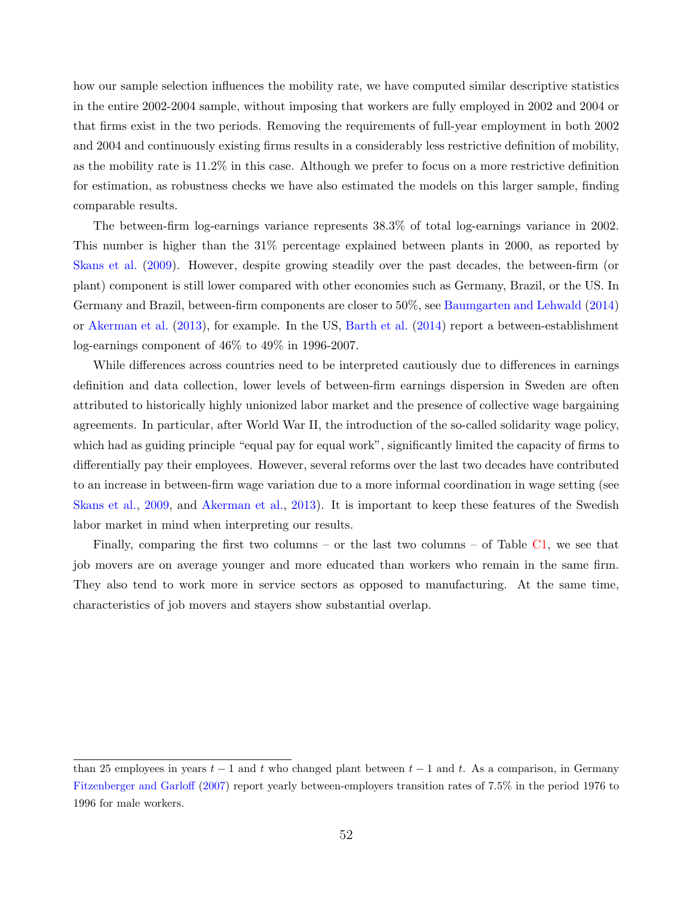how our sample selection influences the mobility rate, we have computed similar descriptive statistics in the entire 2002-2004 sample, without imposing that workers are fully employed in 2002 and 2004 or that firms exist in the two periods. Removing the requirements of full-year employment in both 2002 and 2004 and continuously existing firms results in a considerably less restrictive definition of mobility, as the mobility rate is 11.2% in this case. Although we prefer to focus on a more restrictive definition for estimation, as robustness checks we have also estimated the models on this larger sample, finding comparable results.

The between-firm log-earnings variance represents 38.3% of total log-earnings variance in 2002. This number is higher than the 31% percentage explained between plants in 2000, as reported by [Skans et al.](#page-42-12) [\(2009\)](#page-42-12). However, despite growing steadily over the past decades, the between-firm (or plant) component is still lower compared with other economies such as Germany, Brazil, or the US. In Germany and Brazil, between-firm components are closer to 50%, see [Baumgarten and Lehwald](#page-39-12) [\(2014\)](#page-39-12) or [Akerman et al.](#page-38-9) [\(2013\)](#page-38-9), for example. In the US, [Barth et al.](#page-38-10) [\(2014\)](#page-38-10) report a between-establishment log-earnings component of 46% to 49% in 1996-2007.

While differences across countries need to be interpreted cautiously due to differences in earnings definition and data collection, lower levels of between-firm earnings dispersion in Sweden are often attributed to historically highly unionized labor market and the presence of collective wage bargaining agreements. In particular, after World War II, the introduction of the so-called solidarity wage policy, which had as guiding principle "equal pay for equal work", significantly limited the capacity of firms to differentially pay their employees. However, several reforms over the last two decades have contributed to an increase in between-firm wage variation due to a more informal coordination in wage setting (see [Skans et al.,](#page-42-12) [2009,](#page-42-12) and [Akerman et al.,](#page-38-9) [2013\)](#page-38-9). It is important to keep these features of the Swedish labor market in mind when interpreting our results.

Finally, comparing the first two columns – or the last two columns – of Table  $C_1$ , we see that job movers are on average younger and more educated than workers who remain in the same firm. They also tend to work more in service sectors as opposed to manufacturing. At the same time, characteristics of job movers and stayers show substantial overlap.

than 25 employees in years  $t-1$  and t who changed plant between  $t-1$  and t. As a comparison, in Germany [Fitzenberger and Garloff](#page-40-12) [\(2007\)](#page-40-12) report yearly between-employers transition rates of 7.5% in the period 1976 to 1996 for male workers.